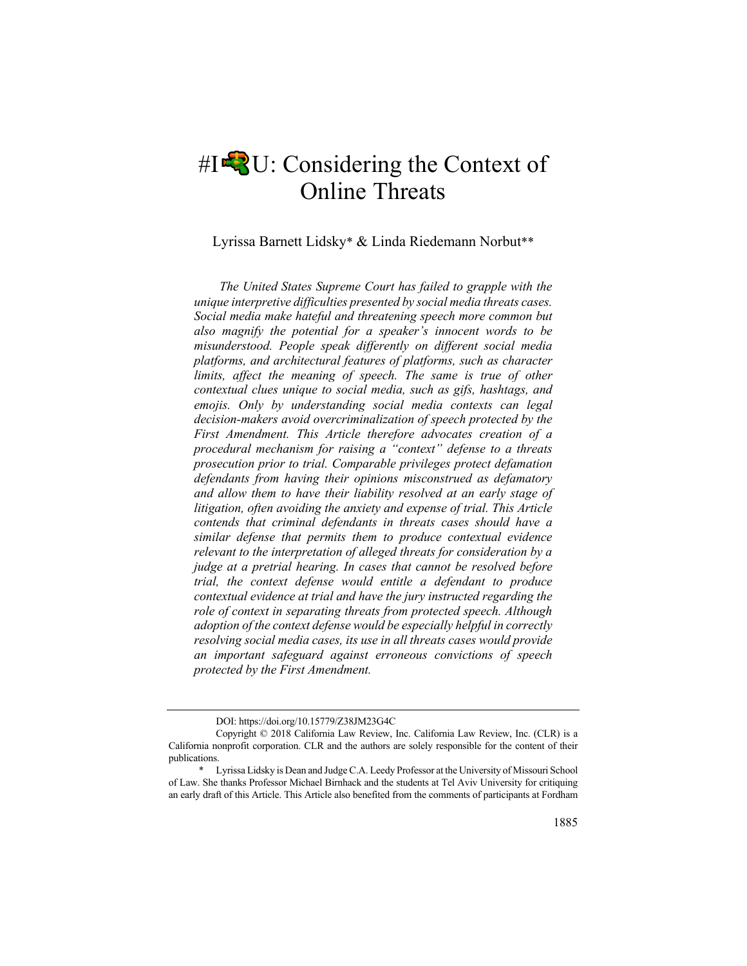# $\#I$ <sup> $\uparrow$ </sup> $\downarrow$ <sup>3</sup>U: Considering the Context of Online Threats

Lyrissa Barnett Lidsky\* & Linda Riedemann Norbut\*\*

*The United States Supreme Court has failed to grapple with the unique interpretive difficulties presented by social media threats cases. Social media make hateful and threatening speech more common but also magnify the potential for a speaker's innocent words to be misunderstood. People speak differently on different social media platforms, and architectural features of platforms, such as character limits, affect the meaning of speech. The same is true of other contextual clues unique to social media, such as gifs, hashtags, and emojis. Only by understanding social media contexts can legal decision-makers avoid overcriminalization of speech protected by the First Amendment. This Article therefore advocates creation of a procedural mechanism for raising a "context" defense to a threats prosecution prior to trial. Comparable privileges protect defamation defendants from having their opinions misconstrued as defamatory and allow them to have their liability resolved at an early stage of litigation, often avoiding the anxiety and expense of trial. This Article contends that criminal defendants in threats cases should have a similar defense that permits them to produce contextual evidence relevant to the interpretation of alleged threats for consideration by a judge at a pretrial hearing. In cases that cannot be resolved before trial, the context defense would entitle a defendant to produce contextual evidence at trial and have the jury instructed regarding the role of context in separating threats from protected speech. Although adoption of the context defense would be especially helpful in correctly resolving social media cases, its use in all threats cases would provide an important safeguard against erroneous convictions of speech protected by the First Amendment.*

DOI: https://doi.org/10.15779/Z38JM23G4C

Copyright © 2018 California Law Review, Inc. California Law Review, Inc. (CLR) is a California nonprofit corporation. CLR and the authors are solely responsible for the content of their publications.

Lyrissa Lidsky is Dean and Judge C.A. Leedy Professor at the University of Missouri School of Law. She thanks Professor Michael Birnhack and the students at Tel Aviv University for critiquing an early draft of this Article. This Article also benefited from the comments of participants at Fordham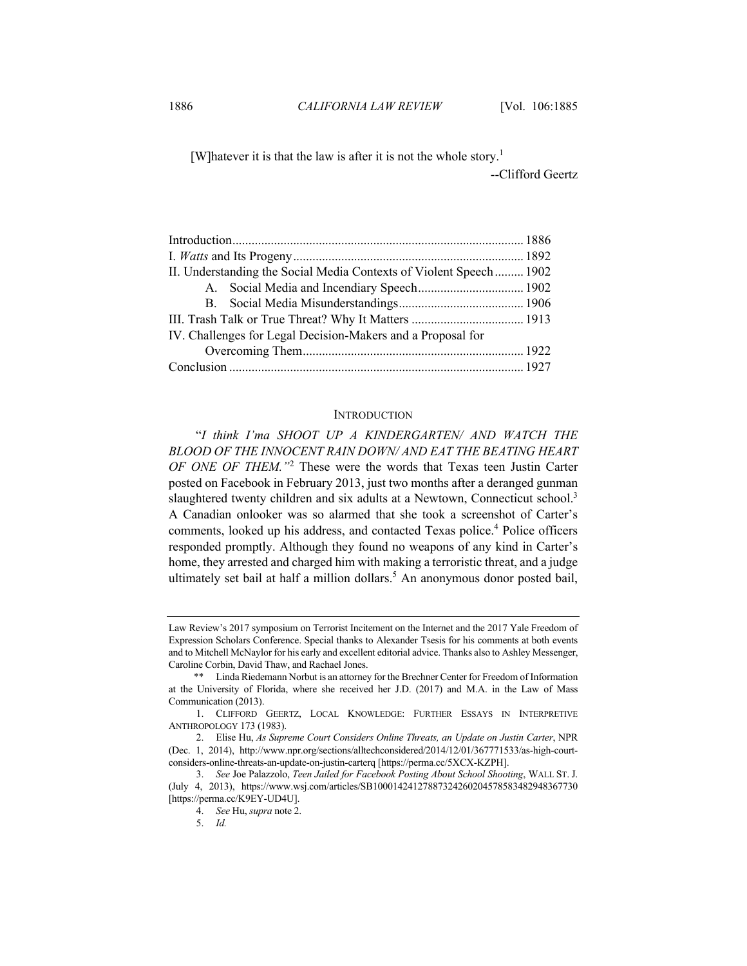[W]hatever it is that the law is after it is not the whole story.<sup>1</sup>

--Clifford Geertz

| II. Understanding the Social Media Contexts of Violent Speech  1902 |  |
|---------------------------------------------------------------------|--|
|                                                                     |  |
|                                                                     |  |
|                                                                     |  |
| IV. Challenges for Legal Decision-Makers and a Proposal for         |  |
|                                                                     |  |
|                                                                     |  |

### **INTRODUCTION**

"*I think I'ma SHOOT UP A KINDERGARTEN/ AND WATCH THE BLOOD OF THE INNOCENT RAIN DOWN/ AND EAT THE BEATING HEART OF ONE OF THEM."*<sup>2</sup> These were the words that Texas teen Justin Carter posted on Facebook in February 2013, just two months after a deranged gunman slaughtered twenty children and six adults at a Newtown, Connecticut school.<sup>3</sup> A Canadian onlooker was so alarmed that she took a screenshot of Carter's comments, looked up his address, and contacted Texas police.<sup>4</sup> Police officers responded promptly. Although they found no weapons of any kind in Carter's home, they arrested and charged him with making a terroristic threat, and a judge ultimately set bail at half a million dollars.<sup>5</sup> An anonymous donor posted bail,

Law Review's 2017 symposium on Terrorist Incitement on the Internet and the 2017 Yale Freedom of Expression Scholars Conference. Special thanks to Alexander Tsesis for his comments at both events and to Mitchell McNaylor for his early and excellent editorial advice. Thanks also to Ashley Messenger, Caroline Corbin, David Thaw, and Rachael Jones.

<sup>\*\*</sup> Linda Riedemann Norbut is an attorney for the Brechner Center for Freedom of Information at the University of Florida, where she received her J.D. (2017) and M.A. in the Law of Mass Communication (2013).

<sup>1.</sup> CLIFFORD GEERTZ, LOCAL KNOWLEDGE: FURTHER ESSAYS IN INTERPRETIVE ANTHROPOLOGY 173 (1983).

<sup>2.</sup> Elise Hu, *As Supreme Court Considers Online Threats, an Update on Justin Carter*, NPR (Dec. 1, 2014), http://www.npr.org/sections/alltechconsidered/2014/12/01/367771533/as-high-courtconsiders-online-threats-an-update-on-justin-carterq [https://perma.cc/5XCX-KZPH].

<sup>3.</sup> *See* Joe Palazzolo, *Teen Jailed for Facebook Posting About School Shooting*, WALL ST. J. (July 4, 2013), https://www.wsj.com/articles/SB10001424127887324260204578583482948367730 [https://perma.cc/K9EY-UD4U].

<sup>4.</sup> *See* Hu, *supra* note 2.

<sup>5.</sup> *Id.*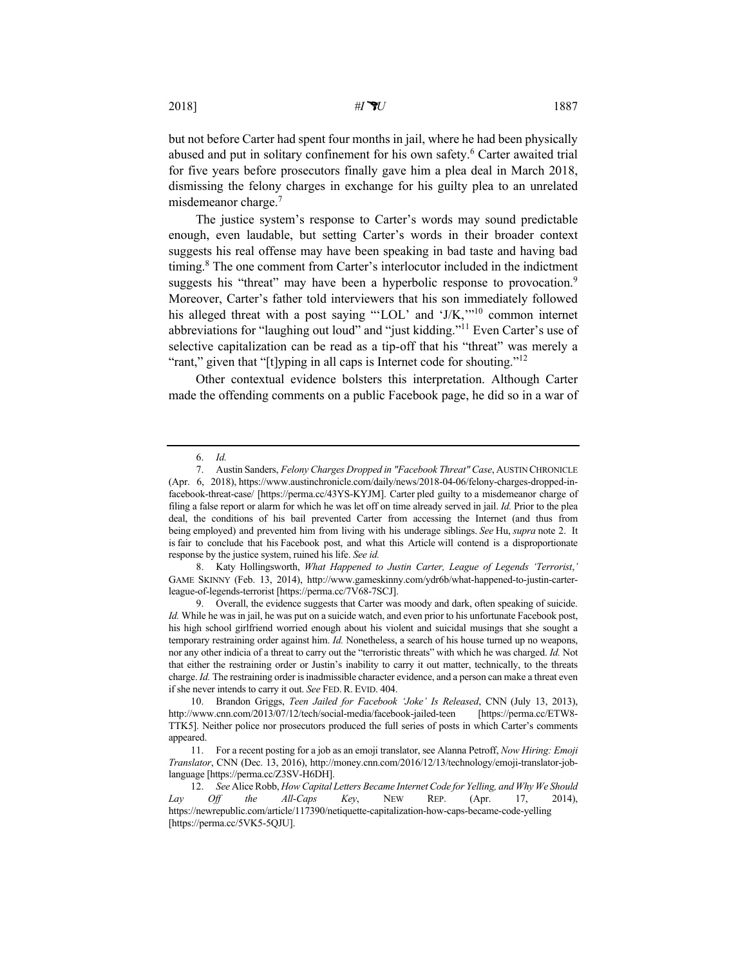but not before Carter had spent four months in jail, where he had been physically abused and put in solitary confinement for his own safety.<sup>6</sup> Carter awaited trial for five years before prosecutors finally gave him a plea deal in March 2018, dismissing the felony charges in exchange for his guilty plea to an unrelated misdemeanor charge.<sup>7</sup>

The justice system's response to Carter's words may sound predictable enough, even laudable, but setting Carter's words in their broader context suggests his real offense may have been speaking in bad taste and having bad timing. <sup>8</sup> The one comment from Carter's interlocutor included in the indictment suggests his "threat" may have been a hyperbolic response to provocation.<sup>9</sup> Moreover, Carter's father told interviewers that his son immediately followed his alleged threat with a post saying "'LOL' and 'J/K,"<sup>10</sup> common internet abbreviations for "laughing out loud" and "just kidding."<sup>11</sup> Even Carter's use of selective capitalization can be read as a tip-off that his "threat" was merely a "rant," given that "[t]yping in all caps is Internet code for shouting."<sup>12</sup>

Other contextual evidence bolsters this interpretation. Although Carter made the offending comments on a public Facebook page, he did so in a war of

<sup>6.</sup> *Id.*

<sup>7.</sup> Austin Sanders, *Felony Charges Dropped in "Facebook Threat" Case*, AUSTIN CHRONICLE (Apr. 6, 2018), https://www.austinchronicle.com/daily/news/2018-04-06/felony-charges-dropped-infacebook-threat-case/ [https://perma.cc/43YS-KYJM]. Carter pled guilty to a misdemeanor charge of filing a false report or alarm for which he was let off on time already served in jail. *Id.* Prior to the plea deal, the conditions of his bail prevented Carter from accessing the Internet (and thus from being employed) and prevented him from living with his underage siblings. *See* Hu, *supra* note 2. It is fair to conclude that his Facebook post, and what this Article will contend is a disproportionate response by the justice system, ruined his life. *See id.*

<sup>8.</sup> Katy Hollingsworth, *What Happened to Justin Carter, League of Legends 'Terrorist*,*'* GAME SKINNY (Feb. 13, 2014), http://www.gameskinny.com/ydr6b/what-happened-to-justin-carterleague-of-legends-terrorist [https://perma.cc/7V68-7SCJ].

<sup>9.</sup> Overall, the evidence suggests that Carter was moody and dark, often speaking of suicide. *Id.* While he was in jail, he was put on a suicide watch, and even prior to his unfortunate Facebook post, his high school girlfriend worried enough about his violent and suicidal musings that she sought a temporary restraining order against him. *Id.* Nonetheless, a search of his house turned up no weapons, nor any other indicia of a threat to carry out the "terroristic threats" with which he was charged. *Id.* Not that either the restraining order or Justin's inability to carry it out matter, technically, to the threats charge. *Id.* The restraining order is inadmissible character evidence, and a person can make a threat even if she never intends to carry it out. *See* FED. R. EVID. 404.

<sup>10.</sup> Brandon Griggs, *Teen Jailed for Facebook 'Joke' Is Released*, CNN (July 13, 2013), http://www.cnn.com/2013/07/12/tech/social-media/facebook-jailed-teen [https://perma.cc/ETW8- TTK5]. Neither police nor prosecutors produced the full series of posts in which Carter's comments appeared.

<sup>11.</sup> For a recent posting for a job as an emoji translator, see Alanna Petroff, *Now Hiring: Emoji Translator*, CNN (Dec. 13, 2016), http://money.cnn.com/2016/12/13/technology/emoji-translator-joblanguage [https://perma.cc/Z3SV-H6DH].

<sup>12.</sup> *See* Alice Robb, *How Capital Letters Became Internet Code for Yelling, and Why We Should Lay Off the All-Caps Key*, NEW REP. (Apr. 17, 2014), https://newrepublic.com/article/117390/netiquette-capitalization-how-caps-became-code-yelling [https://perma.cc/5VK5-5QJU].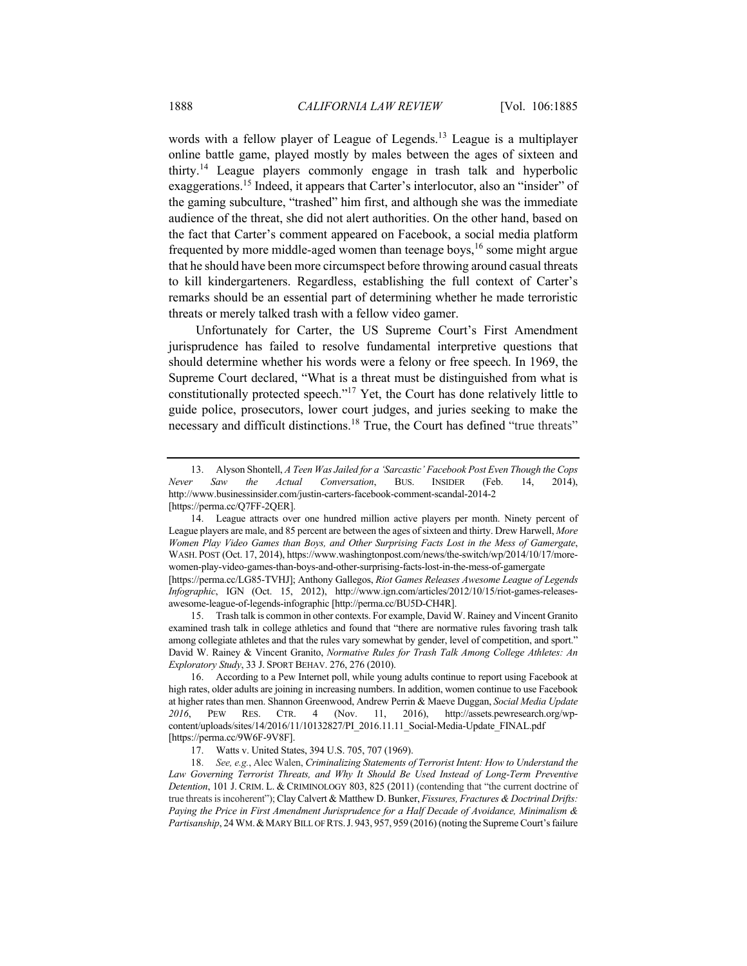words with a fellow player of League of Legends.<sup>13</sup> League is a multiplayer online battle game, played mostly by males between the ages of sixteen and thirty.<sup>14</sup> League players commonly engage in trash talk and hyperbolic exaggerations.15 Indeed, it appears that Carter's interlocutor, also an "insider" of the gaming subculture, "trashed" him first, and although she was the immediate audience of the threat, she did not alert authorities. On the other hand, based on the fact that Carter's comment appeared on Facebook, a social media platform frequented by more middle-aged women than teenage boys,  $16$  some might argue that he should have been more circumspect before throwing around casual threats to kill kindergarteners. Regardless, establishing the full context of Carter's remarks should be an essential part of determining whether he made terroristic threats or merely talked trash with a fellow video gamer.

Unfortunately for Carter, the US Supreme Court's First Amendment jurisprudence has failed to resolve fundamental interpretive questions that should determine whether his words were a felony or free speech. In 1969, the Supreme Court declared, "What is a threat must be distinguished from what is constitutionally protected speech."17 Yet, the Court has done relatively little to guide police, prosecutors, lower court judges, and juries seeking to make the necessary and difficult distinctions.<sup>18</sup> True, the Court has defined "true threats"

15. Trash talk is common in other contexts. For example, David W. Rainey and Vincent Granito examined trash talk in college athletics and found that "there are normative rules favoring trash talk among collegiate athletes and that the rules vary somewhat by gender, level of competition, and sport." David W. Rainey & Vincent Granito, *Normative Rules for Trash Talk Among College Athletes: An Exploratory Study*, 33 J. SPORT BEHAV. 276, 276 (2010).

<sup>13.</sup> Alyson Shontell, *A Teen Was Jailed for a 'Sarcastic' Facebook Post Even Though the Cops Never Saw the Actual Conversation*, BUS. INSIDER (Feb. 14, 2014), http://www.businessinsider.com/justin-carters-facebook-comment-scandal-2014-2 [https://perma.cc/Q7FF-2QER].

<sup>14.</sup> League attracts over one hundred million active players per month. Ninety percent of League players are male, and 85 percent are between the ages of sixteen and thirty. Drew Harwell, *More Women Play Video Games than Boys, and Other Surprising Facts Lost in the Mess of Gamergate*, WASH. POST (Oct. 17, 2014), https://www.washingtonpost.com/news/the-switch/wp/2014/10/17/morewomen-play-video-games-than-boys-and-other-surprising-facts-lost-in-the-mess-of-gamergate [https://perma.cc/LG85-TVHJ]; Anthony Gallegos, *Riot Games Releases Awesome League of Legends Infographic*, IGN (Oct. 15, 2012), http://www.ign.com/articles/2012/10/15/riot-games-releasesawesome-league-of-legends-infographic [http://perma.cc/BU5D-CH4R].

<sup>16.</sup> According to a Pew Internet poll, while young adults continue to report using Facebook at high rates, older adults are joining in increasing numbers. In addition, women continue to use Facebook at higher rates than men. Shannon Greenwood, Andrew Perrin & Maeve Duggan, *Social Media Update 2016*, PEW RES. CTR. 4 (Nov. 11, 2016), http://assets.pewresearch.org/wpcontent/uploads/sites/14/2016/11/10132827/PI\_2016.11.11\_Social-Media-Update\_FINAL.pdf [https://perma.cc/9W6F-9V8F].

<sup>17.</sup> Watts v. United States, 394 U.S. 705, 707 (1969).

<sup>18.</sup> *See, e.g.*, Alec Walen, *Criminalizing Statements of Terrorist Intent: How to Understand the*  Law Governing Terrorist Threats, and Why It Should Be Used Instead of Long-Term Preventive *Detention*, 101 J. CRIM. L. & CRIMINOLOGY 803, 825 (2011) (contending that "the current doctrine of true threats is incoherent"); Clay Calvert & Matthew D. Bunker, *Fissures, Fractures & Doctrinal Drifts: Paying the Price in First Amendment Jurisprudence for a Half Decade of Avoidance, Minimalism & Partisanship*, 24 WM.&MARY BILL OF RTS.J. 943, 957, 959 (2016) (noting the Supreme Court's failure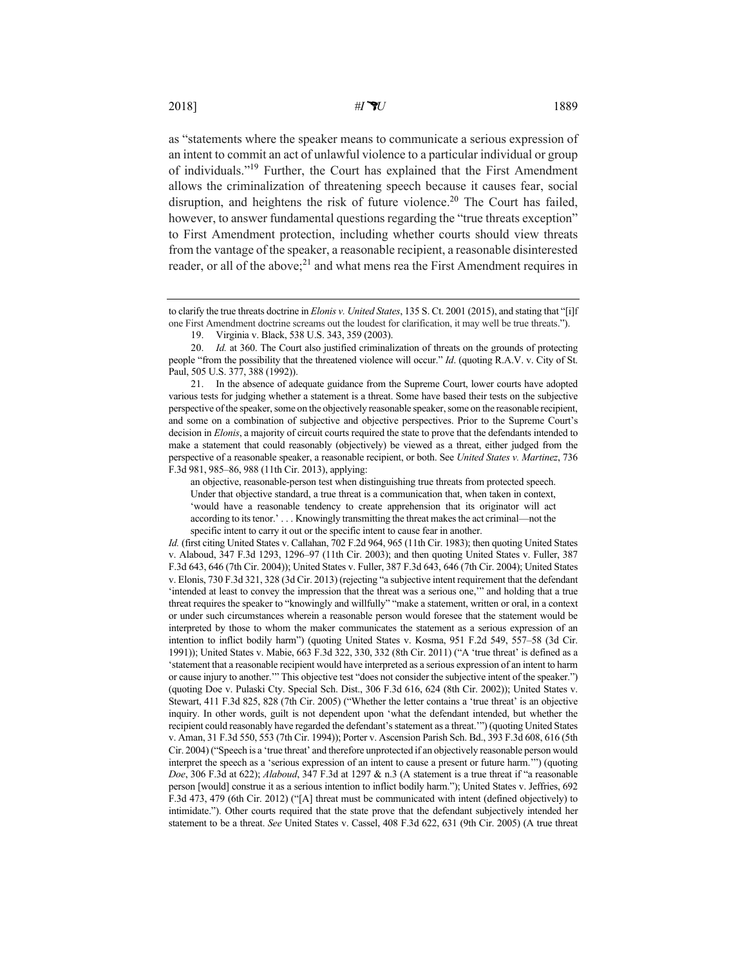as "statements where the speaker means to communicate a serious expression of an intent to commit an act of unlawful violence to a particular individual or group of individuals."19 Further, the Court has explained that the First Amendment allows the criminalization of threatening speech because it causes fear, social disruption, and heightens the risk of future violence.<sup>20</sup> The Court has failed, however, to answer fundamental questions regarding the "true threats exception" to First Amendment protection, including whether courts should view threats from the vantage of the speaker, a reasonable recipient, a reasonable disinterested reader, or all of the above;<sup>21</sup> and what mens rea the First Amendment requires in

21. In the absence of adequate guidance from the Supreme Court, lower courts have adopted various tests for judging whether a statement is a threat. Some have based their tests on the subjective perspective of the speaker, some on the objectively reasonable speaker, some on the reasonable recipient, and some on a combination of subjective and objective perspectives. Prior to the Supreme Court's decision in *Elonis*, a majority of circuit courts required the state to prove that the defendants intended to make a statement that could reasonably (objectively) be viewed as a threat, either judged from the perspective of a reasonable speaker, a reasonable recipient, or both. See *United States v. Martinez*, 736 F.3d 981, 985–86, 988 (11th Cir. 2013), applying:

an objective, reasonable-person test when distinguishing true threats from protected speech. Under that objective standard, a true threat is a communication that, when taken in context, 'would have a reasonable tendency to create apprehension that its originator will act according to its tenor.' . . . Knowingly transmitting the threat makes the act criminal—not the specific intent to carry it out or the specific intent to cause fear in another.

*Id.* (first citing United States v. Callahan, 702 F.2d 964, 965 (11th Cir. 1983); then quoting United States v. Alaboud, 347 F.3d 1293, 1296–97 (11th Cir. 2003); and then quoting United States v. Fuller, 387 F.3d 643, 646 (7th Cir. 2004)); United States v. Fuller, 387 F.3d 643, 646 (7th Cir. 2004); United States v. Elonis, 730 F.3d 321, 328 (3d Cir. 2013) (rejecting "a subjective intent requirement that the defendant 'intended at least to convey the impression that the threat was a serious one,'" and holding that a true threat requires the speaker to "knowingly and willfully" "make a statement, written or oral, in a context or under such circumstances wherein a reasonable person would foresee that the statement would be interpreted by those to whom the maker communicates the statement as a serious expression of an intention to inflict bodily harm") (quoting United States v. Kosma, 951 F.2d 549, 557–58 (3d Cir. 1991)); United States v. Mabie, 663 F.3d 322, 330, 332 (8th Cir. 2011) ("A 'true threat' is defined as a 'statement that a reasonable recipient would have interpreted as a serious expression of an intent to harm or cause injury to another.'" This objective test "does not consider the subjective intent of the speaker.") (quoting Doe v. Pulaski Cty. Special Sch. Dist., 306 F.3d 616, 624 (8th Cir. 2002)); United States v. Stewart, 411 F.3d 825, 828 (7th Cir. 2005) ("Whether the letter contains a 'true threat' is an objective inquiry. In other words, guilt is not dependent upon 'what the defendant intended, but whether the recipient could reasonably have regarded the defendant's statement as a threat.'") (quoting United States v. Aman, 31 F.3d 550, 553 (7th Cir. 1994)); Porter v. Ascension Parish Sch. Bd., 393 F.3d 608, 616 (5th Cir. 2004) ("Speech is a 'true threat' and therefore unprotected if an objectively reasonable person would interpret the speech as a 'serious expression of an intent to cause a present or future harm.'") (quoting *Doe*, 306 F.3d at 622); *Alaboud*, 347 F.3d at 1297 & n.3 (A statement is a true threat if "a reasonable person [would] construe it as a serious intention to inflict bodily harm."); United States v. Jeffries, 692 F.3d 473, 479 (6th Cir. 2012) ("[A] threat must be communicated with intent (defined objectively) to intimidate."). Other courts required that the state prove that the defendant subjectively intended her statement to be a threat. *See* United States v. Cassel, 408 F.3d 622, 631 (9th Cir. 2005) (A true threat

to clarify the true threats doctrine in *Elonis v. United States*, 135 S. Ct. 2001 (2015), and stating that "[i]f one First Amendment doctrine screams out the loudest for clarification, it may well be true threats.").

<sup>19.</sup> Virginia v. Black, 538 U.S. 343, 359 (2003).

<sup>20.</sup> *Id.* at 360. The Court also justified criminalization of threats on the grounds of protecting people "from the possibility that the threatened violence will occur." *Id*. (quoting R.A.V. v. City of St. Paul, 505 U.S. 377, 388 (1992)).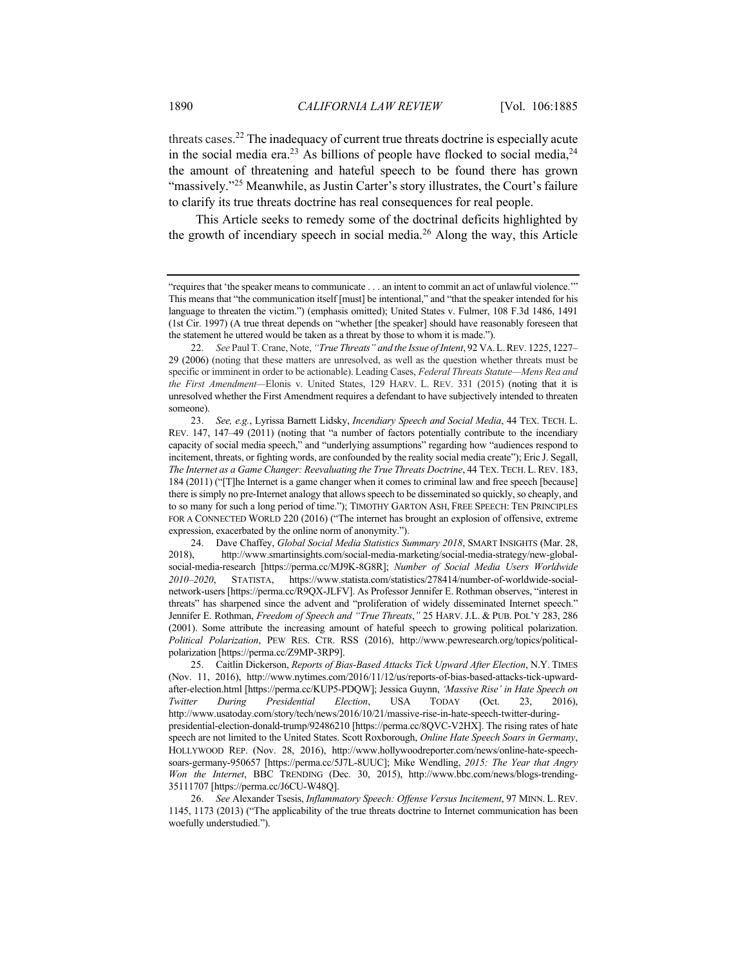threats cases.<sup>22</sup> The inadequacy of current true threats doctrine is especially acute in the social media era.<sup>23</sup> As billions of people have flocked to social media,  $24$ the amount of threatening and hateful speech to be found there has grown "massively."<sup>25</sup> Meanwhile, as Justin Carter's story illustrates, the Court's failure to clarify its true threats doctrine has real consequences for real people.

This Article seeks to remedy some of the doctrinal deficits highlighted by the growth of incendiary speech in social media.<sup>26</sup> Along the way, this Article

<sup>&</sup>quot;requires that 'the speaker means to communicate . . . an intent to commit an act of unlawful violence.'" This means that "the communication itself [must] be intentional," and "that the speaker intended for his language to threaten the victim.") (emphasis omitted); United States v. Fulmer, 108 F.3d 1486, 1491 (1st Cir. 1997) (A true threat depends on "whether [the speaker] should have reasonably foreseen that the statement he uttered would be taken as a threat by those to whom it is made.").

<sup>22.</sup> *See* Paul T. Crane, Note, *"True Threats" and the Issue of Intent*, 92 VA.L.REV. 1225, 1227– 29 (2006) (noting that these matters are unresolved, as well as the question whether threats must be specific or imminent in order to be actionable). Leading Cases, *Federal Threats Statute—Mens Rea and the First Amendment—*Elonis v. United States, 129 HARV. L. REV. 331 (2015) (noting that it is unresolved whether the First Amendment requires a defendant to have subjectively intended to threaten someone).

<sup>23.</sup> *See, e.g.*, Lyrissa Barnett Lidsky, *Incendiary Speech and Social Media*, 44 TEX. TECH. L. REV. 147, 147–49 (2011) (noting that "a number of factors potentially contribute to the incendiary capacity of social media speech," and "underlying assumptions" regarding how "audiences respond to incitement, threats, or fighting words, are confounded by the reality social media create"); Eric J. Segall, *The Internet as a Game Changer: Reevaluating the True Threats Doctrine*, 44 TEX. TECH. L.REV. 183, 184 (2011) ("[T]he Internet is a game changer when it comes to criminal law and free speech [because] there is simply no pre-Internet analogy that allows speech to be disseminated so quickly, so cheaply, and to so many for such a long period of time."); TIMOTHY GARTON ASH, FREE SPEECH: TEN PRINCIPLES FOR A CONNECTED WORLD 220 (2016) ("The internet has brought an explosion of offensive, extreme expression, exacerbated by the online norm of anonymity.").

<sup>24.</sup> Dave Chaffey, *Global Social Media Statistics Summary 2018*, SMART INSIGHTS (Mar. 28, 2018), http://www.smartinsights.com/social-media-marketing/social-media-strategy/new-globalsocial-media-research [https://perma.cc/MJ9K-8G8R]; *Number of Social Media Users Worldwide 2010–2020*, STATISTA, https://www.statista.com/statistics/278414/number-of-worldwide-socialnetwork-users [https://perma.cc/R9QX-JLFV]. As Professor Jennifer E. Rothman observes, "interest in threats" has sharpened since the advent and "proliferation of widely disseminated Internet speech." Jennifer E. Rothman, *Freedom of Speech and "True Threats*,*"* 25 HARV. J.L. & PUB. POL'Y 283, 286 (2001). Some attribute the increasing amount of hateful speech to growing political polarization. *Political Polarization*, PEW RES. CTR. RSS (2016), http://www.pewresearch.org/topics/politicalpolarization [https://perma.cc/Z9MP-3RP9].

<sup>25.</sup> Caitlin Dickerson, *Reports of Bias-Based Attacks Tick Upward After Election*, N.Y. TIMES (Nov. 11, 2016), http://www.nytimes.com/2016/11/12/us/reports-of-bias-based-attacks-tick-upwardafter-election.html [https://perma.cc/KUP5-PDQW]; Jessica Guynn, *'Massive Rise' in Hate Speech on Twitter During Presidential Election*, USA TODAY (Oct. 23, 2016), http://www.usatoday.com/story/tech/news/2016/10/21/massive-rise-in-hate-speech-twitter-duringpresidential-election-donald-trump/92486210 [https://perma.cc/8QVC-V2HX]. The rising rates of hate speech are not limited to the United States. Scott Roxborough, *Online Hate Speech Soars in Germany*, HOLLYWOOD REP. (Nov. 28, 2016), http://www.hollywoodreporter.com/news/online-hate-speechsoars-germany-950657 [https://perma.cc/5J7L-8UUC]; Mike Wendling, *2015: The Year that Angry Won the Internet*, BBC TRENDING (Dec. 30, 2015), http://www.bbc.com/news/blogs-trending-35111707 [https://perma.cc/J6CU-W48Q].

<sup>26.</sup> *See* Alexander Tsesis, *Inflammatory Speech: Offense Versus Incitement*, 97 MINN. L. REV. 1145, 1173 (2013) ("The applicability of the true threats doctrine to Internet communication has been woefully understudied.").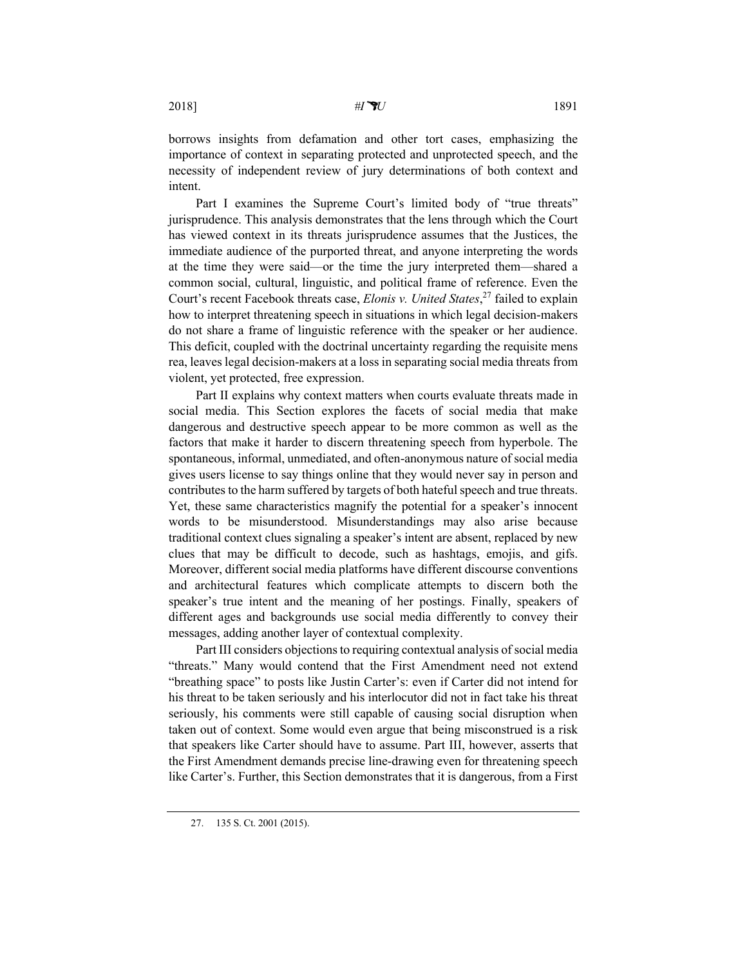borrows insights from defamation and other tort cases, emphasizing the importance of context in separating protected and unprotected speech, and the necessity of independent review of jury determinations of both context and intent.

Part I examines the Supreme Court's limited body of "true threats" jurisprudence. This analysis demonstrates that the lens through which the Court has viewed context in its threats jurisprudence assumes that the Justices, the immediate audience of the purported threat, and anyone interpreting the words at the time they were said—or the time the jury interpreted them—shared a common social, cultural, linguistic, and political frame of reference. Even the Court's recent Facebook threats case, *Elonis v. United States*, <sup>27</sup> failed to explain how to interpret threatening speech in situations in which legal decision-makers do not share a frame of linguistic reference with the speaker or her audience. This deficit, coupled with the doctrinal uncertainty regarding the requisite mens rea, leaves legal decision-makers at a loss in separating social media threats from violent, yet protected, free expression.

Part II explains why context matters when courts evaluate threats made in social media. This Section explores the facets of social media that make dangerous and destructive speech appear to be more common as well as the factors that make it harder to discern threatening speech from hyperbole. The spontaneous, informal, unmediated, and often-anonymous nature of social media gives users license to say things online that they would never say in person and contributes to the harm suffered by targets of both hateful speech and true threats. Yet, these same characteristics magnify the potential for a speaker's innocent words to be misunderstood. Misunderstandings may also arise because traditional context clues signaling a speaker's intent are absent, replaced by new clues that may be difficult to decode, such as hashtags, emojis, and gifs. Moreover, different social media platforms have different discourse conventions and architectural features which complicate attempts to discern both the speaker's true intent and the meaning of her postings. Finally, speakers of different ages and backgrounds use social media differently to convey their messages, adding another layer of contextual complexity.

Part III considers objections to requiring contextual analysis of social media "threats." Many would contend that the First Amendment need not extend "breathing space" to posts like Justin Carter's: even if Carter did not intend for his threat to be taken seriously and his interlocutor did not in fact take his threat seriously, his comments were still capable of causing social disruption when taken out of context. Some would even argue that being misconstrued is a risk that speakers like Carter should have to assume. Part III, however, asserts that the First Amendment demands precise line-drawing even for threatening speech like Carter's. Further, this Section demonstrates that it is dangerous, from a First

<sup>27.</sup> 135 S. Ct. 2001 (2015).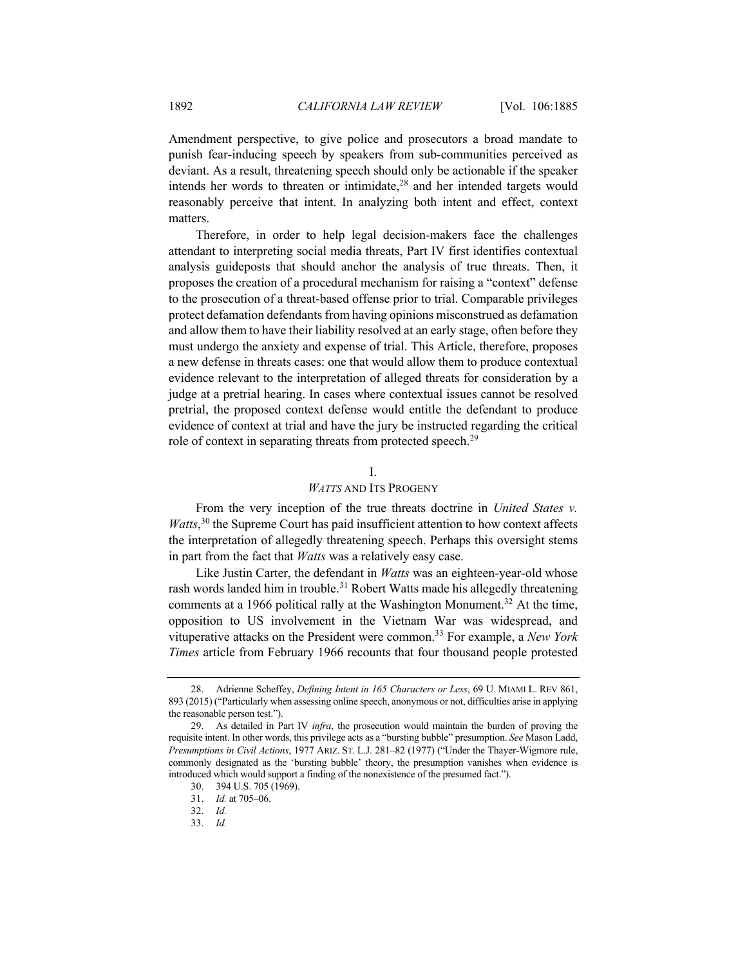Amendment perspective, to give police and prosecutors a broad mandate to punish fear-inducing speech by speakers from sub-communities perceived as deviant. As a result, threatening speech should only be actionable if the speaker intends her words to threaten or intimidate, $28$  and her intended targets would reasonably perceive that intent. In analyzing both intent and effect, context matters.

Therefore, in order to help legal decision-makers face the challenges attendant to interpreting social media threats, Part IV first identifies contextual analysis guideposts that should anchor the analysis of true threats. Then, it proposes the creation of a procedural mechanism for raising a "context" defense to the prosecution of a threat-based offense prior to trial. Comparable privileges protect defamation defendants from having opinions misconstrued as defamation and allow them to have their liability resolved at an early stage, often before they must undergo the anxiety and expense of trial. This Article, therefore, proposes a new defense in threats cases: one that would allow them to produce contextual evidence relevant to the interpretation of alleged threats for consideration by a judge at a pretrial hearing. In cases where contextual issues cannot be resolved pretrial, the proposed context defense would entitle the defendant to produce evidence of context at trial and have the jury be instructed regarding the critical role of context in separating threats from protected speech.<sup>29</sup>

# I.

## *WATTS* AND ITS PROGENY

From the very inception of the true threats doctrine in *United States v.*  Watts,<sup>30</sup> the Supreme Court has paid insufficient attention to how context affects the interpretation of allegedly threatening speech. Perhaps this oversight stems in part from the fact that *Watts* was a relatively easy case.

Like Justin Carter, the defendant in *Watts* was an eighteen-year-old whose rash words landed him in trouble.<sup>31</sup> Robert Watts made his allegedly threatening comments at a 1966 political rally at the Washington Monument.<sup>32</sup> At the time, opposition to US involvement in the Vietnam War was widespread, and vituperative attacks on the President were common.<sup>33</sup> For example, a *New York Times* article from February 1966 recounts that four thousand people protested

<sup>28.</sup> Adrienne Scheffey, *Defining Intent in 165 Characters or Less*, 69 U. MIAMI L. REV 861, 893 (2015) ("Particularly when assessing online speech, anonymous or not, difficulties arise in applying the reasonable person test.").

<sup>29.</sup> As detailed in Part IV *infra*, the prosecution would maintain the burden of proving the requisite intent. In other words, this privilege acts as a "bursting bubble" presumption. *See* Mason Ladd, *Presumptions in Civil Actions*, 1977 ARIZ. ST. L.J. 281–82 (1977) ("Under the Thayer-Wigmore rule, commonly designated as the 'bursting bubble' theory, the presumption vanishes when evidence is introduced which would support a finding of the nonexistence of the presumed fact.").

<sup>30.</sup> 394 U.S. 705 (1969).

<sup>31.</sup> *Id.* at 705–06.

<sup>32.</sup> *Id.*

<sup>33.</sup> *Id.*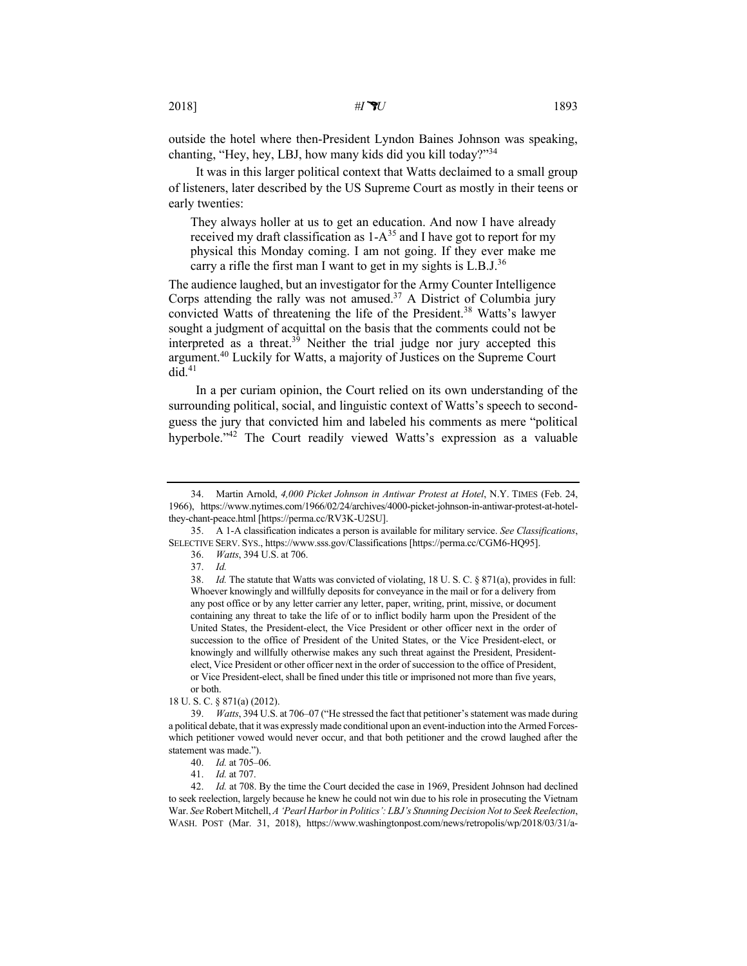outside the hotel where then-President Lyndon Baines Johnson was speaking, chanting, "Hey, hey, LBJ, how many kids did you kill today?"<sup>34</sup>

It was in this larger political context that Watts declaimed to a small group of listeners, later described by the US Supreme Court as mostly in their teens or early twenties:

They always holler at us to get an education. And now I have already received my draft classification as  $1-A^{35}$  and I have got to report for my physical this Monday coming. I am not going. If they ever make me carry a rifle the first man I want to get in my sights is  $L.B.J.<sup>36</sup>$ 

The audience laughed, but an investigator for the Army Counter Intelligence Corps attending the rally was not amused.<sup>37</sup> A District of Columbia jury convicted Watts of threatening the life of the President.<sup>38</sup> Watts's lawyer sought a judgment of acquittal on the basis that the comments could not be interpreted as a threat.<sup>39</sup> Neither the trial judge nor jury accepted this argument.40 Luckily for Watts, a majority of Justices on the Supreme Court  $did.<sup>41</sup>$ 

In a per curiam opinion, the Court relied on its own understanding of the surrounding political, social, and linguistic context of Watts's speech to secondguess the jury that convicted him and labeled his comments as mere "political hyperbole."<sup>42</sup> The Court readily viewed Watts's expression as a valuable

18 U. S. C. § 871(a) (2012).

<sup>34.</sup> Martin Arnold, *4,000 Picket Johnson in Antiwar Protest at Hotel*, N.Y. TIMES (Feb. 24, 1966), https://www.nytimes.com/1966/02/24/archives/4000-picket-johnson-in-antiwar-protest-at-hotelthey-chant-peace.html [https://perma.cc/RV3K-U2SU].

<sup>35.</sup> A 1-A classification indicates a person is available for military service. *See Classifications*, SELECTIVE SERV. SYS., https://www.sss.gov/Classifications [https://perma.cc/CGM6-HQ95].

<sup>36.</sup> *Watts*, 394 U.S. at 706.

<sup>37.</sup> *Id.*

<sup>38.</sup> *Id.* The statute that Watts was convicted of violating, 18 U. S. C. § 871(a), provides in full: Whoever knowingly and willfully deposits for conveyance in the mail or for a delivery from any post office or by any letter carrier any letter, paper, writing, print, missive, or document containing any threat to take the life of or to inflict bodily harm upon the President of the United States, the President-elect, the Vice President or other officer next in the order of succession to the office of President of the United States, or the Vice President-elect, or knowingly and willfully otherwise makes any such threat against the President, Presidentelect, Vice President or other officer next in the order of succession to the office of President, or Vice President-elect, shall be fined under this title or imprisoned not more than five years, or both.

<sup>39.</sup> *Watts*, 394 U.S. at 706–07 ("He stressed the fact that petitioner's statement was made during a political debate, that it was expressly made conditional upon an event-induction into the Armed Forceswhich petitioner vowed would never occur, and that both petitioner and the crowd laughed after the statement was made.").

<sup>40.</sup> *Id.* at 705–06.

<sup>41.</sup> *Id.* at 707.

<sup>42.</sup> *Id.* at 708. By the time the Court decided the case in 1969, President Johnson had declined to seek reelection, largely because he knew he could not win due to his role in prosecuting the Vietnam War. *See* Robert Mitchell, *A 'Pearl Harbor in Politics': LBJ's Stunning Decision Not to Seek Reelection*, WASH. POST (Mar. 31, 2018), https://www.washingtonpost.com/news/retropolis/wp/2018/03/31/a-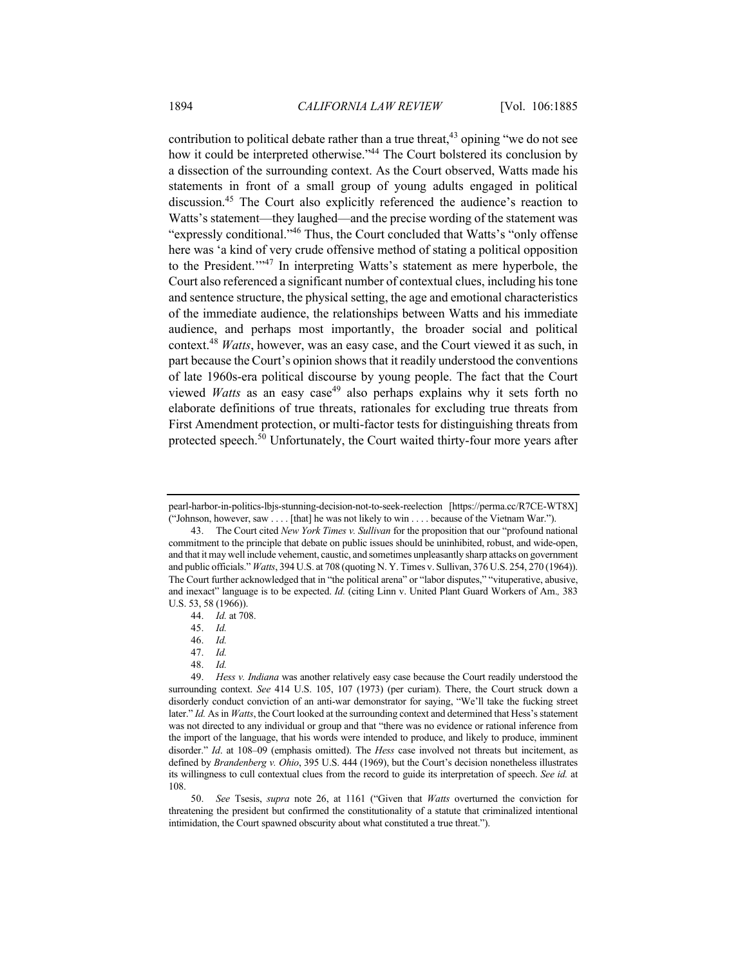contribution to political debate rather than a true threat,  $43$  opining "we do not see how it could be interpreted otherwise."<sup>44</sup> The Court bolstered its conclusion by a dissection of the surrounding context. As the Court observed, Watts made his statements in front of a small group of young adults engaged in political discussion.45 The Court also explicitly referenced the audience's reaction to Watts's statement—they laughed—and the precise wording of the statement was "expressly conditional."46 Thus, the Court concluded that Watts's "only offense here was 'a kind of very crude offensive method of stating a political opposition to the President."<sup>47</sup> In interpreting Watts's statement as mere hyperbole, the Court also referenced a significant number of contextual clues, including his tone and sentence structure, the physical setting, the age and emotional characteristics of the immediate audience, the relationships between Watts and his immediate audience, and perhaps most importantly, the broader social and political context.<sup>48</sup> *Watts*, however, was an easy case, and the Court viewed it as such, in part because the Court's opinion shows that it readily understood the conventions of late 1960s-era political discourse by young people. The fact that the Court viewed *Watts* as an easy case<sup>49</sup> also perhaps explains why it sets forth no elaborate definitions of true threats, rationales for excluding true threats from First Amendment protection, or multi-factor tests for distinguishing threats from protected speech.<sup>50</sup> Unfortunately, the Court waited thirty-four more years after

48. *Id.*

50. *See* Tsesis, *supra* note 26, at 1161 ("Given that *Watts* overturned the conviction for threatening the president but confirmed the constitutionality of a statute that criminalized intentional intimidation, the Court spawned obscurity about what constituted a true threat.").

pearl-harbor-in-politics-lbjs-stunning-decision-not-to-seek-reelection [https://perma.cc/R7CE-WT8X] ("Johnson, however, saw . . . . [that] he was not likely to win . . . . because of the Vietnam War.").

<sup>43.</sup> The Court cited *New York Times v. Sullivan* for the proposition that our "profound national commitment to the principle that debate on public issues should be uninhibited, robust, and wide-open, and that it may well include vehement, caustic, and sometimes unpleasantly sharp attacks on government and public officials." *Watts*, 394 U.S. at 708 (quoting N. Y. Times v. Sullivan, 376 U.S. 254, 270 (1964)). The Court further acknowledged that in "the political arena" or "labor disputes," "vituperative, abusive, and inexact" language is to be expected. *Id.* (citing Linn v. United Plant Guard Workers of Am.*,* 383 U.S. 53, 58 (1966)).

<sup>44.</sup> *Id.* at 708.

<sup>45.</sup> *Id.*

<sup>46.</sup> *Id.*

<sup>47.</sup> *Id.*

<sup>49.</sup> *Hess v. Indiana* was another relatively easy case because the Court readily understood the surrounding context. *See* 414 U.S. 105, 107 (1973) (per curiam). There, the Court struck down a disorderly conduct conviction of an anti-war demonstrator for saying, "We'll take the fucking street later." *Id.* As in *Watts*, the Court looked at the surrounding context and determined that Hess's statement was not directed to any individual or group and that "there was no evidence or rational inference from the import of the language, that his words were intended to produce, and likely to produce, imminent disorder." *Id*. at 108–09 (emphasis omitted). The *Hess* case involved not threats but incitement, as defined by *Brandenberg v. Ohio*, 395 U.S. 444 (1969), but the Court's decision nonetheless illustrates its willingness to cull contextual clues from the record to guide its interpretation of speech. *See id.* at 108.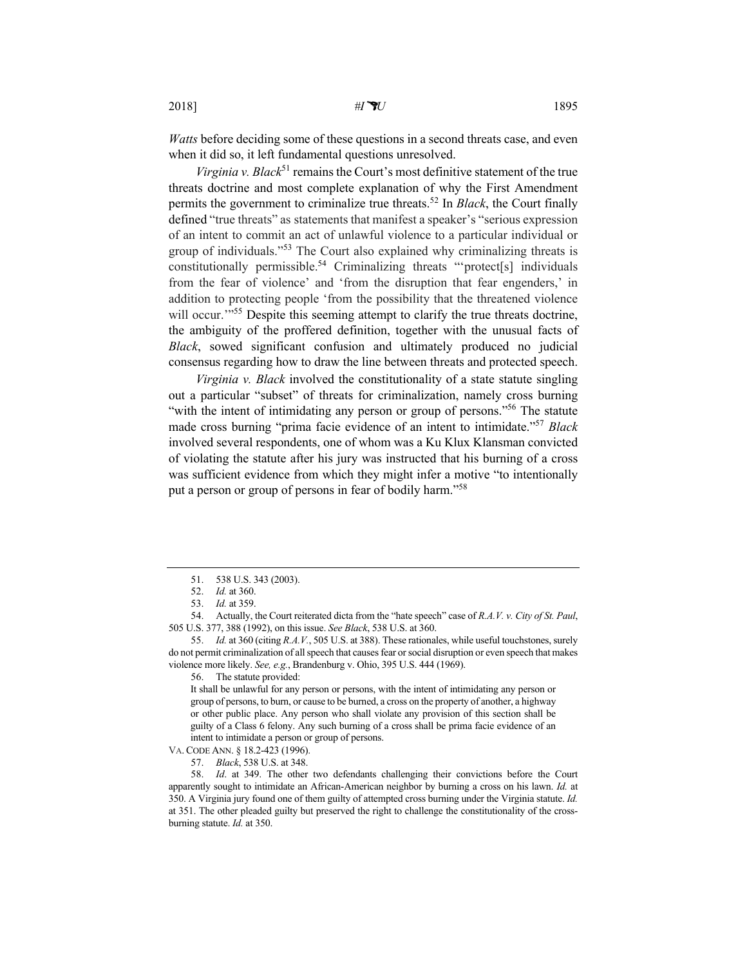*Watts* before deciding some of these questions in a second threats case, and even when it did so, it left fundamental questions unresolved.

*Virginia v. Black*<sup>51</sup> remains the Court's most definitive statement of the true threats doctrine and most complete explanation of why the First Amendment permits the government to criminalize true threats.<sup>52</sup> In *Black*, the Court finally defined "true threats" as statements that manifest a speaker's "serious expression of an intent to commit an act of unlawful violence to a particular individual or group of individuals."<sup>53</sup> The Court also explained why criminalizing threats is  $\text{constitutionally permissible.}^{54}$  Criminalizing threats "'protect[s] individuals from the fear of violence' and 'from the disruption that fear engenders,' in addition to protecting people 'from the possibility that the threatened violence will occur.<sup>"55</sup> Despite this seeming attempt to clarify the true threats doctrine, the ambiguity of the proffered definition, together with the unusual facts of *Black*, sowed significant confusion and ultimately produced no judicial consensus regarding how to draw the line between threats and protected speech.

*Virginia v. Black* involved the constitutionality of a state statute singling out a particular "subset" of threats for criminalization, namely cross burning "with the intent of intimidating any person or group of persons."<sup>56</sup> The statute made cross burning "prima facie evidence of an intent to intimidate."57 *Black* involved several respondents, one of whom was a Ku Klux Klansman convicted of violating the statute after his jury was instructed that his burning of a cross was sufficient evidence from which they might infer a motive "to intentionally put a person or group of persons in fear of bodily harm."58

54. Actually, the Court reiterated dicta from the "hate speech" case of *R.A.V. v. City of St. Paul*, 505 U.S. 377, 388 (1992), on this issue. *See Black*, 538 U.S. at 360.

VA. CODE ANN. § 18.2-423 (1996).

<sup>51.</sup> 538 U.S. 343 (2003).

<sup>52.</sup> *Id.* at 360.

<sup>53.</sup> *Id.* at 359.

<sup>55.</sup> *Id.* at 360 (citing *R.A.V.*, 505 U.S. at 388). These rationales, while useful touchstones, surely do not permit criminalization of all speech that causes fear or social disruption or even speech that makes violence more likely. *See, e.g.*, Brandenburg v. Ohio, 395 U.S. 444 (1969).

<sup>56.</sup> The statute provided:

It shall be unlawful for any person or persons, with the intent of intimidating any person or group of persons, to burn, or cause to be burned, a cross on the property of another, a highway or other public place. Any person who shall violate any provision of this section shall be guilty of a Class 6 felony. Any such burning of a cross shall be prima facie evidence of an intent to intimidate a person or group of persons.

<sup>57.</sup> *Black*, 538 U.S. at 348.

<sup>58.</sup> *Id*. at 349. The other two defendants challenging their convictions before the Court apparently sought to intimidate an African-American neighbor by burning a cross on his lawn. *Id.* at 350. A Virginia jury found one of them guilty of attempted cross burning under the Virginia statute. *Id.* at 351. The other pleaded guilty but preserved the right to challenge the constitutionality of the crossburning statute. *Id.* at 350.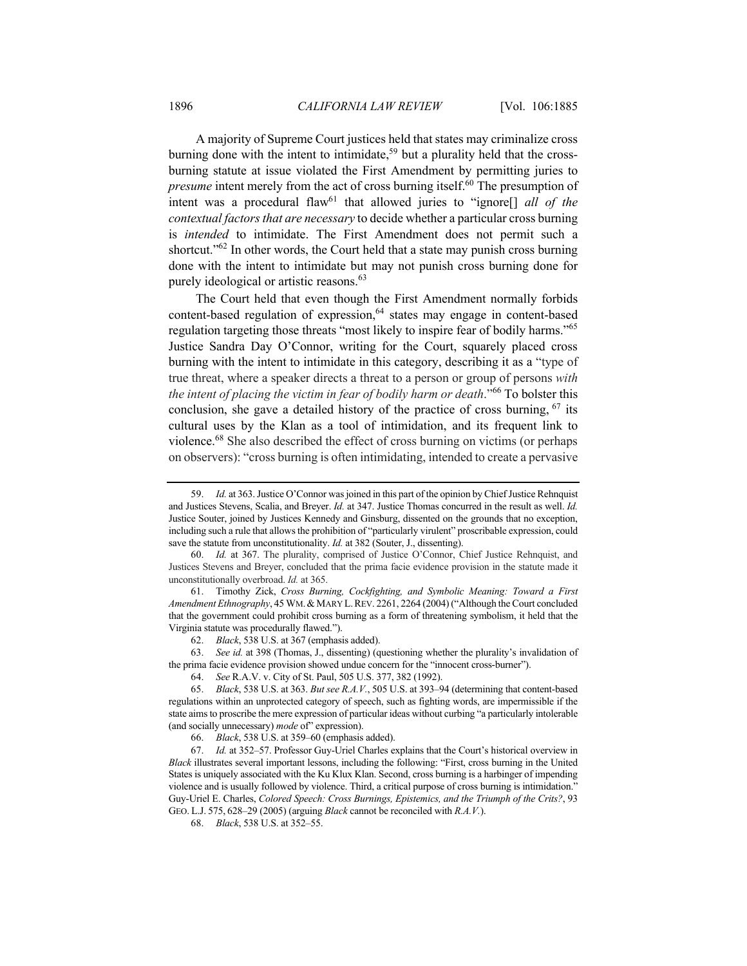A majority of Supreme Court justices held that states may criminalize cross burning done with the intent to intimidate,<sup>59</sup> but a plurality held that the crossburning statute at issue violated the First Amendment by permitting juries to *presume* intent merely from the act of cross burning itself.<sup>60</sup> The presumption of intent was a procedural flaw<sup>61</sup> that allowed juries to "ignore<sup>[]</sup> all of the *contextual factors that are necessary* to decide whether a particular cross burning is *intended* to intimidate. The First Amendment does not permit such a shortcut."<sup>62</sup> In other words, the Court held that a state may punish cross burning done with the intent to intimidate but may not punish cross burning done for purely ideological or artistic reasons.<sup>63</sup>

The Court held that even though the First Amendment normally forbids content-based regulation of expression,<sup>64</sup> states may engage in content-based regulation targeting those threats "most likely to inspire fear of bodily harms."<sup>65</sup> Justice Sandra Day O'Connor, writing for the Court, squarely placed cross burning with the intent to intimidate in this category, describing it as a "type of true threat, where a speaker directs a threat to a person or group of persons *with the intent of placing the victim in fear of bodily harm or death*."<sup>66</sup> To bolster this conclusion, she gave a detailed history of the practice of cross burning,  $67$  its cultural uses by the Klan as a tool of intimidation, and its frequent link to violence.<sup>68</sup> She also described the effect of cross burning on victims (or perhaps on observers): "cross burning is often intimidating, intended to create a pervasive

61. Timothy Zick, *Cross Burning, Cockfighting, and Symbolic Meaning: Toward a First*  Amendment Ethnography, 45 WM. & MARY L.REV. 2261, 2264 (2004) ("Although the Court concluded that the government could prohibit cross burning as a form of threatening symbolism, it held that the Virginia statute was procedurally flawed.").

66. *Black*, 538 U.S. at 359–60 (emphasis added).

<sup>59.</sup> *Id.* at 363. Justice O'Connor was joined in this part of the opinion by Chief Justice Rehnquist and Justices Stevens, Scalia, and Breyer. *Id.* at 347. Justice Thomas concurred in the result as well. *Id.*  Justice Souter, joined by Justices Kennedy and Ginsburg, dissented on the grounds that no exception, including such a rule that allows the prohibition of "particularly virulent" proscribable expression, could save the statute from unconstitutionality. *Id.* at 382 (Souter, J., dissenting).

<sup>60.</sup> *Id.* at 367. The plurality, comprised of Justice O'Connor, Chief Justice Rehnquist, and Justices Stevens and Breyer, concluded that the prima facie evidence provision in the statute made it unconstitutionally overbroad. *Id.* at 365.

<sup>62.</sup> *Black*, 538 U.S. at 367 (emphasis added).

<sup>63.</sup> *See id.* at 398 (Thomas, J., dissenting) (questioning whether the plurality's invalidation of the prima facie evidence provision showed undue concern for the "innocent cross-burner").

<sup>64.</sup> *See* R.A.V. v. City of St. Paul, 505 U.S. 377, 382 (1992).

<sup>65.</sup> *Black*, 538 U.S. at 363. *But see R.A.V.*, 505 U.S. at 393–94 (determining that content-based regulations within an unprotected category of speech, such as fighting words, are impermissible if the state aims to proscribe the mere expression of particular ideas without curbing "a particularly intolerable (and socially unnecessary) *mode* of" expression).

<sup>67.</sup> *Id.* at 352–57. Professor Guy-Uriel Charles explains that the Court's historical overview in *Black* illustrates several important lessons, including the following: "First, cross burning in the United States is uniquely associated with the Ku Klux Klan. Second, cross burning is a harbinger of impending violence and is usually followed by violence. Third, a critical purpose of cross burning is intimidation." Guy-Uriel E. Charles, *Colored Speech: Cross Burnings, Epistemics, and the Triumph of the Crits?*, 93 GEO. L.J. 575, 628–29 (2005) (arguing *Black* cannot be reconciled with *R.A.V.*).

<sup>68.</sup> *Black*, 538 U.S. at 352–55.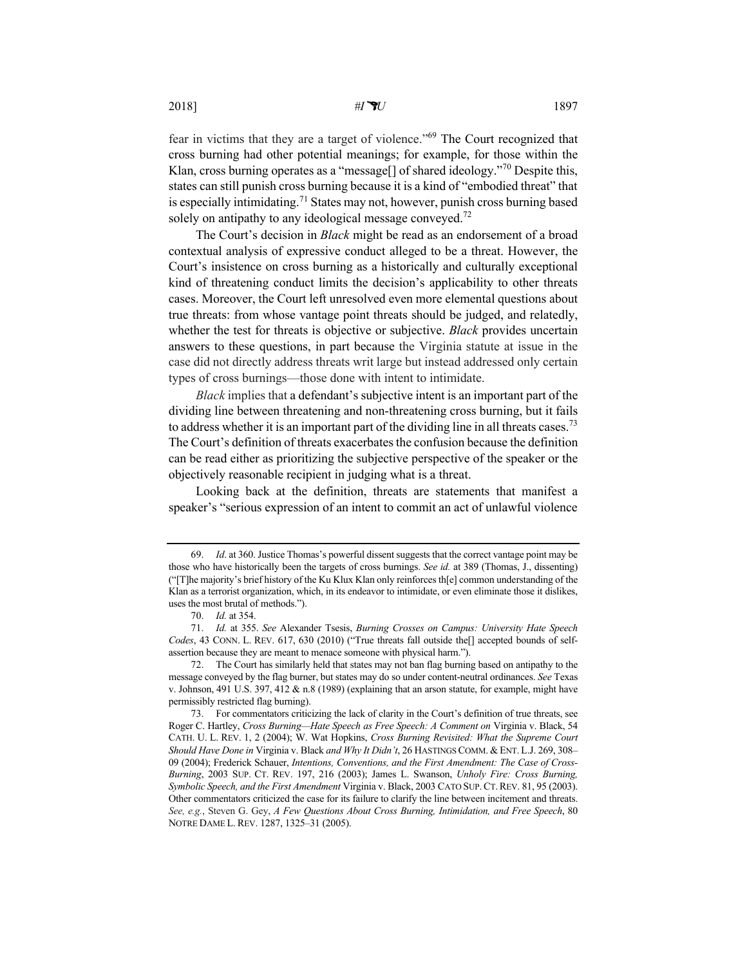2018] *#IU* 1897

fear in victims that they are a target of violence."69 The Court recognized that cross burning had other potential meanings; for example, for those within the Klan, cross burning operates as a "message<sup>[]</sup> of shared ideology."<sup>70</sup> Despite this, states can still punish cross burning because it is a kind of "embodied threat" that is especially intimidating.<sup>71</sup> States may not, however, punish cross burning based solely on antipathy to any ideological message conveyed.<sup>72</sup>

The Court's decision in *Black* might be read as an endorsement of a broad contextual analysis of expressive conduct alleged to be a threat. However, the Court's insistence on cross burning as a historically and culturally exceptional kind of threatening conduct limits the decision's applicability to other threats cases. Moreover, the Court left unresolved even more elemental questions about true threats: from whose vantage point threats should be judged, and relatedly, whether the test for threats is objective or subjective. *Black* provides uncertain answers to these questions, in part because the Virginia statute at issue in the case did not directly address threats writ large but instead addressed only certain types of cross burnings—those done with intent to intimidate.

*Black* implies that a defendant's subjective intent is an important part of the dividing line between threatening and non-threatening cross burning, but it fails to address whether it is an important part of the dividing line in all threats cases.<sup>73</sup> The Court's definition of threats exacerbates the confusion because the definition can be read either as prioritizing the subjective perspective of the speaker or the objectively reasonable recipient in judging what is a threat.

Looking back at the definition, threats are statements that manifest a speaker's "serious expression of an intent to commit an act of unlawful violence

<sup>69.</sup> *Id*. at 360. Justice Thomas's powerful dissent suggests that the correct vantage point may be those who have historically been the targets of cross burnings. *See id.* at 389 (Thomas, J., dissenting) ("[T]he majority's brief history of the Ku Klux Klan only reinforces th[e] common understanding of the Klan as a terrorist organization, which, in its endeavor to intimidate, or even eliminate those it dislikes, uses the most brutal of methods.").

<sup>70.</sup> *Id.* at 354.

<sup>71.</sup> *Id.* at 355. *See* Alexander Tsesis, *Burning Crosses on Campus: University Hate Speech*  Codes, 43 CONN. L. REV. 617, 630 (2010) ("True threats fall outside the<sup>[]</sup> accepted bounds of selfassertion because they are meant to menace someone with physical harm.").

<sup>72.</sup> The Court has similarly held that states may not ban flag burning based on antipathy to the message conveyed by the flag burner, but states may do so under content-neutral ordinances. *See* Texas v. Johnson, 491 U.S. 397, 412 & n.8 (1989) (explaining that an arson statute, for example, might have permissibly restricted flag burning).

<sup>73.</sup> For commentators criticizing the lack of clarity in the Court's definition of true threats, see Roger C. Hartley, *Cross Burning—Hate Speech as Free Speech: A Comment on* Virginia v. Black, 54 CATH. U. L. REV. 1, 2 (2004); W. Wat Hopkins, *Cross Burning Revisited: What the Supreme Court Should Have Done in* Virginia v. Black *and Why It Didn't*, 26 HASTINGS COMM. & ENT. L.J. 269, 308– 09 (2004); Frederick Schauer, *Intentions, Conventions, and the First Amendment: The Case of Cross-Burning*, 2003 SUP. CT. REV. 197, 216 (2003); James L. Swanson, *Unholy Fire: Cross Burning, Symbolic Speech, and the First Amendment* Virginia v. Black, 2003 CATO SUP.CT.REV. 81, 95 (2003). Other commentators criticized the case for its failure to clarify the line between incitement and threats. *See, e.g.*, Steven G. Gey, *A Few Questions About Cross Burning, Intimidation, and Free Speech*, 80 NOTRE DAME L. REV. 1287, 1325–31 (2005).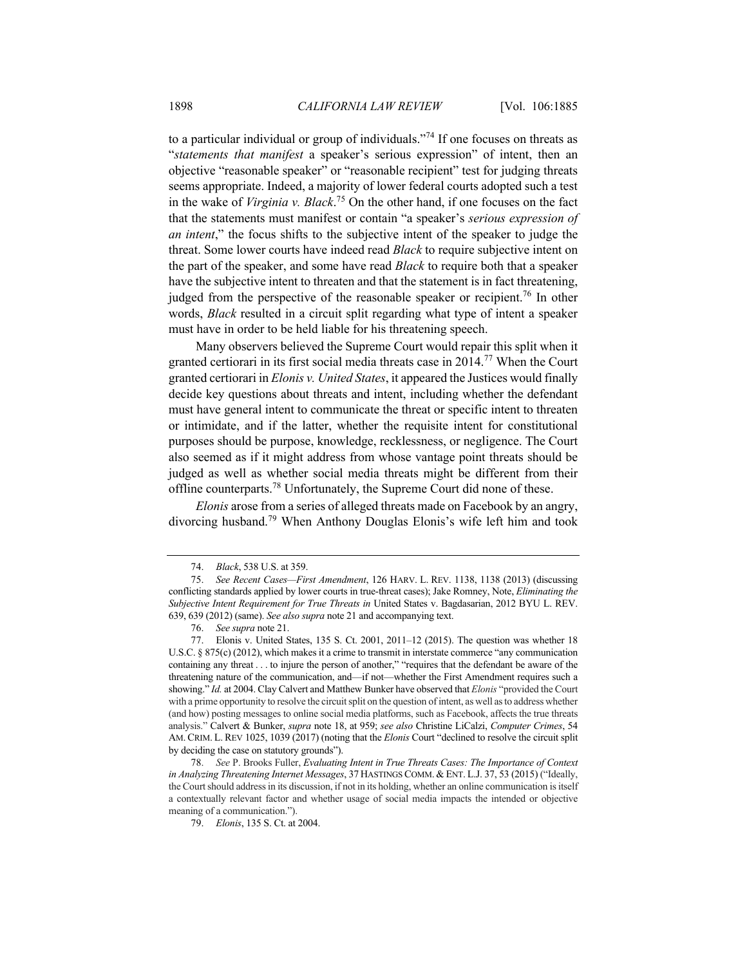to a particular individual or group of individuals. $174$  If one focuses on threats as "*statements that manifest* a speaker's serious expression" of intent, then an objective "reasonable speaker" or "reasonable recipient" test for judging threats seems appropriate. Indeed, a majority of lower federal courts adopted such a test in the wake of *Virginia v. Black*. <sup>75</sup> On the other hand, if one focuses on the fact that the statements must manifest or contain "a speaker's *serious expression of an intent*," the focus shifts to the subjective intent of the speaker to judge the threat. Some lower courts have indeed read *Black* to require subjective intent on the part of the speaker, and some have read *Black* to require both that a speaker have the subjective intent to threaten and that the statement is in fact threatening, judged from the perspective of the reasonable speaker or recipient.<sup>76</sup> In other words, *Black* resulted in a circuit split regarding what type of intent a speaker must have in order to be held liable for his threatening speech.

Many observers believed the Supreme Court would repair this split when it granted certiorari in its first social media threats case in 2014.<sup>77</sup> When the Court granted certiorari in *Elonis v. United States*, it appeared the Justices would finally decide key questions about threats and intent, including whether the defendant must have general intent to communicate the threat or specific intent to threaten or intimidate, and if the latter, whether the requisite intent for constitutional purposes should be purpose, knowledge, recklessness, or negligence. The Court also seemed as if it might address from whose vantage point threats should be judged as well as whether social media threats might be different from their offline counterparts.<sup>78</sup> Unfortunately, the Supreme Court did none of these.

*Elonis* arose from a series of alleged threats made on Facebook by an angry, divorcing husband.<sup>79</sup> When Anthony Douglas Elonis's wife left him and took

<sup>74.</sup> *Black*, 538 U.S. at 359.

<sup>75.</sup> *See Recent Cases—First Amendment*, 126 HARV. L. REV. 1138, 1138 (2013) (discussing conflicting standards applied by lower courts in true-threat cases); Jake Romney, Note, *Eliminating the Subjective Intent Requirement for True Threats in* United States v. Bagdasarian, 2012 BYU L. REV. 639, 639 (2012) (same). *See also supra* note 21 and accompanying text.

<sup>76.</sup> *See supra* note 21.

<sup>77.</sup> Elonis v. United States, 135 S. Ct. 2001, 2011–12 (2015). The question was whether 18 U.S.C. § 875(c) (2012), which makes it a crime to transmit in interstate commerce "any communication containing any threat . . . to injure the person of another," "requires that the defendant be aware of the threatening nature of the communication, and—if not—whether the First Amendment requires such a showing." *Id.* at 2004. Clay Calvert and Matthew Bunker have observed that *Elonis* "provided the Court with a prime opportunity to resolve the circuit split on the question of intent, as well as to address whether (and how) posting messages to online social media platforms, such as Facebook, affects the true threats analysis." Calvert & Bunker, *supra* note 18, at 959; *see also* Christine LiCalzi, *Computer Crimes*, 54 AM. CRIM. L. REV 1025, 1039 (2017) (noting that the *Elonis* Court "declined to resolve the circuit split by deciding the case on statutory grounds").

<sup>78.</sup> *See* P. Brooks Fuller, *Evaluating Intent in True Threats Cases: The Importance of Context in Analyzing Threatening Internet Messages*, 37 HASTINGS COMM. & ENT. L.J. 37, 53 (2015) ("Ideally, the Court should address in its discussion, if not in its holding, whether an online communication is itself a contextually relevant factor and whether usage of social media impacts the intended or objective meaning of a communication.").

<sup>79.</sup> *Elonis*, 135 S. Ct. at 2004.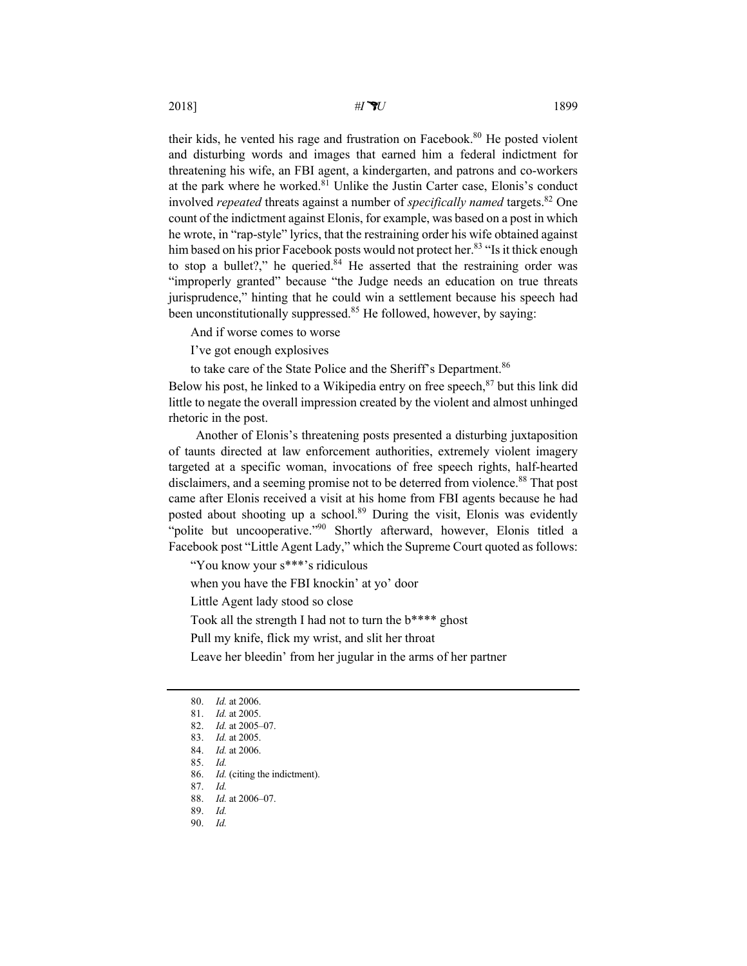their kids, he vented his rage and frustration on Facebook.<sup>80</sup> He posted violent and disturbing words and images that earned him a federal indictment for threatening his wife, an FBI agent, a kindergarten, and patrons and co-workers at the park where he worked.<sup>81</sup> Unlike the Justin Carter case, Elonis's conduct involved *repeated* threats against a number of *specifically named* targets.<sup>82</sup> One count of the indictment against Elonis, for example, was based on a post in which he wrote, in "rap-style" lyrics, that the restraining order his wife obtained against him based on his prior Facebook posts would not protect her.<sup>83</sup> "Is it thick enough to stop a bullet?," he queried. $84$  He asserted that the restraining order was "improperly granted" because "the Judge needs an education on true threats jurisprudence," hinting that he could win a settlement because his speech had been unconstitutionally suppressed.<sup>85</sup> He followed, however, by saying:

And if worse comes to worse

I've got enough explosives

to take care of the State Police and the Sheriff's Department.<sup>86</sup>

Below his post, he linked to a Wikipedia entry on free speech,<sup>87</sup> but this link did little to negate the overall impression created by the violent and almost unhinged rhetoric in the post.

Another of Elonis's threatening posts presented a disturbing juxtaposition of taunts directed at law enforcement authorities, extremely violent imagery targeted at a specific woman, invocations of free speech rights, half-hearted disclaimers, and a seeming promise not to be deterred from violence.<sup>88</sup> That post came after Elonis received a visit at his home from FBI agents because he had posted about shooting up a school.<sup>89</sup> During the visit, Elonis was evidently "polite but uncooperative."<sup>90</sup> Shortly afterward, however, Elonis titled a Facebook post "Little Agent Lady," which the Supreme Court quoted as follows:

"You know your s\*\*\*'s ridiculous

when you have the FBI knockin' at yo' door

Little Agent lady stood so close

Took all the strength I had not to turn the b\*\*\*\* ghost

Pull my knife, flick my wrist, and slit her throat

Leave her bleedin' from her jugular in the arms of her partner

<sup>80.</sup> *Id.* at 2006.

<sup>81.</sup> *Id.* at 2005.

<sup>82.</sup> *Id.* at 2005–07.

<sup>83.</sup> *Id.* at 2005.

<sup>84.</sup> *Id.* at 2006.

<sup>85.</sup> *Id.*

<sup>86.</sup> *Id.* (citing the indictment).

<sup>87.</sup> *Id.* 88. *Id.* at 2006–07.

<sup>89.</sup> *Id.*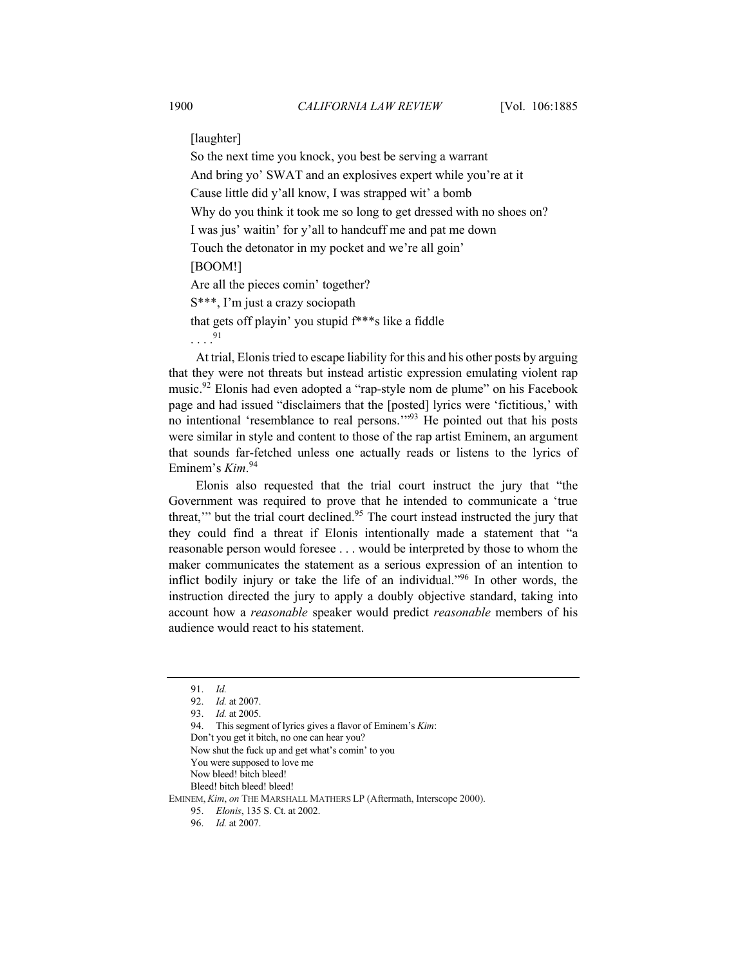[laughter]

So the next time you knock, you best be serving a warrant And bring yo' SWAT and an explosives expert while you're at it Cause little did y'all know, I was strapped wit' a bomb Why do you think it took me so long to get dressed with no shoes on? I was jus' waitin' for y'all to handcuff me and pat me down Touch the detonator in my pocket and we're all goin' [BOOM!] Are all the pieces comin' together? S\*\*\*, I'm just a crazy sociopath that gets off playin' you stupid f\*\*\*s like a fiddle . . . . 91

At trial, Elonis tried to escape liability for this and his other posts by arguing that they were not threats but instead artistic expression emulating violent rap music.<sup>92</sup> Elonis had even adopted a "rap-style nom de plume" on his Facebook page and had issued "disclaimers that the [posted] lyrics were 'fictitious,' with no intentional 'resemblance to real persons."<sup>93</sup> He pointed out that his posts were similar in style and content to those of the rap artist Eminem, an argument that sounds far-fetched unless one actually reads or listens to the lyrics of Eminem's *Kim*. 94

Elonis also requested that the trial court instruct the jury that "the Government was required to prove that he intended to communicate a 'true threat," but the trial court declined.<sup>95</sup> The court instead instructed the jury that they could find a threat if Elonis intentionally made a statement that "a reasonable person would foresee . . . would be interpreted by those to whom the maker communicates the statement as a serious expression of an intention to inflict bodily injury or take the life of an individual."<sup>96</sup> In other words, the instruction directed the jury to apply a doubly objective standard, taking into account how a *reasonable* speaker would predict *reasonable* members of his audience would react to his statement.

94. This segment of lyrics gives a flavor of Eminem's *Kim*:

<sup>91.</sup> *Id.*

<sup>92.</sup> *Id.* at 2007.

<sup>93.</sup> *Id.* at 2005.

Don't you get it bitch, no one can hear you?

Now shut the fuck up and get what's comin' to you

You were supposed to love me

Now bleed! bitch bleed!

Bleed! bitch bleed! bleed!

EMINEM, *Kim*, *on* THE MARSHALL MATHERS LP (Aftermath, Interscope 2000).

<sup>95.</sup> *Elonis*, 135 S. Ct. at 2002.

<sup>96.</sup> *Id.* at 2007.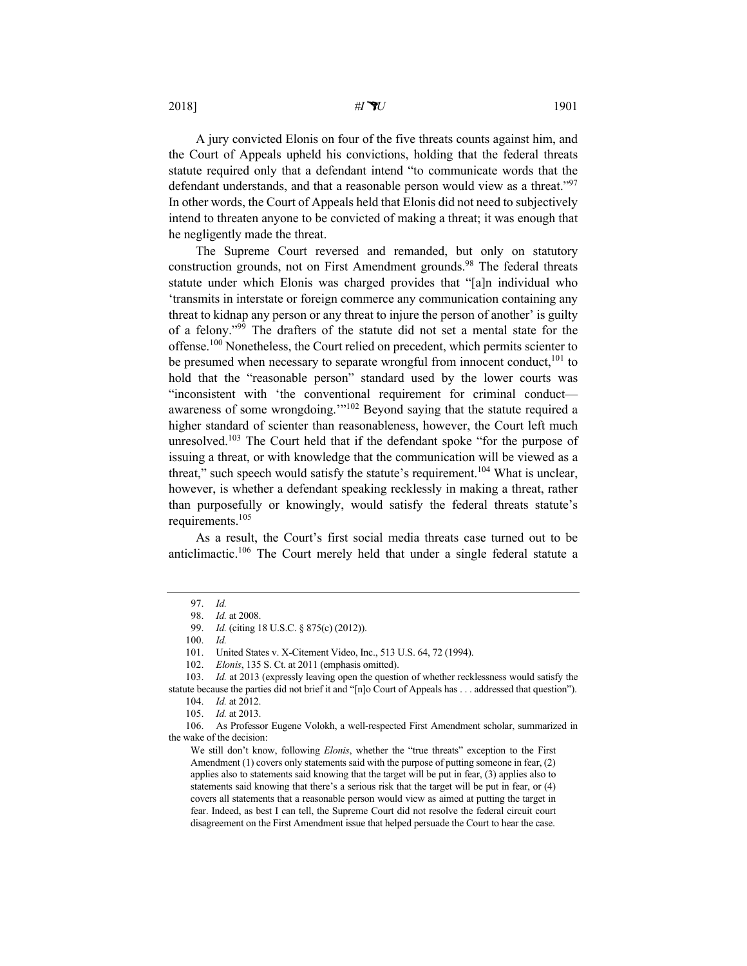2018] *#IU* 1901

A jury convicted Elonis on four of the five threats counts against him, and the Court of Appeals upheld his convictions, holding that the federal threats statute required only that a defendant intend "to communicate words that the defendant understands, and that a reasonable person would view as a threat."<sup>97</sup> In other words, the Court of Appeals held that Elonis did not need to subjectively intend to threaten anyone to be convicted of making a threat; it was enough that he negligently made the threat.

The Supreme Court reversed and remanded, but only on statutory construction grounds, not on First Amendment grounds.<sup>98</sup> The federal threats statute under which Elonis was charged provides that "[a]n individual who 'transmits in interstate or foreign commerce any communication containing any threat to kidnap any person or any threat to injure the person of another' is guilty of a felony."99 The drafters of the statute did not set a mental state for the offense.<sup>100</sup> Nonetheless, the Court relied on precedent, which permits scienter to be presumed when necessary to separate wrongful from innocent conduct, $^{101}$  to hold that the "reasonable person" standard used by the lower courts was "inconsistent with 'the conventional requirement for criminal conduct awareness of some wrongdoing."<sup>102</sup> Beyond saying that the statute required a higher standard of scienter than reasonableness, however, the Court left much unresolved.<sup>103</sup> The Court held that if the defendant spoke "for the purpose of issuing a threat, or with knowledge that the communication will be viewed as a threat," such speech would satisfy the statute's requirement.<sup>104</sup> What is unclear, however, is whether a defendant speaking recklessly in making a threat, rather than purposefully or knowingly, would satisfy the federal threats statute's requirements.105

As a result, the Court's first social media threats case turned out to be anticlimactic.<sup>106</sup> The Court merely held that under a single federal statute a

<sup>97.</sup> *Id.*

<sup>98.</sup> *Id.* at 2008.

<sup>99.</sup> *Id.* (citing 18 U.S.C. § 875(c) (2012)).

<sup>100.</sup> *Id.*

<sup>101.</sup> United States v. X-Citement Video, Inc., 513 U.S. 64, 72 (1994).

<sup>102.</sup> *Elonis*, 135 S. Ct. at 2011 (emphasis omitted).

<sup>103.</sup> *Id.* at 2013 (expressly leaving open the question of whether recklessness would satisfy the

statute because the parties did not brief it and "[n]o Court of Appeals has . . . addressed that question"). 104. *Id.* at 2012.

<sup>105.</sup> *Id.* at 2013.

<sup>106.</sup> As Professor Eugene Volokh, a well-respected First Amendment scholar, summarized in the wake of the decision:

We still don't know, following *Elonis*, whether the "true threats" exception to the First Amendment (1) covers only statements said with the purpose of putting someone in fear, (2) applies also to statements said knowing that the target will be put in fear, (3) applies also to statements said knowing that there's a serious risk that the target will be put in fear, or (4) covers all statements that a reasonable person would view as aimed at putting the target in fear. Indeed, as best I can tell, the Supreme Court did not resolve the federal circuit court disagreement on the First Amendment issue that helped persuade the Court to hear the case.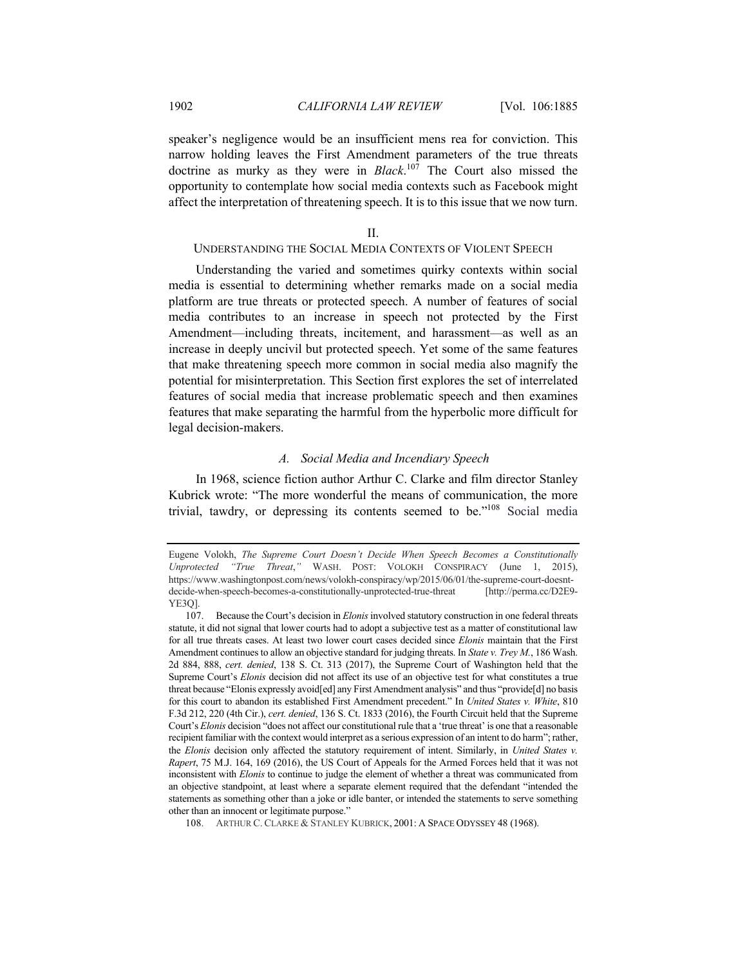speaker's negligence would be an insufficient mens rea for conviction. This narrow holding leaves the First Amendment parameters of the true threats doctrine as murky as they were in *Black*. <sup>107</sup> The Court also missed the opportunity to contemplate how social media contexts such as Facebook might affect the interpretation of threatening speech. It is to this issue that we now turn.

#### II.

## UNDERSTANDING THE SOCIAL MEDIA CONTEXTS OF VIOLENT SPEECH

Understanding the varied and sometimes quirky contexts within social media is essential to determining whether remarks made on a social media platform are true threats or protected speech. A number of features of social media contributes to an increase in speech not protected by the First Amendment—including threats, incitement, and harassment—as well as an increase in deeply uncivil but protected speech. Yet some of the same features that make threatening speech more common in social media also magnify the potential for misinterpretation. This Section first explores the set of interrelated features of social media that increase problematic speech and then examines features that make separating the harmful from the hyperbolic more difficult for legal decision-makers.

#### *A. Social Media and Incendiary Speech*

In 1968, science fiction author Arthur C. Clarke and film director Stanley Kubrick wrote: "The more wonderful the means of communication, the more trivial, tawdry, or depressing its contents seemed to be."108 Social media

Eugene Volokh, *The Supreme Court Doesn't Decide When Speech Becomes a Constitutionally Unprotected "True Threat*,*"* WASH. POST: VOLOKH CONSPIRACY (June 1, 2015), https://www.washingtonpost.com/news/volokh-conspiracy/wp/2015/06/01/the-supreme-court-doesntdecide-when-speech-becomes-a-constitutionally-unprotected-true-threat [http://perma.cc/D2E9- YE3Q].

<sup>107.</sup> Because the Court's decision in *Elonis* involved statutory construction in one federal threats statute, it did not signal that lower courts had to adopt a subjective test as a matter of constitutional law for all true threats cases. At least two lower court cases decided since *Elonis* maintain that the First Amendment continues to allow an objective standard for judging threats. In *State v. Trey M.*, 186 Wash. 2d 884, 888, *cert. denied*, 138 S. Ct. 313 (2017), the Supreme Court of Washington held that the Supreme Court's *Elonis* decision did not affect its use of an objective test for what constitutes a true threat because "Elonis expressly avoid[ed] any First Amendment analysis" and thus "provide[d] no basis for this court to abandon its established First Amendment precedent." In *United States v. White*, 810 F.3d 212, 220 (4th Cir.), *cert. denied*, 136 S. Ct. 1833 (2016), the Fourth Circuit held that the Supreme Court's *Elonis* decision "does not affect our constitutional rule that a 'true threat' is one that a reasonable recipient familiar with the context would interpret as a serious expression of an intent to do harm"; rather, the *Elonis* decision only affected the statutory requirement of intent. Similarly, in *United States v. Rapert*, 75 M.J. 164, 169 (2016), the US Court of Appeals for the Armed Forces held that it was not inconsistent with *Elonis* to continue to judge the element of whether a threat was communicated from an objective standpoint, at least where a separate element required that the defendant "intended the statements as something other than a joke or idle banter, or intended the statements to serve something other than an innocent or legitimate purpose."

<sup>108.</sup> ARTHUR C. CLARKE & STANLEY KUBRICK, 2001: A SPACE ODYSSEY 48 (1968).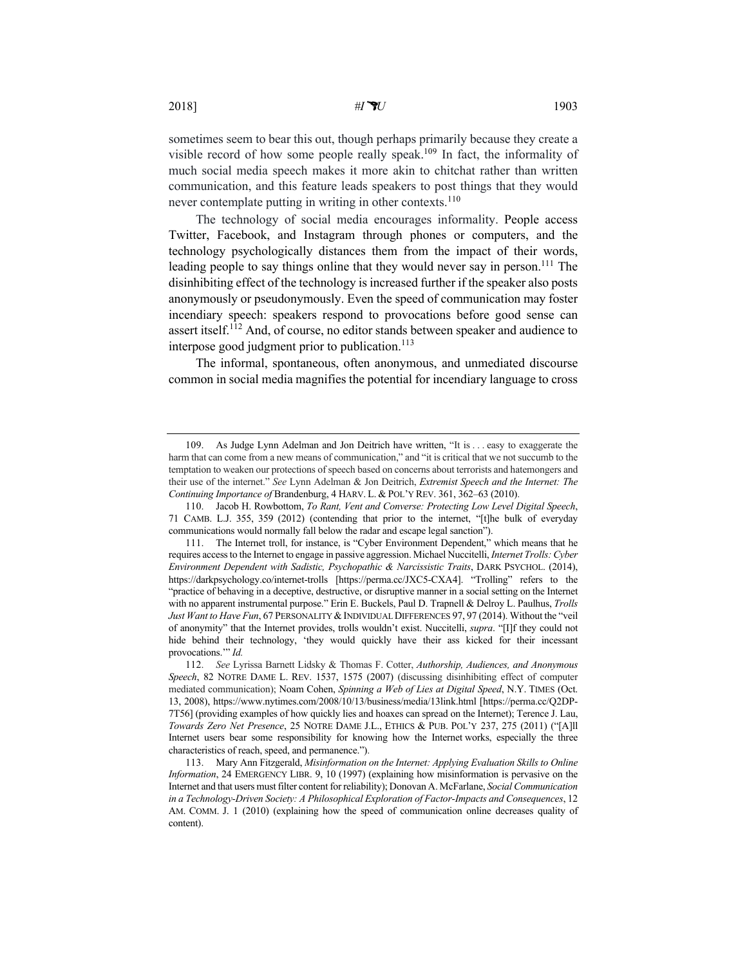sometimes seem to bear this out, though perhaps primarily because they create a visible record of how some people really speak.<sup>109</sup> In fact, the informality of much social media speech makes it more akin to chitchat rather than written communication, and this feature leads speakers to post things that they would never contemplate putting in writing in other contexts.<sup>110</sup>

The technology of social media encourages informality. People access Twitter, Facebook, and Instagram through phones or computers, and the technology psychologically distances them from the impact of their words, leading people to say things online that they would never say in person.<sup>111</sup> The disinhibiting effect of the technology is increased further if the speaker also posts anonymously or pseudonymously. Even the speed of communication may foster incendiary speech: speakers respond to provocations before good sense can assert itself.<sup>112</sup> And, of course, no editor stands between speaker and audience to interpose good judgment prior to publication.<sup>113</sup>

The informal, spontaneous, often anonymous, and unmediated discourse common in social media magnifies the potential for incendiary language to cross

<sup>109.</sup> As Judge Lynn Adelman and Jon Deitrich have written, "It is . . . easy to exaggerate the harm that can come from a new means of communication," and "it is critical that we not succumb to the temptation to weaken our protections of speech based on concerns about terrorists and hatemongers and their use of the internet." *See* Lynn Adelman & Jon Deitrich, *Extremist Speech and the Internet: The Continuing Importance of* Brandenburg, 4 HARV. L. & POL'Y REV. 361, 362–63 (2010).

<sup>110.</sup> Jacob H. Rowbottom, *To Rant, Vent and Converse: Protecting Low Level Digital Speech*, 71 CAMB. L.J. 355, 359 (2012) (contending that prior to the internet, "[t]he bulk of everyday communications would normally fall below the radar and escape legal sanction").

<sup>111.</sup> The Internet troll, for instance, is "Cyber Environment Dependent," which means that he requires access to the Internet to engage in passive aggression. Michael Nuccitelli, *Internet Trolls: Cyber Environment Dependent with Sadistic, Psychopathic & Narcissistic Traits*, DARK PSYCHOL. (2014), https://darkpsychology.co/internet-trolls [https://perma.cc/JXC5-CXA4]. "Trolling" refers to the "practice of behaving in a deceptive, destructive, or disruptive manner in a social setting on the Internet with no apparent instrumental purpose." Erin E. Buckels, Paul D. Trapnell & Delroy L. Paulhus, *Trolls*  Just Want to Have Fun, 67 PERSONALITY & INDIVIDUAL DIFFERENCES 97, 97 (2014). Without the "veil of anonymity" that the Internet provides, trolls wouldn't exist. Nuccitelli, *supra*. "[I]f they could not hide behind their technology, 'they would quickly have their ass kicked for their incessant provocations.'" *Id.*

<sup>112.</sup> *See* Lyrissa Barnett Lidsky & Thomas F. Cotter, *Authorship, Audiences, and Anonymous Speech*, 82 NOTRE DAME L. REV. 1537, 1575 (2007) (discussing disinhibiting effect of computer mediated communication); Noam Cohen, *Spinning a Web of Lies at Digital Speed*, N.Y. TIMES (Oct. 13, 2008), https://www.nytimes.com/2008/10/13/business/media/13link.html [https://perma.cc/Q2DP-7T56] (providing examples of how quickly lies and hoaxes can spread on the Internet); Terence J. Lau, *Towards Zero Net Presence*, 25 NOTRE DAME J.L., ETHICS & PUB. POL'Y 237, 275 (2011) ("[A]ll Internet users bear some responsibility for knowing how the Internet works, especially the three characteristics of reach, speed, and permanence.").

<sup>113.</sup> Mary Ann Fitzgerald, *Misinformation on the Internet: Applying Evaluation Skills to Online Information*, 24 EMERGENCY LIBR. 9, 10 (1997) (explaining how misinformation is pervasive on the Internet and that users must filter content for reliability); Donovan A. McFarlane, *Social Communication in a Technology-Driven Society: A Philosophical Exploration of Factor-Impacts and Consequences*, 12 AM. COMM. J. 1 (2010) (explaining how the speed of communication online decreases quality of content).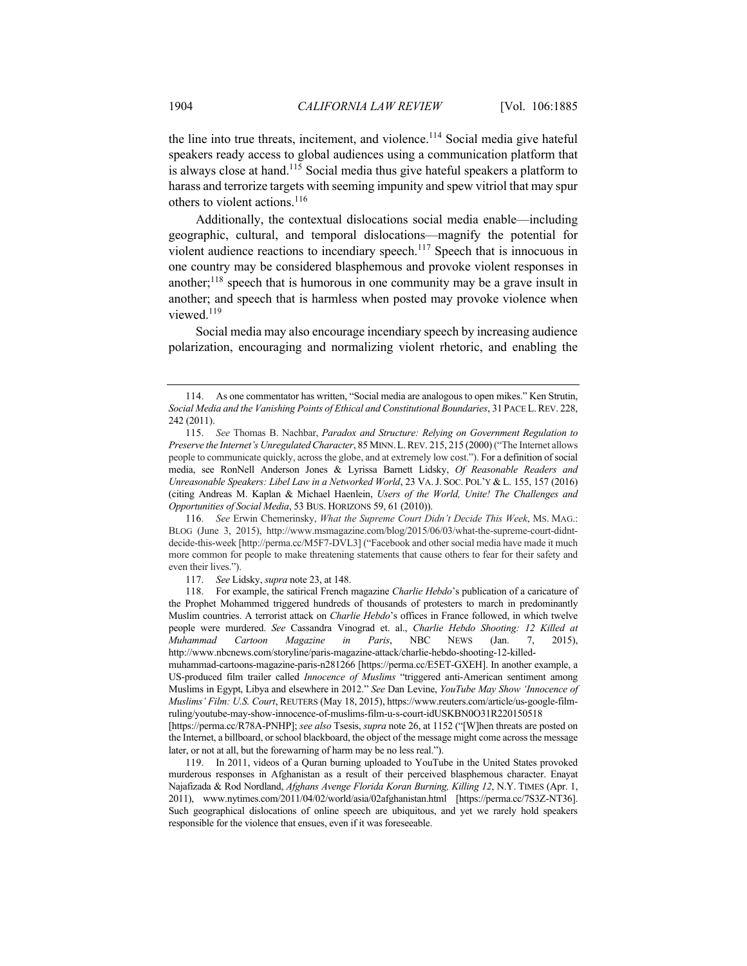the line into true threats, incitement, and violence.<sup>114</sup> Social media give hateful speakers ready access to global audiences using a communication platform that is always close at hand.<sup>115</sup> Social media thus give hateful speakers a platform to harass and terrorize targets with seeming impunity and spew vitriol that may spur others to violent actions.<sup>116</sup>

Additionally, the contextual dislocations social media enable—including geographic, cultural, and temporal dislocations—magnify the potential for violent audience reactions to incendiary speech.<sup>117</sup> Speech that is innocuous in one country may be considered blasphemous and provoke violent responses in another; $118$  speech that is humorous in one community may be a grave insult in another; and speech that is harmless when posted may provoke violence when viewed.<sup>119</sup>

Social media may also encourage incendiary speech by increasing audience polarization, encouraging and normalizing violent rhetoric, and enabling the

116. *See* Erwin Chemerinsky, *What the Supreme Court Didn't Decide This Week*, MS. MAG.: BLOG (June 3, 2015), http://www.msmagazine.com/blog/2015/06/03/what-the-supreme-court-didntdecide-this-week [http://perma.cc/M5F7-DVL3] ("Facebook and other social media have made it much more common for people to make threatening statements that cause others to fear for their safety and even their lives.").

117. *See* Lidsky, *supra* note 23, at 148.

118. For example, the satirical French magazine *Charlie Hebdo*'s publication of a caricature of the Prophet Mohammed triggered hundreds of thousands of protesters to march in predominantly Muslim countries. A terrorist attack on *Charlie Hebdo*'s offices in France followed, in which twelve people were murdered. *See* Cassandra Vinograd et. al., *Charlie Hebdo Shooting: 12 Killed at Muhammad Cartoon Magazine in Paris*, NBC NEWS (Jan. 7, 2015), http://www.nbcnews.com/storyline/paris-magazine-attack/charlie-hebdo-shooting-12-killed-

muhammad-cartoons-magazine-paris-n281266 [https://perma.cc/E5ET-GXEH]. In another example, a US-produced film trailer called *Innocence of Muslims* "triggered anti-American sentiment among Muslims in Egypt, Libya and elsewhere in 2012." *See* Dan Levine, *YouTube May Show 'Innocence of Muslims' Film: U.S. Court*, REUTERS (May 18, 2015), https://www.reuters.com/article/us-google-filmruling/youtube-may-show-innocence-of-muslims-film-u-s-court-idUSKBN0O31R220150518

[https://perma.cc/R78A-PNHP]; *see also* Tsesis, *supra* note 26, at 1152 ("[W]hen threats are posted on the Internet, a billboard, or school blackboard, the object of the message might come across the message later, or not at all, but the forewarning of harm may be no less real.").

119. In 2011, videos of a Quran burning uploaded to YouTube in the United States provoked murderous responses in Afghanistan as a result of their perceived blasphemous character. Enayat Najafizada & Rod Nordland, *Afghans Avenge Florida Koran Burning, Killing 12*, N.Y. TIMES (Apr. 1, 2011), www.nytimes.com/2011/04/02/world/asia/02afghanistan.html [https://perma.cc/7S3Z-NT36]. Such geographical dislocations of online speech are ubiquitous, and yet we rarely hold speakers responsible for the violence that ensues, even if it was foreseeable.

<sup>114.</sup> As one commentator has written, "Social media are analogous to open mikes." Ken Strutin, *Social Media and the Vanishing Points of Ethical and Constitutional Boundaries*, 31 PACE L.REV. 228, 242 (2011).

<sup>115.</sup> *See* Thomas B. Nachbar, *Paradox and Structure: Relying on Government Regulation to Preserve the Internet's Unregulated Character*, 85 MINN.L.REV. 215, 215 (2000) ("The Internet allows people to communicate quickly, across the globe, and at extremely low cost."). For a definition of social media, see RonNell Anderson Jones & Lyrissa Barnett Lidsky, *Of Reasonable Readers and Unreasonable Speakers: Libel Law in a Networked World*, 23 VA.J. SOC. POL'Y & L. 155, 157 (2016) (citing Andreas M. Kaplan & Michael Haenlein, *Users of the World, Unite! The Challenges and Opportunities of Social Media*, 53 BUS. HORIZONS 59, 61 (2010)).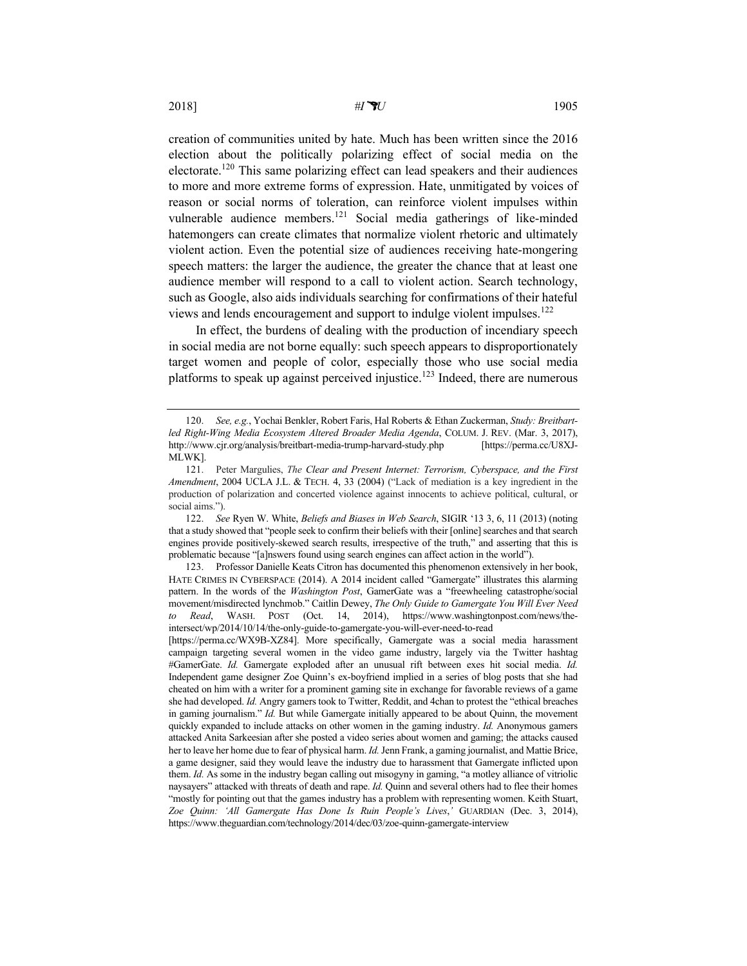creation of communities united by hate. Much has been written since the 2016 election about the politically polarizing effect of social media on the electorate.120 This same polarizing effect can lead speakers and their audiences to more and more extreme forms of expression. Hate, unmitigated by voices of reason or social norms of toleration, can reinforce violent impulses within vulnerable audience members.<sup>121</sup> Social media gatherings of like-minded hatemongers can create climates that normalize violent rhetoric and ultimately violent action. Even the potential size of audiences receiving hate-mongering speech matters: the larger the audience, the greater the chance that at least one audience member will respond to a call to violent action. Search technology, such as Google, also aids individuals searching for confirmations of their hateful views and lends encouragement and support to indulge violent impulses.<sup>122</sup>

In effect, the burdens of dealing with the production of incendiary speech in social media are not borne equally: such speech appears to disproportionately target women and people of color, especially those who use social media platforms to speak up against perceived injustice.<sup>123</sup> Indeed, there are numerous

123. Professor Danielle Keats Citron has documented this phenomenon extensively in her book, HATE CRIMES IN CYBERSPACE (2014). A 2014 incident called "Gamergate" illustrates this alarming pattern. In the words of the *Washington Post*, GamerGate was a "freewheeling catastrophe/social movement/misdirected lynchmob." Caitlin Dewey, *The Only Guide to Gamergate You Will Ever Need to Read*, WASH. POST (Oct. 14, 2014), https://www.washingtonpost.com/news/theintersect/wp/2014/10/14/the-only-guide-to-gamergate-you-will-ever-need-to-read

[https://perma.cc/WX9B-XZ84]. More specifically, Gamergate was a social media harassment campaign targeting several women in the video game industry, largely via the Twitter hashtag #GamerGate. *Id.* Gamergate exploded after an unusual rift between exes hit social media. *Id.* Independent game designer Zoe Quinn's ex-boyfriend implied in a series of blog posts that she had cheated on him with a writer for a prominent gaming site in exchange for favorable reviews of a game she had developed. *Id.* Angry gamers took to Twitter, Reddit, and 4chan to protest the "ethical breaches in gaming journalism." *Id.* But while Gamergate initially appeared to be about Quinn, the movement quickly expanded to include attacks on other women in the gaming industry. *Id.* Anonymous gamers attacked Anita Sarkeesian after she posted a video series about women and gaming; the attacks caused her to leave her home due to fear of physical harm. *Id.*Jenn Frank, a gaming journalist, and Mattie Brice, a game designer, said they would leave the industry due to harassment that Gamergate inflicted upon them. *Id.* As some in the industry began calling out misogyny in gaming, "a motley alliance of vitriolic naysayers" attacked with threats of death and rape. *Id.* Quinn and several others had to flee their homes "mostly for pointing out that the games industry has a problem with representing women. Keith Stuart, *Zoe Quinn: 'All Gamergate Has Done Is Ruin People's Lives*,*'* GUARDIAN (Dec. 3, 2014), https://www.theguardian.com/technology/2014/dec/03/zoe-quinn-gamergate-interview

<sup>120.</sup> *See, e.g.*, Yochai Benkler, Robert Faris, Hal Roberts & Ethan Zuckerman, *Study: Breitbartled Right-Wing Media Ecosystem Altered Broader Media Agenda*, COLUM. J. REV. (Mar. 3, 2017), http://www.cjr.org/analysis/breitbart-media-trump-harvard-study.php [https://perma.cc/U8XJ-MLWK].

<sup>121.</sup> Peter Margulies, *The Clear and Present Internet: Terrorism, Cyberspace, and the First Amendment*, 2004 UCLA J.L. & TECH. 4, 33 (2004) ("Lack of mediation is a key ingredient in the production of polarization and concerted violence against innocents to achieve political, cultural, or social aims.").

<sup>122.</sup> *See* Ryen W. White, *Beliefs and Biases in Web Search*, SIGIR '13 3, 6, 11 (2013) (noting that a study showed that "people seek to confirm their beliefs with their [online] searches and that search engines provide positively-skewed search results, irrespective of the truth," and asserting that this is problematic because "[a]nswers found using search engines can affect action in the world").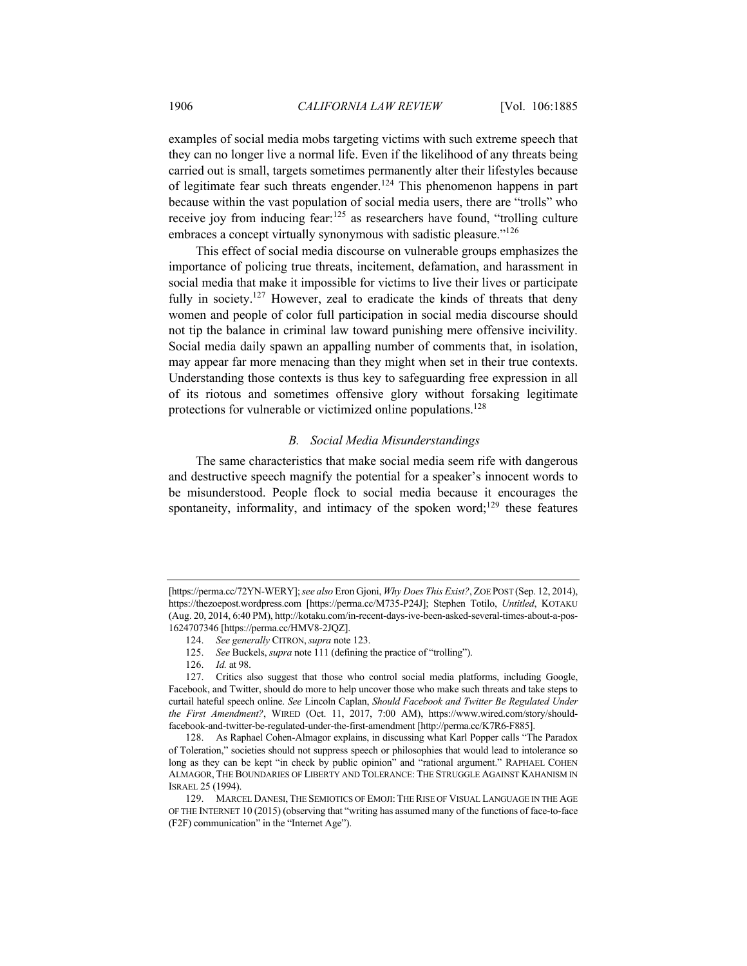examples of social media mobs targeting victims with such extreme speech that they can no longer live a normal life. Even if the likelihood of any threats being carried out is small, targets sometimes permanently alter their lifestyles because of legitimate fear such threats engender.<sup>124</sup> This phenomenon happens in part because within the vast population of social media users, there are "trolls" who receive joy from inducing fear:<sup>125</sup> as researchers have found, "trolling culture embraces a concept virtually synonymous with sadistic pleasure."<sup>126</sup>

This effect of social media discourse on vulnerable groups emphasizes the importance of policing true threats, incitement, defamation, and harassment in social media that make it impossible for victims to live their lives or participate fully in society.<sup>127</sup> However, zeal to eradicate the kinds of threats that deny women and people of color full participation in social media discourse should not tip the balance in criminal law toward punishing mere offensive incivility. Social media daily spawn an appalling number of comments that, in isolation, may appear far more menacing than they might when set in their true contexts. Understanding those contexts is thus key to safeguarding free expression in all of its riotous and sometimes offensive glory without forsaking legitimate protections for vulnerable or victimized online populations.<sup>128</sup>

#### *B. Social Media Misunderstandings*

The same characteristics that make social media seem rife with dangerous and destructive speech magnify the potential for a speaker's innocent words to be misunderstood. People flock to social media because it encourages the spontaneity, informality, and intimacy of the spoken word;<sup>129</sup> these features

<sup>[</sup>https://perma.cc/72YN-WERY]; *see also* Eron Gjoni, *Why Does This Exist?*, ZOE POST (Sep. 12, 2014), https://thezoepost.wordpress.com [https://perma.cc/M735-P24J]; Stephen Totilo, *Untitled*, KOTAKU (Aug. 20, 2014, 6:40 PM), http://kotaku.com/in-recent-days-ive-been-asked-several-times-about-a-pos-1624707346 [https://perma.cc/HMV8-2JQZ].

<sup>124.</sup> *See generally* CITRON,*supra* note 123.

<sup>125.</sup> *See* Buckels, *supra* note 111 (defining the practice of "trolling").

<sup>126.</sup> *Id.* at 98.

<sup>127.</sup> Critics also suggest that those who control social media platforms, including Google, Facebook, and Twitter, should do more to help uncover those who make such threats and take steps to curtail hateful speech online. *See* Lincoln Caplan, *Should Facebook and Twitter Be Regulated Under the First Amendment?*, WIRED (Oct. 11, 2017, 7:00 AM), https://www.wired.com/story/shouldfacebook-and-twitter-be-regulated-under-the-first-amendment [http://perma.cc/K7R6-F885].

<sup>128.</sup> As Raphael Cohen-Almagor explains, in discussing what Karl Popper calls "The Paradox of Toleration," societies should not suppress speech or philosophies that would lead to intolerance so long as they can be kept "in check by public opinion" and "rational argument." RAPHAEL COHEN ALMAGOR, THE BOUNDARIES OF LIBERTY AND TOLERANCE: THE STRUGGLE AGAINST KAHANISM IN ISRAEL 25 (1994).

<sup>129.</sup> MARCEL DANESI, THE SEMIOTICS OF EMOJI: THE RISE OF VISUAL LANGUAGE IN THE AGE OF THE INTERNET 10 (2015) (observing that "writing has assumed many of the functions of face-to-face (F2F) communication" in the "Internet Age").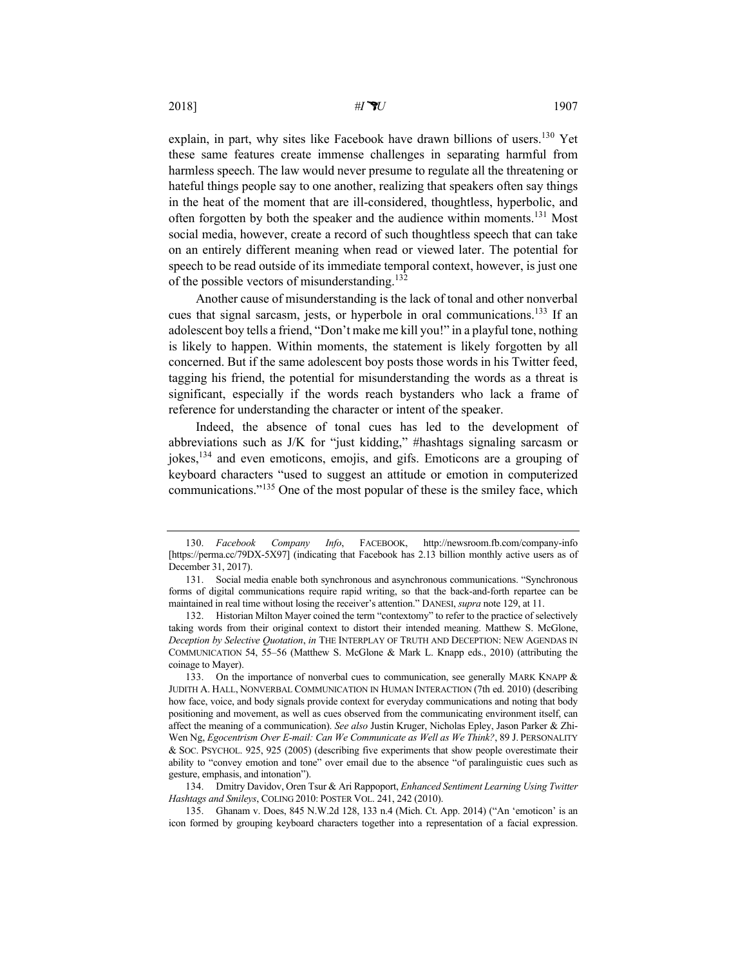explain, in part, why sites like Facebook have drawn billions of users.<sup>130</sup> Yet these same features create immense challenges in separating harmful from harmless speech. The law would never presume to regulate all the threatening or hateful things people say to one another, realizing that speakers often say things in the heat of the moment that are ill-considered, thoughtless, hyperbolic, and often forgotten by both the speaker and the audience within moments.131 Most social media, however, create a record of such thoughtless speech that can take on an entirely different meaning when read or viewed later. The potential for speech to be read outside of its immediate temporal context, however, is just one of the possible vectors of misunderstanding.<sup>132</sup>

Another cause of misunderstanding is the lack of tonal and other nonverbal cues that signal sarcasm, jests, or hyperbole in oral communications.<sup>133</sup> If an adolescent boy tells a friend, "Don't make me kill you!" in a playful tone, nothing is likely to happen. Within moments, the statement is likely forgotten by all concerned. But if the same adolescent boy posts those words in his Twitter feed, tagging his friend, the potential for misunderstanding the words as a threat is significant, especially if the words reach bystanders who lack a frame of reference for understanding the character or intent of the speaker.

Indeed, the absence of tonal cues has led to the development of abbreviations such as J/K for "just kidding," #hashtags signaling sarcasm or jokes,134 and even emoticons, emojis, and gifs. Emoticons are a grouping of keyboard characters "used to suggest an attitude or emotion in computerized communications."<sup>135</sup> One of the most popular of these is the smiley face, which

134. Dmitry Davidov, Oren Tsur & Ari Rappoport, *Enhanced Sentiment Learning Using Twitter Hashtags and Smileys*, COLING 2010: POSTER VOL. 241, 242 (2010).

135. Ghanam v. Does, 845 N.W.2d 128, 133 n.4 (Mich. Ct. App. 2014) ("An 'emoticon' is an icon formed by grouping keyboard characters together into a representation of a facial expression.

<sup>130.</sup> *Facebook Company Info*, FACEBOOK, http://newsroom.fb.com/company-info [https://perma.cc/79DX-5X97] (indicating that Facebook has 2.13 billion monthly active users as of December 31, 2017).

<sup>131.</sup> Social media enable both synchronous and asynchronous communications. "Synchronous forms of digital communications require rapid writing, so that the back-and-forth repartee can be maintained in real time without losing the receiver's attention." DANESI, *supra* note 129, at 11.

<sup>132.</sup> Historian Milton Mayer coined the term "contextomy" to refer to the practice of selectively taking words from their original context to distort their intended meaning. Matthew S. McGlone, *Deception by Selective Quotation*, *in* THE INTERPLAY OF TRUTH AND DECEPTION: NEW AGENDAS IN COMMUNICATION 54, 55–56 (Matthew S. McGlone & Mark L. Knapp eds., 2010) (attributing the coinage to Mayer).

<sup>133.</sup> On the importance of nonverbal cues to communication, see generally MARK KNAPP & JUDITH A. HALL, NONVERBAL COMMUNICATION IN HUMAN INTERACTION (7th ed. 2010) (describing how face, voice, and body signals provide context for everyday communications and noting that body positioning and movement, as well as cues observed from the communicating environment itself, can affect the meaning of a communication). *See also* Justin Kruger, Nicholas Epley, Jason Parker & Zhi-Wen Ng, *Egocentrism Over E-mail: Can We Communicate as Well as We Think?*, 89 J. PERSONALITY & SOC. PSYCHOL. 925, 925 (2005) (describing five experiments that show people overestimate their ability to "convey emotion and tone" over email due to the absence "of paralinguistic cues such as gesture, emphasis, and intonation").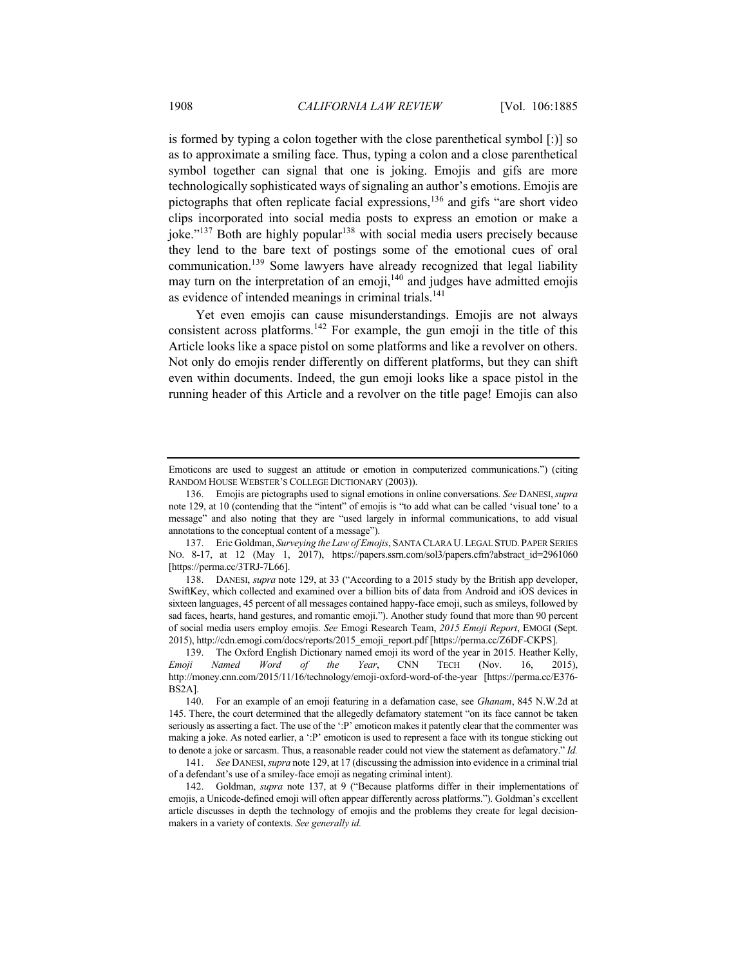is formed by typing a colon together with the close parenthetical symbol [:)] so as to approximate a smiling face. Thus, typing a colon and a close parenthetical symbol together can signal that one is joking. Emojis and gifs are more technologically sophisticated ways of signaling an author's emotions. Emojis are pictographs that often replicate facial expressions, $136$  and gifs "are short video clips incorporated into social media posts to express an emotion or make a joke." $137$  Both are highly popular $138$  with social media users precisely because they lend to the bare text of postings some of the emotional cues of oral communication.<sup>139</sup> Some lawyers have already recognized that legal liability may turn on the interpretation of an emoji, $140$  and judges have admitted emojis as evidence of intended meanings in criminal trials.<sup>141</sup>

Yet even emojis can cause misunderstandings. Emojis are not always consistent across platforms.<sup>142</sup> For example, the gun emoji in the title of this Article looks like a space pistol on some platforms and like a revolver on others. Not only do emojis render differently on different platforms, but they can shift even within documents. Indeed, the gun emoji looks like a space pistol in the running header of this Article and a revolver on the title page! Emojis can also

Emoticons are used to suggest an attitude or emotion in computerized communications.") (citing RANDOM HOUSE WEBSTER'S COLLEGE DICTIONARY (2003)).

<sup>136.</sup> Emojis are pictographs used to signal emotions in online conversations. *See* DANESI,*supra* note 129, at 10 (contending that the "intent" of emojis is "to add what can be called 'visual tone' to a message" and also noting that they are "used largely in informal communications, to add visual annotations to the conceptual content of a message").

<sup>137.</sup> Eric Goldman, *Surveying the Law of Emojis*, SANTA CLARA U.LEGAL STUD.PAPER SERIES No. 8-17, at 12 (May 1, 2017), https://papers.ssrn.com/sol3/papers.cfm?abstract\_id=2961060 [https://perma.cc/3TRJ-7L66].

<sup>138.</sup> DANESI, *supra* note 129, at 33 ("According to a 2015 study by the British app developer, SwiftKey, which collected and examined over a billion bits of data from Android and iOS devices in sixteen languages, 45 percent of all messages contained happy-face emoji, such as smileys, followed by sad faces, hearts, hand gestures, and romantic emoji."). Another study found that more than 90 percent of social media users employ emojis. *See* Emogi Research Team, *2015 Emoji Report*, EMOGI (Sept. 2015), http://cdn.emogi.com/docs/reports/2015\_emoji\_report.pdf [https://perma.cc/Z6DF-CKPS].

<sup>139.</sup> The Oxford English Dictionary named emoji its word of the year in 2015. Heather Kelly, *Emoji Named Word of the Year*, CNN TECH (Nov. 16, 2015), http://money.cnn.com/2015/11/16/technology/emoji-oxford-word-of-the-year [https://perma.cc/E376- BS2A].

<sup>140.</sup> For an example of an emoji featuring in a defamation case, see *Ghanam*, 845 N.W.2d at 145. There, the court determined that the allegedly defamatory statement "on its face cannot be taken seriously as asserting a fact. The use of the ':P' emoticon makes it patently clear that the commenter was making a joke. As noted earlier, a ':P' emoticon is used to represent a face with its tongue sticking out to denote a joke or sarcasm. Thus, a reasonable reader could not view the statement as defamatory." *Id.*

<sup>141.</sup> *See* DANESI, *supra* note 129, at 17 (discussing the admission into evidence in a criminal trial of a defendant's use of a smiley-face emoji as negating criminal intent).

<sup>142.</sup> Goldman, *supra* note 137, at 9 ("Because platforms differ in their implementations of emojis, a Unicode-defined emoji will often appear differently across platforms."). Goldman's excellent article discusses in depth the technology of emojis and the problems they create for legal decisionmakers in a variety of contexts. *See generally id.*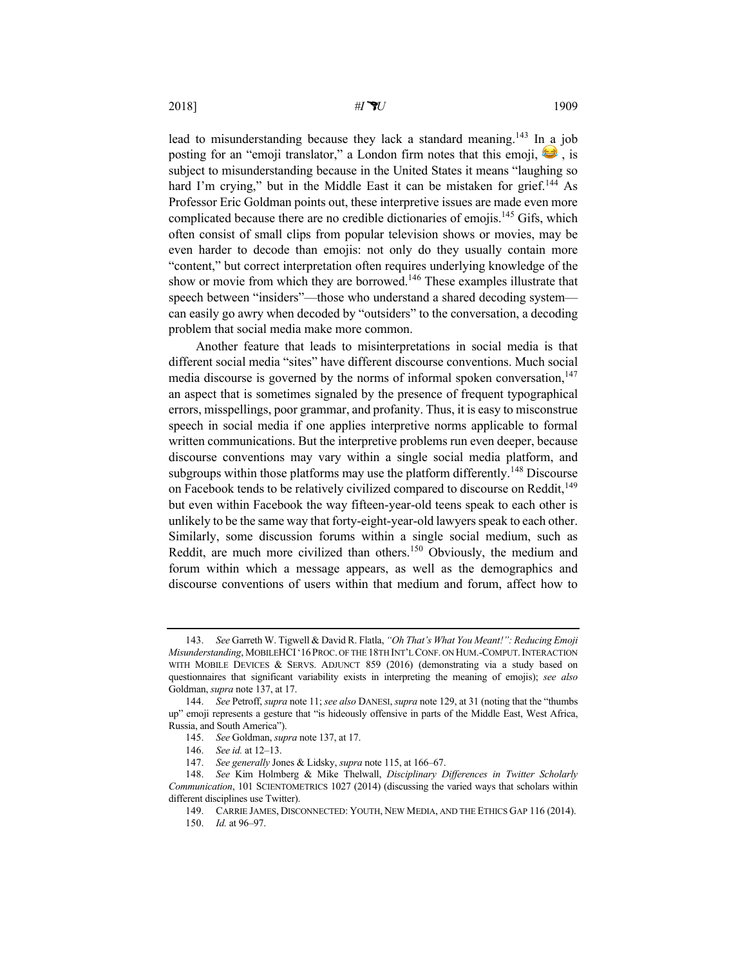lead to misunderstanding because they lack a standard meaning.<sup>143</sup> In a job posting for an "emoji translator," a London firm notes that this emoji,  $\bullet$ , is subject to misunderstanding because in the United States it means "laughing so hard I'm crying," but in the Middle East it can be mistaken for grief.<sup>144</sup> As Professor Eric Goldman points out, these interpretive issues are made even more complicated because there are no credible dictionaries of emojis.145 Gifs, which often consist of small clips from popular television shows or movies, may be even harder to decode than emojis: not only do they usually contain more "content," but correct interpretation often requires underlying knowledge of the show or movie from which they are borrowed.<sup>146</sup> These examples illustrate that speech between "insiders"—those who understand a shared decoding system—

can easily go awry when decoded by "outsiders" to the conversation, a decoding

problem that social media make more common.

Another feature that leads to misinterpretations in social media is that different social media "sites" have different discourse conventions. Much social media discourse is governed by the norms of informal spoken conversation, $147$ an aspect that is sometimes signaled by the presence of frequent typographical errors, misspellings, poor grammar, and profanity. Thus, it is easy to misconstrue speech in social media if one applies interpretive norms applicable to formal written communications. But the interpretive problems run even deeper, because discourse conventions may vary within a single social media platform, and subgroups within those platforms may use the platform differently.<sup>148</sup> Discourse on Facebook tends to be relatively civilized compared to discourse on Reddit,  $149$ but even within Facebook the way fifteen-year-old teens speak to each other is unlikely to be the same way that forty-eight-year-old lawyers speak to each other. Similarly, some discussion forums within a single social medium, such as Reddit, are much more civilized than others.<sup>150</sup> Obviously, the medium and forum within which a message appears, as well as the demographics and discourse conventions of users within that medium and forum, affect how to

<sup>143.</sup> *See* Garreth W. Tigwell & David R. Flatla, *"Oh That's What You Meant!": Reducing Emoji Misunderstanding*, MOBILEHCI'16PROC. OF THE 18TH INT'L CONF. ON HUM.-COMPUT.INTERACTION WITH MOBILE DEVICES & SERVS. ADJUNCT 859 (2016) (demonstrating via a study based on questionnaires that significant variability exists in interpreting the meaning of emojis); *see also* Goldman, *supra* note 137, at 17.

<sup>144.</sup> *See* Petroff, *supra* note 11; *see also* DANESI, *supra* note 129, at 31 (noting that the "thumbs up" emoji represents a gesture that "is hideously offensive in parts of the Middle East, West Africa, Russia, and South America").

<sup>145.</sup> *See* Goldman, *supra* note 137, at 17.

<sup>146.</sup> *See id.* at 12–13.

<sup>147.</sup> *See generally* Jones & Lidsky, *supra* note 115, at 166–67.

<sup>148.</sup> *See* Kim Holmberg & Mike Thelwall, *Disciplinary Differences in Twitter Scholarly Communication*, 101 SCIENTOMETRICS 1027 (2014) (discussing the varied ways that scholars within different disciplines use Twitter).

<sup>149.</sup> CARRIE JAMES, DISCONNECTED: YOUTH, NEW MEDIA, AND THE ETHICS GAP 116 (2014).

<sup>150.</sup> *Id.* at 96–97.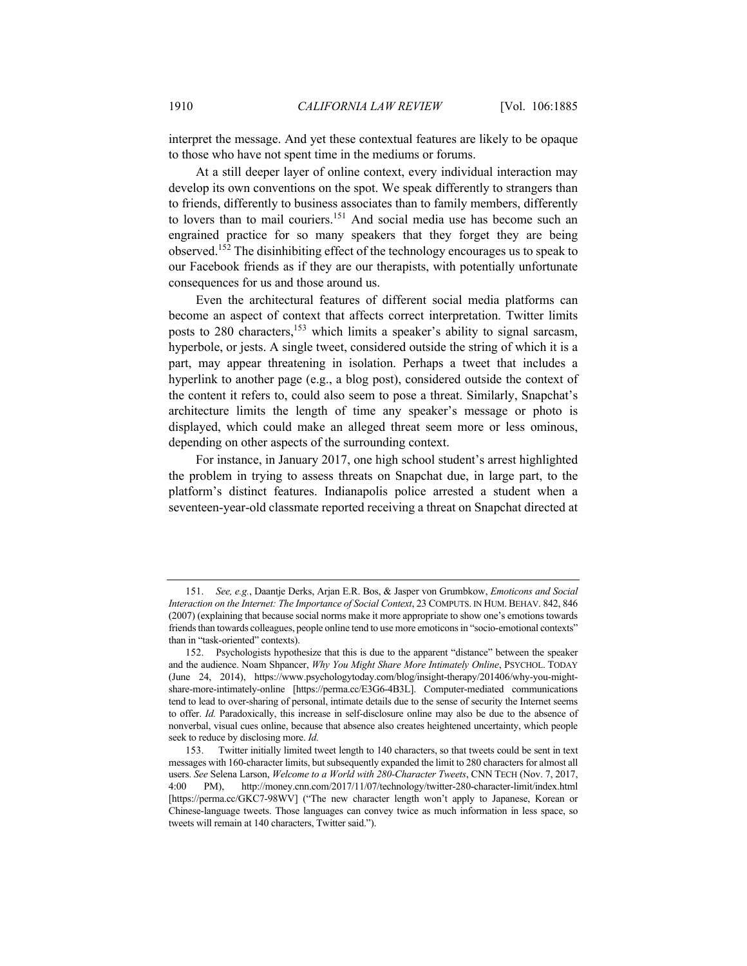interpret the message. And yet these contextual features are likely to be opaque to those who have not spent time in the mediums or forums.

At a still deeper layer of online context, every individual interaction may develop its own conventions on the spot. We speak differently to strangers than to friends, differently to business associates than to family members, differently to lovers than to mail couriers.<sup>151</sup> And social media use has become such an engrained practice for so many speakers that they forget they are being observed.<sup>152</sup> The disinhibiting effect of the technology encourages us to speak to our Facebook friends as if they are our therapists, with potentially unfortunate consequences for us and those around us.

Even the architectural features of different social media platforms can become an aspect of context that affects correct interpretation. Twitter limits posts to 280 characters,<sup>153</sup> which limits a speaker's ability to signal sarcasm, hyperbole, or jests. A single tweet, considered outside the string of which it is a part, may appear threatening in isolation. Perhaps a tweet that includes a hyperlink to another page (e.g., a blog post), considered outside the context of the content it refers to, could also seem to pose a threat. Similarly, Snapchat's architecture limits the length of time any speaker's message or photo is displayed, which could make an alleged threat seem more or less ominous, depending on other aspects of the surrounding context.

For instance, in January 2017, one high school student's arrest highlighted the problem in trying to assess threats on Snapchat due, in large part, to the platform's distinct features. Indianapolis police arrested a student when a seventeen-year-old classmate reported receiving a threat on Snapchat directed at

<sup>151.</sup> *See, e.g.*, Daantje Derks, Arjan E.R. Bos, & Jasper von Grumbkow, *Emoticons and Social Interaction on the Internet: The Importance of Social Context*, 23 COMPUTS. IN HUM. BEHAV. 842, 846 (2007) (explaining that because social norms make it more appropriate to show one's emotions towards friends than towards colleagues, people online tend to use more emoticons in "socio-emotional contexts" than in "task-oriented" contexts).

<sup>152.</sup> Psychologists hypothesize that this is due to the apparent "distance" between the speaker and the audience. Noam Shpancer, *Why You Might Share More Intimately Online*, PSYCHOL. TODAY (June 24, 2014), https://www.psychologytoday.com/blog/insight-therapy/201406/why-you-mightshare-more-intimately-online [https://perma.cc/E3G6-4B3L]. Computer-mediated communications tend to lead to over-sharing of personal, intimate details due to the sense of security the Internet seems to offer. *Id.* Paradoxically, this increase in self-disclosure online may also be due to the absence of nonverbal, visual cues online, because that absence also creates heightened uncertainty, which people seek to reduce by disclosing more. *Id.*

<sup>153.</sup> Twitter initially limited tweet length to 140 characters, so that tweets could be sent in text messages with 160-character limits, but subsequently expanded the limit to 280 characters for almost all users. *See* Selena Larson, *Welcome to a World with 280-Character Tweets*, CNN TECH (Nov. 7, 2017, 4:00 PM), http://money.cnn.com/2017/11/07/technology/twitter-280-character-limit/index.html [https://perma.cc/GKC7-98WV] ("The new character length won't apply to Japanese, Korean or Chinese-language tweets. Those languages can convey twice as much information in less space, so tweets will remain at 140 characters, Twitter said.").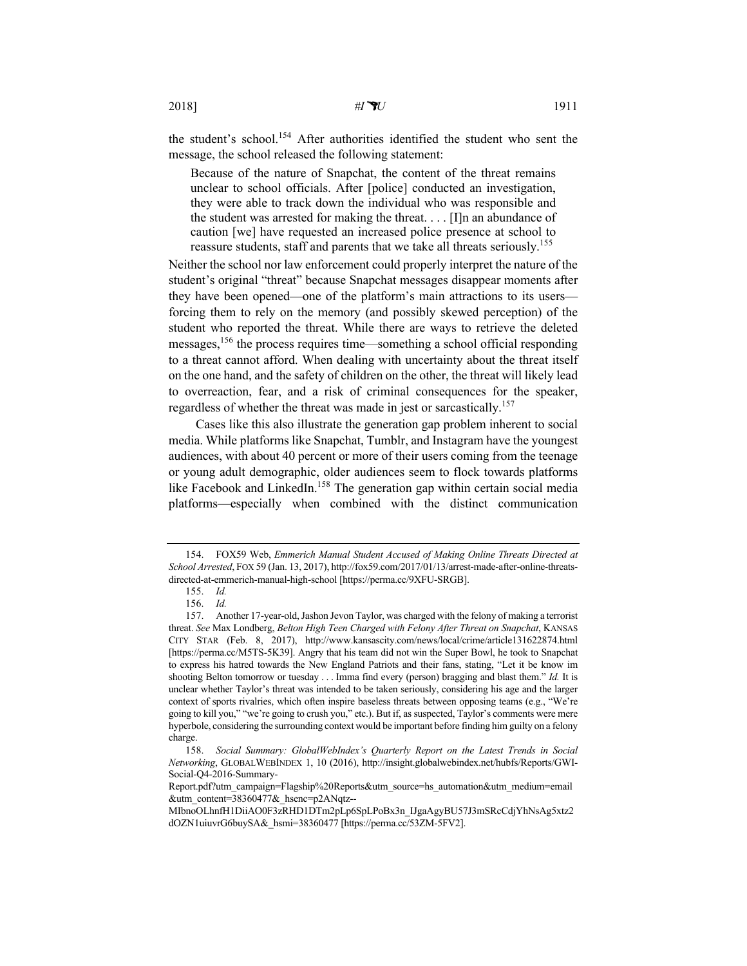the student's school.<sup>154</sup> After authorities identified the student who sent the message, the school released the following statement:

Because of the nature of Snapchat, the content of the threat remains unclear to school officials. After [police] conducted an investigation, they were able to track down the individual who was responsible and the student was arrested for making the threat. . . . [I]n an abundance of caution [we] have requested an increased police presence at school to reassure students, staff and parents that we take all threats seriously.<sup>155</sup>

Neither the school nor law enforcement could properly interpret the nature of the student's original "threat" because Snapchat messages disappear moments after they have been opened—one of the platform's main attractions to its users forcing them to rely on the memory (and possibly skewed perception) of the student who reported the threat. While there are ways to retrieve the deleted messages,156 the process requires time—something a school official responding to a threat cannot afford. When dealing with uncertainty about the threat itself on the one hand, and the safety of children on the other, the threat will likely lead to overreaction, fear, and a risk of criminal consequences for the speaker, regardless of whether the threat was made in jest or sarcastically.<sup>157</sup>

Cases like this also illustrate the generation gap problem inherent to social media. While platforms like Snapchat, Tumblr, and Instagram have the youngest audiences, with about 40 percent or more of their users coming from the teenage or young adult demographic, older audiences seem to flock towards platforms like Facebook and LinkedIn.<sup>158</sup> The generation gap within certain social media platforms—especially when combined with the distinct communication

<sup>154.</sup> FOX59 Web, *Emmerich Manual Student Accused of Making Online Threats Directed at School Arrested*, FOX 59 (Jan. 13, 2017), http://fox59.com/2017/01/13/arrest-made-after-online-threatsdirected-at-emmerich-manual-high-school [https://perma.cc/9XFU-SRGB].

<sup>155.</sup> *Id.*

<sup>156.</sup> *Id.*

<sup>157.</sup> Another 17-year-old, Jashon Jevon Taylor, was charged with the felony of making a terrorist threat. *See* Max Londberg, *Belton High Teen Charged with Felony After Threat on Snapchat*, KANSAS CITY STAR (Feb. 8, 2017), http://www.kansascity.com/news/local/crime/article131622874.html [https://perma.cc/M5TS-5K39]. Angry that his team did not win the Super Bowl, he took to Snapchat to express his hatred towards the New England Patriots and their fans, stating, "Let it be know im shooting Belton tomorrow or tuesday . . . Imma find every (person) bragging and blast them." *Id.* It is unclear whether Taylor's threat was intended to be taken seriously, considering his age and the larger context of sports rivalries, which often inspire baseless threats between opposing teams (e.g., "We're going to kill you," "we're going to crush you," etc.). But if, as suspected, Taylor's comments were mere hyperbole, considering the surrounding context would be important before finding him guilty on a felony charge.

<sup>158.</sup> *Social Summary: GlobalWebIndex's Quarterly Report on the Latest Trends in Social Networking*, GLOBALWEBINDEX 1, 10 (2016), http://insight.globalwebindex.net/hubfs/Reports/GWI-Social-Q4-2016-Summary-

Report.pdf?utm\_campaign=Flagship%20Reports&utm\_source=hs\_automation&utm\_medium=email &utm\_content=38360477&\_hsenc=p2ANqtz--

MIbnoOLhnfH1DiiAO0F3zRHD1DTm2pLp6SpLPoBx3n\_IJgaAgyBU57J3mSRcCdjYhNsAg5xtz2 dOZN1uiuvrG6buySA&\_hsmi=38360477 [https://perma.cc/53ZM-5FV2].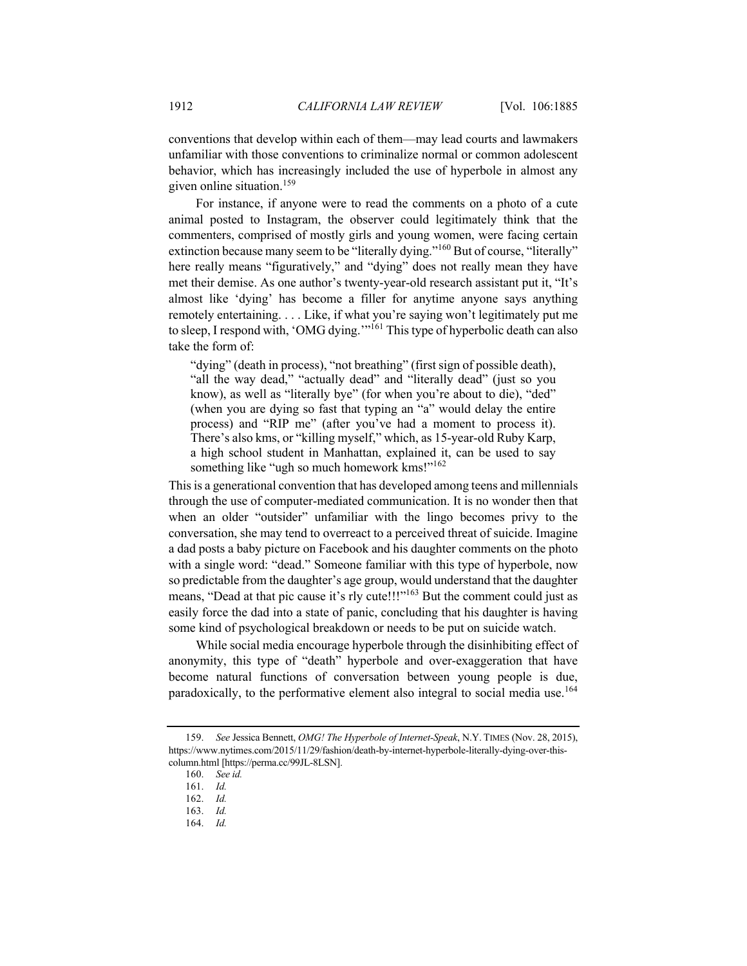conventions that develop within each of them—may lead courts and lawmakers unfamiliar with those conventions to criminalize normal or common adolescent behavior, which has increasingly included the use of hyperbole in almost any given online situation.159

For instance, if anyone were to read the comments on a photo of a cute animal posted to Instagram, the observer could legitimately think that the commenters, comprised of mostly girls and young women, were facing certain extinction because many seem to be "literally dying."<sup>160</sup> But of course, "literally" here really means "figuratively," and "dying" does not really mean they have met their demise. As one author's twenty-year-old research assistant put it, "It's almost like 'dying' has become a filler for anytime anyone says anything remotely entertaining. . . . Like, if what you're saying won't legitimately put me to sleep, I respond with, 'OMG dying.'"<sup>161</sup> This type of hyperbolic death can also take the form of:

"dying" (death in process), "not breathing" (first sign of possible death), "all the way dead," "actually dead" and "literally dead" (just so you know), as well as "literally bye" (for when you're about to die), "ded" (when you are dying so fast that typing an "a" would delay the entire process) and "RIP me" (after you've had a moment to process it). There's also kms, or "killing myself," which, as 15-year-old Ruby Karp, a high school student in Manhattan, explained it, can be used to say something like "ugh so much homework kms!"<sup>162</sup>

This is a generational convention that has developed among teens and millennials through the use of computer-mediated communication. It is no wonder then that when an older "outsider" unfamiliar with the lingo becomes privy to the conversation, she may tend to overreact to a perceived threat of suicide. Imagine a dad posts a baby picture on Facebook and his daughter comments on the photo with a single word: "dead." Someone familiar with this type of hyperbole, now so predictable from the daughter's age group, would understand that the daughter means, "Dead at that pic cause it's rly cute!!!"<sup>163</sup> But the comment could just as easily force the dad into a state of panic, concluding that his daughter is having some kind of psychological breakdown or needs to be put on suicide watch.

While social media encourage hyperbole through the disinhibiting effect of anonymity, this type of "death" hyperbole and over-exaggeration that have become natural functions of conversation between young people is due, paradoxically, to the performative element also integral to social media use.<sup>164</sup>

164. *Id.*

<sup>159.</sup> *See* Jessica Bennett, *OMG! The Hyperbole of Internet-Speak*, N.Y. TIMES (Nov. 28, 2015), https://www.nytimes.com/2015/11/29/fashion/death-by-internet-hyperbole-literally-dying-over-thiscolumn.html [https://perma.cc/99JL-8LSN].

<sup>160.</sup> *See id.*

<sup>161.</sup> *Id.*

<sup>162.</sup> *Id.*

<sup>163.</sup> *Id.*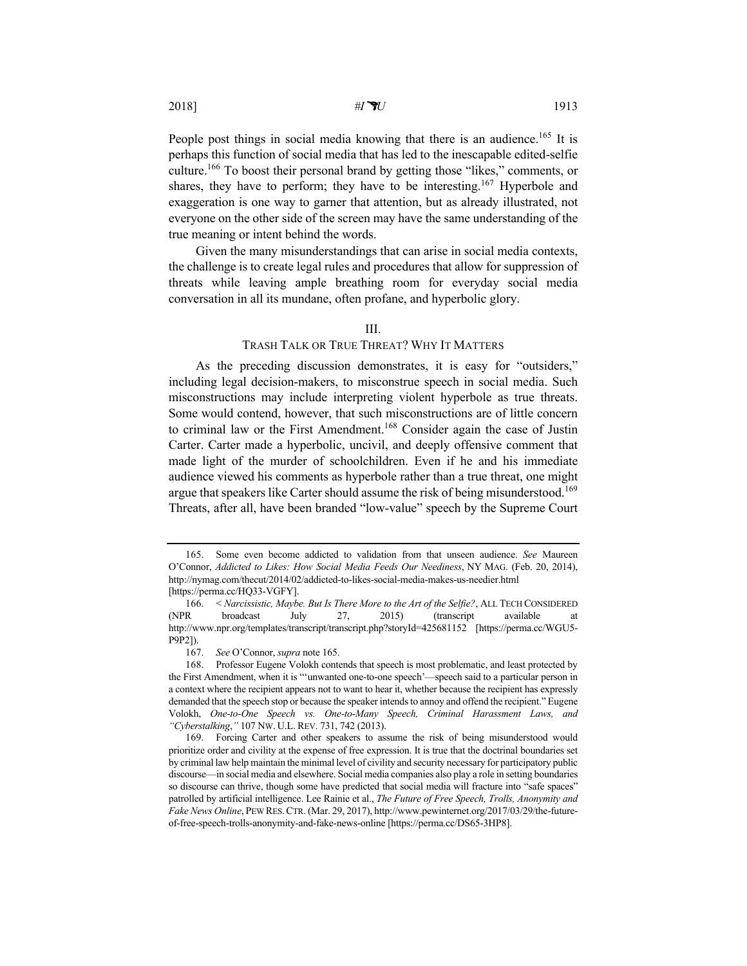People post things in social media knowing that there is an audience.<sup>165</sup> It is perhaps this function of social media that has led to the inescapable edited-selfie culture.166 To boost their personal brand by getting those "likes," comments, or shares, they have to perform; they have to be interesting.<sup>167</sup> Hyperbole and exaggeration is one way to garner that attention, but as already illustrated, not everyone on the other side of the screen may have the same understanding of the true meaning or intent behind the words.

Given the many misunderstandings that can arise in social media contexts, the challenge is to create legal rules and procedures that allow for suppression of threats while leaving ample breathing room for everyday social media conversation in all its mundane, often profane, and hyperbolic glory.

## III.

# TRASH TALK OR TRUE THREAT? WHY IT MATTERS

As the preceding discussion demonstrates, it is easy for "outsiders," including legal decision-makers, to misconstrue speech in social media. Such misconstructions may include interpreting violent hyperbole as true threats. Some would contend, however, that such misconstructions are of little concern to criminal law or the First Amendment.<sup>168</sup> Consider again the case of Justin Carter. Carter made a hyperbolic, uncivil, and deeply offensive comment that made light of the murder of schoolchildren. Even if he and his immediate audience viewed his comments as hyperbole rather than a true threat, one might argue that speakers like Carter should assume the risk of being misunderstood.<sup>169</sup> Threats, after all, have been branded "low-value" speech by the Supreme Court

<sup>165.</sup> Some even become addicted to validation from that unseen audience. *See* Maureen O'Connor, *Addicted to Likes: How Social Media Feeds Our Neediness*, NY MAG. (Feb. 20, 2014), http://nymag.com/thecut/2014/02/addicted-to-likes-social-media-makes-us-needier.html [https://perma.cc/HQ33-VGFY].

<sup>166.</sup> < *Narcissistic, Maybe. But Is There More to the Art of the Selfie?*, ALL TECH CONSIDERED (NPR broadcast July 27, 2015) (transcript available at http://www.npr.org/templates/transcript/transcript.php?storyId=425681152 [https://perma.cc/WGU5- P9P2]).

<sup>167.</sup> *See* O'Connor, *supra* note 165.

<sup>168.</sup> Professor Eugene Volokh contends that speech is most problematic, and least protected by the First Amendment, when it is "'unwanted one-to-one speech'—speech said to a particular person in a context where the recipient appears not to want to hear it, whether because the recipient has expressly demanded that the speech stop or because the speaker intends to annoy and offend the recipient." Eugene Volokh, *One-to-One Speech vs. One-to-Many Speech, Criminal Harassment Laws, and "Cyberstalking*,*"* 107 NW. U.L. REV. 731, 742 (2013).

<sup>169.</sup> Forcing Carter and other speakers to assume the risk of being misunderstood would prioritize order and civility at the expense of free expression. It is true that the doctrinal boundaries set by criminal law help maintain the minimal level of civility and security necessary for participatory public discourse—in social media and elsewhere. Social media companies also play a role in setting boundaries so discourse can thrive, though some have predicted that social media will fracture into "safe spaces" patrolled by artificial intelligence. Lee Rainie et al., *The Future of Free Speech, Trolls, Anonymity and Fake News Online*, PEW RES.CTR. (Mar. 29, 2017), http://www.pewinternet.org/2017/03/29/the-futureof-free-speech-trolls-anonymity-and-fake-news-online [https://perma.cc/DS65-3HP8].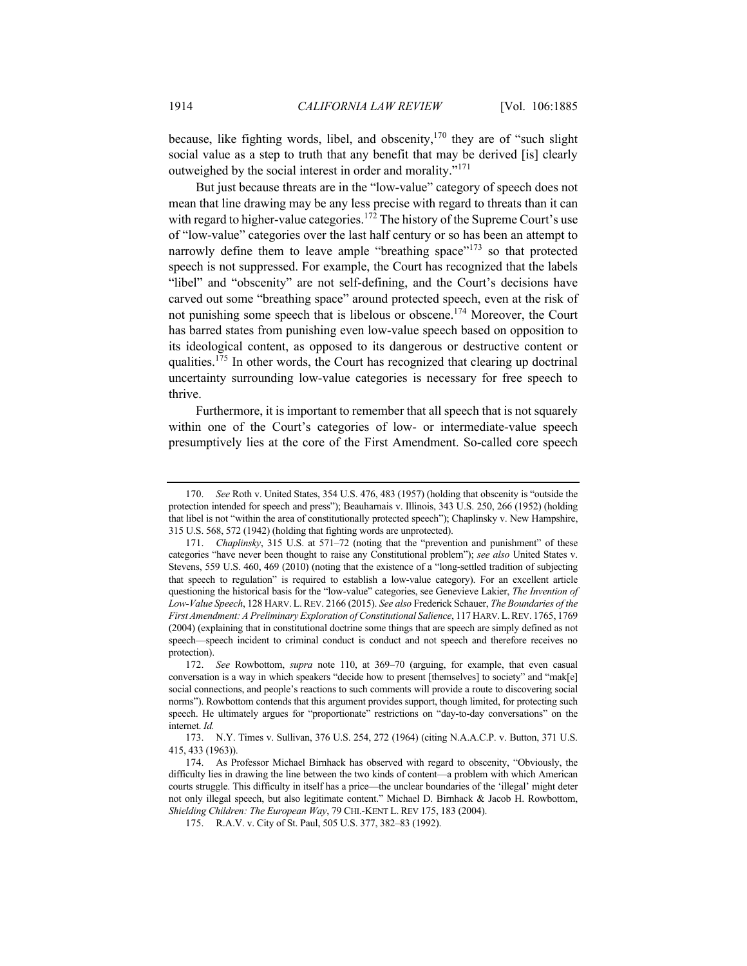because, like fighting words, libel, and obscenity,  $170$  they are of "such slight" social value as a step to truth that any benefit that may be derived [is] clearly outweighed by the social interest in order and morality."<sup>171</sup>

But just because threats are in the "low-value" category of speech does not mean that line drawing may be any less precise with regard to threats than it can with regard to higher-value categories.<sup>172</sup> The history of the Supreme Court's use of "low-value" categories over the last half century or so has been an attempt to narrowly define them to leave ample "breathing space"<sup>173</sup> so that protected speech is not suppressed. For example, the Court has recognized that the labels "libel" and "obscenity" are not self-defining, and the Court's decisions have carved out some "breathing space" around protected speech, even at the risk of not punishing some speech that is libelous or obscene.<sup>174</sup> Moreover, the Court has barred states from punishing even low-value speech based on opposition to its ideological content, as opposed to its dangerous or destructive content or qualities.<sup>175</sup> In other words, the Court has recognized that clearing up doctrinal uncertainty surrounding low-value categories is necessary for free speech to thrive.

Furthermore, it is important to remember that all speech that is not squarely within one of the Court's categories of low- or intermediate-value speech presumptively lies at the core of the First Amendment. So-called core speech

<sup>170.</sup> *See* Roth v. United States, 354 U.S. 476, 483 (1957) (holding that obscenity is "outside the protection intended for speech and press"); Beauharnais v. Illinois, 343 U.S. 250, 266 (1952) (holding that libel is not "within the area of constitutionally protected speech"); Chaplinsky v. New Hampshire, 315 U.S. 568, 572 (1942) (holding that fighting words are unprotected).

<sup>171.</sup> *Chaplinsky*, 315 U.S. at 571–72 (noting that the "prevention and punishment" of these categories "have never been thought to raise any Constitutional problem"); *see also* United States v. Stevens, 559 U.S. 460, 469 (2010) (noting that the existence of a "long-settled tradition of subjecting that speech to regulation" is required to establish a low-value category). For an excellent article questioning the historical basis for the "low-value" categories, see Genevieve Lakier, *The Invention of Low-Value Speech*, 128 HARV. L.REV. 2166 (2015). *See also* Frederick Schauer, *The Boundaries of the First Amendment: A Preliminary Exploration of Constitutional Salience*, 117 HARV.L.REV. 1765, 1769 (2004) (explaining that in constitutional doctrine some things that are speech are simply defined as not speech—speech incident to criminal conduct is conduct and not speech and therefore receives no protection).

<sup>172.</sup> *See* Rowbottom, *supra* note 110, at 369–70 (arguing, for example, that even casual conversation is a way in which speakers "decide how to present [themselves] to society" and "mak[e] social connections, and people's reactions to such comments will provide a route to discovering social norms"). Rowbottom contends that this argument provides support, though limited, for protecting such speech. He ultimately argues for "proportionate" restrictions on "day-to-day conversations" on the internet. *Id.*

<sup>173.</sup> N.Y. Times v. Sullivan, 376 U.S. 254, 272 (1964) (citing N.A.A.C.P. v. Button, 371 U.S. 415, 433 (1963)).

<sup>174.</sup> As Professor Michael Birnhack has observed with regard to obscenity, "Obviously, the difficulty lies in drawing the line between the two kinds of content—a problem with which American courts struggle. This difficulty in itself has a price—the unclear boundaries of the 'illegal' might deter not only illegal speech, but also legitimate content." Michael D. Birnhack & Jacob H. Rowbottom, *Shielding Children: The European Way*, 79 CHI.-KENT L. REV 175, 183 (2004).

<sup>175.</sup> R.A.V. v. City of St. Paul, 505 U.S. 377, 382–83 (1992).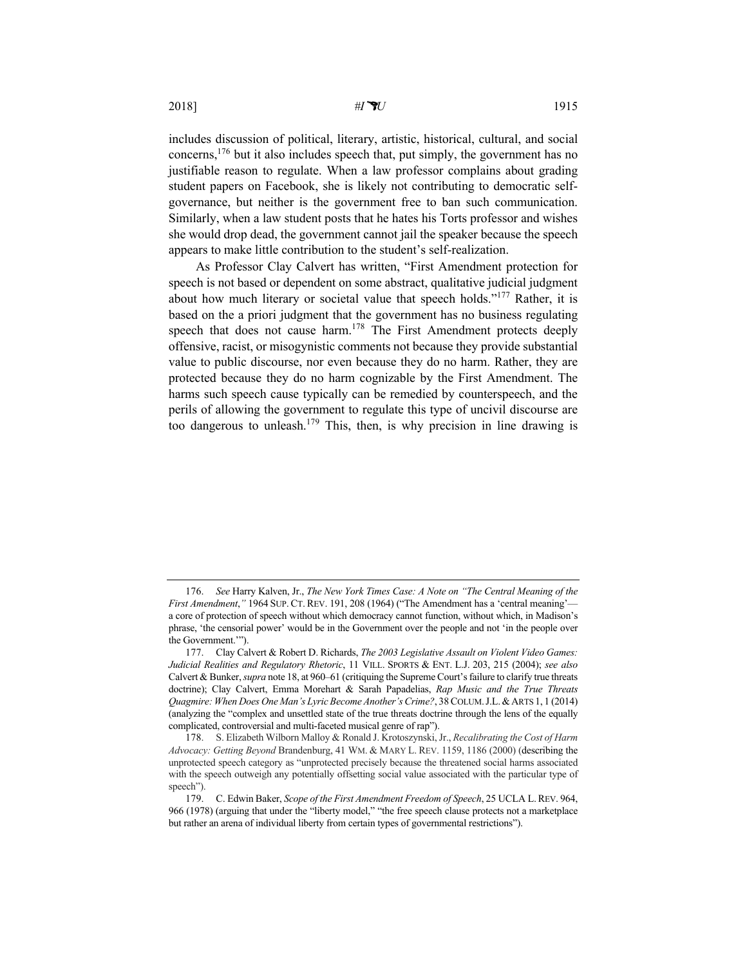2018] *#IU* 1915

includes discussion of political, literary, artistic, historical, cultural, and social concerns,176 but it also includes speech that, put simply, the government has no justifiable reason to regulate. When a law professor complains about grading student papers on Facebook, she is likely not contributing to democratic selfgovernance, but neither is the government free to ban such communication. Similarly, when a law student posts that he hates his Torts professor and wishes she would drop dead, the government cannot jail the speaker because the speech appears to make little contribution to the student's self-realization.

As Professor Clay Calvert has written, "First Amendment protection for speech is not based or dependent on some abstract, qualitative judicial judgment about how much literary or societal value that speech holds."<sup>177</sup> Rather, it is based on the a priori judgment that the government has no business regulating speech that does not cause harm.<sup>178</sup> The First Amendment protects deeply offensive, racist, or misogynistic comments not because they provide substantial value to public discourse, nor even because they do no harm. Rather, they are protected because they do no harm cognizable by the First Amendment. The harms such speech cause typically can be remedied by counterspeech, and the perils of allowing the government to regulate this type of uncivil discourse are too dangerous to unleash.<sup>179</sup> This, then, is why precision in line drawing is

<sup>176.</sup> *See* Harry Kalven, Jr., *The New York Times Case: A Note on "The Central Meaning of the First Amendment,"* 1964 SUP. CT. REV. 191, 208 (1964) ("The Amendment has a 'central meaning'a core of protection of speech without which democracy cannot function, without which, in Madison's phrase, 'the censorial power' would be in the Government over the people and not 'in the people over the Government.'").

<sup>177.</sup> Clay Calvert & Robert D. Richards, *The 2003 Legislative Assault on Violent Video Games: Judicial Realities and Regulatory Rhetoric*, 11 VILL. SPORTS & ENT. L.J. 203, 215 (2004); *see also* Calvert & Bunker, *supra* note 18, at 960–61 (critiquing the Supreme Court's failure to clarify true threats doctrine); Clay Calvert, Emma Morehart & Sarah Papadelias, *Rap Music and the True Threats Quagmire: When Does One Man's Lyric Become Another's Crime?*, 38 COLUM.J.L.&ARTS 1, 1 (2014) (analyzing the "complex and unsettled state of the true threats doctrine through the lens of the equally complicated, controversial and multi-faceted musical genre of rap").

<sup>178.</sup> S. Elizabeth Wilborn Malloy & Ronald J. Krotoszynski, Jr., *Recalibrating the Cost of Harm Advocacy: Getting Beyond* Brandenburg, 41 WM. & MARY L. REV. 1159, 1186 (2000) (describing the unprotected speech category as "unprotected precisely because the threatened social harms associated with the speech outweigh any potentially offsetting social value associated with the particular type of speech").

<sup>179.</sup> C. Edwin Baker, *Scope of the First Amendment Freedom of Speech*, 25 UCLA L.REV. 964, 966 (1978) (arguing that under the "liberty model," "the free speech clause protects not a marketplace but rather an arena of individual liberty from certain types of governmental restrictions").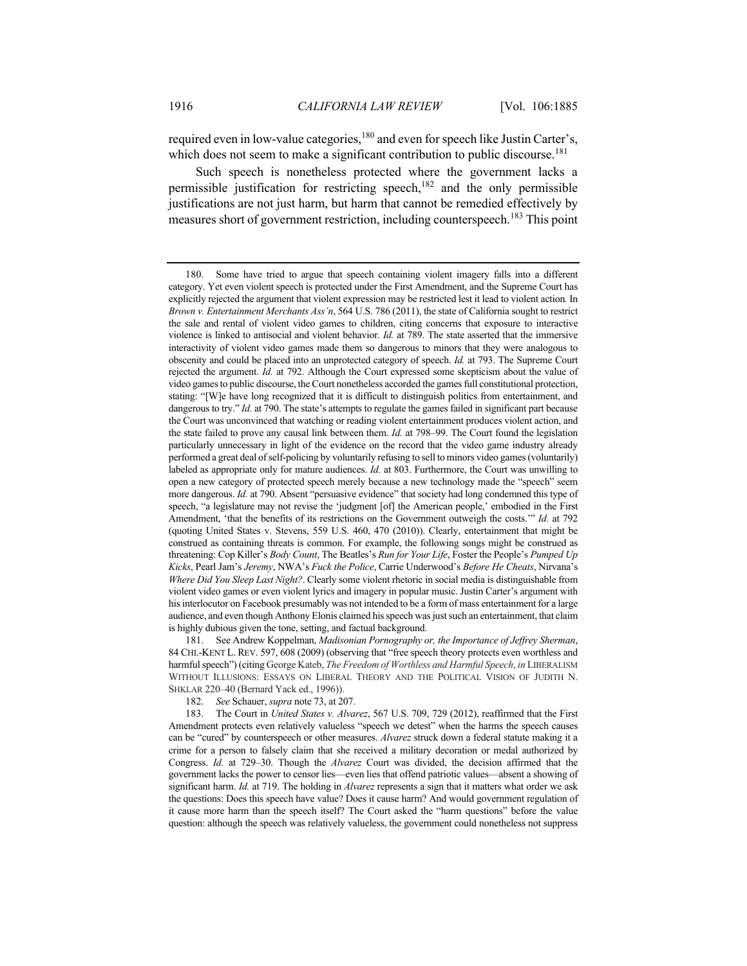required even in low-value categories,<sup>180</sup> and even for speech like Justin Carter's, which does not seem to make a significant contribution to public discourse.<sup>181</sup>

Such speech is nonetheless protected where the government lacks a permissible justification for restricting speech, $182$  and the only permissible justifications are not just harm, but harm that cannot be remedied effectively by measures short of government restriction, including counterspeech.<sup>183</sup> This point

181. See Andrew Koppelman, *Madisonian Pornography or, the Importance of Jeffrey Sherman*, 84 CHI.-KENT L. REV. 597, 608 (2009) (observing that "free speech theory protects even worthless and harmful speech") (citing George Kateb, *The Freedom of Worthless and Harmful Speech*, *in* LIBERALISM WITHOUT ILLUSIONS: ESSAYS ON LIBERAL THEORY AND THE POLITICAL VISION OF JUDITH N. SHKLAR 220–40 (Bernard Yack ed., 1996)).

182. *See* Schauer, *supra* note 73, at 207.

183. The Court in *United States v. Alvarez*, 567 U.S. 709, 729 (2012), reaffirmed that the First Amendment protects even relatively valueless "speech we detest" when the harms the speech causes can be "cured" by counterspeech or other measures. *Alvarez* struck down a federal statute making it a crime for a person to falsely claim that she received a military decoration or medal authorized by Congress. *Id.* at 729–30. Though the *Alvarez* Court was divided, the decision affirmed that the government lacks the power to censor lies—even lies that offend patriotic values—absent a showing of significant harm. *Id.* at 719. The holding in *Alvarez* represents a sign that it matters what order we ask the questions: Does this speech have value? Does it cause harm? And would government regulation of it cause more harm than the speech itself? The Court asked the "harm questions" before the value question: although the speech was relatively valueless, the government could nonetheless not suppress

<sup>180.</sup> Some have tried to argue that speech containing violent imagery falls into a different category. Yet even violent speech is protected under the First Amendment, and the Supreme Court has explicitly rejected the argument that violent expression may be restricted lest it lead to violent action*.* In *Brown v. Entertainment Merchants Ass'n*, 564 U.S. 786 (2011), the state of California sought to restrict the sale and rental of violent video games to children, citing concerns that exposure to interactive violence is linked to antisocial and violent behavior. *Id.* at 789. The state asserted that the immersive interactivity of violent video games made them so dangerous to minors that they were analogous to obscenity and could be placed into an unprotected category of speech. *Id.* at 793. The Supreme Court rejected the argument. *Id.* at 792. Although the Court expressed some skepticism about the value of video games to public discourse, the Court nonetheless accorded the games full constitutional protection, stating: "[W]e have long recognized that it is difficult to distinguish politics from entertainment, and dangerous to try." *Id.* at 790. The state's attempts to regulate the games failed in significant part because the Court was unconvinced that watching or reading violent entertainment produces violent action, and the state failed to prove any causal link between them. *Id.* at 798–99. The Court found the legislation particularly unnecessary in light of the evidence on the record that the video game industry already performed a great deal of self-policing by voluntarily refusing to sell to minors video games (voluntarily) labeled as appropriate only for mature audiences. *Id.* at 803. Furthermore, the Court was unwilling to open a new category of protected speech merely because a new technology made the "speech" seem more dangerous. *Id.* at 790. Absent "persuasive evidence" that society had long condemned this type of speech, "a legislature may not revise the 'judgment [of] the American people,' embodied in the First Amendment, 'that the benefits of its restrictions on the Government outweigh the costs.'" *Id.* at 792 (quoting United States v. Stevens, 559 U.S. 460, 470 (2010)). Clearly, entertainment that might be construed as containing threats is common. For example, the following songs might be construed as threatening: Cop Killer's *Body Count*, The Beatles's *Run for Your Life*, Foster the People's *Pumped Up Kicks*, Pearl Jam's *Jeremy*, NWA's *Fuck the Police*, Carrie Underwood's *Before He Cheats*, Nirvana's *Where Did You Sleep Last Night?*. Clearly some violent rhetoric in social media is distinguishable from violent video games or even violent lyrics and imagery in popular music. Justin Carter's argument with his interlocutor on Facebook presumably was not intended to be a form of mass entertainment for a large audience, and even though Anthony Elonis claimed his speech was just such an entertainment, that claim is highly dubious given the tone, setting, and factual background.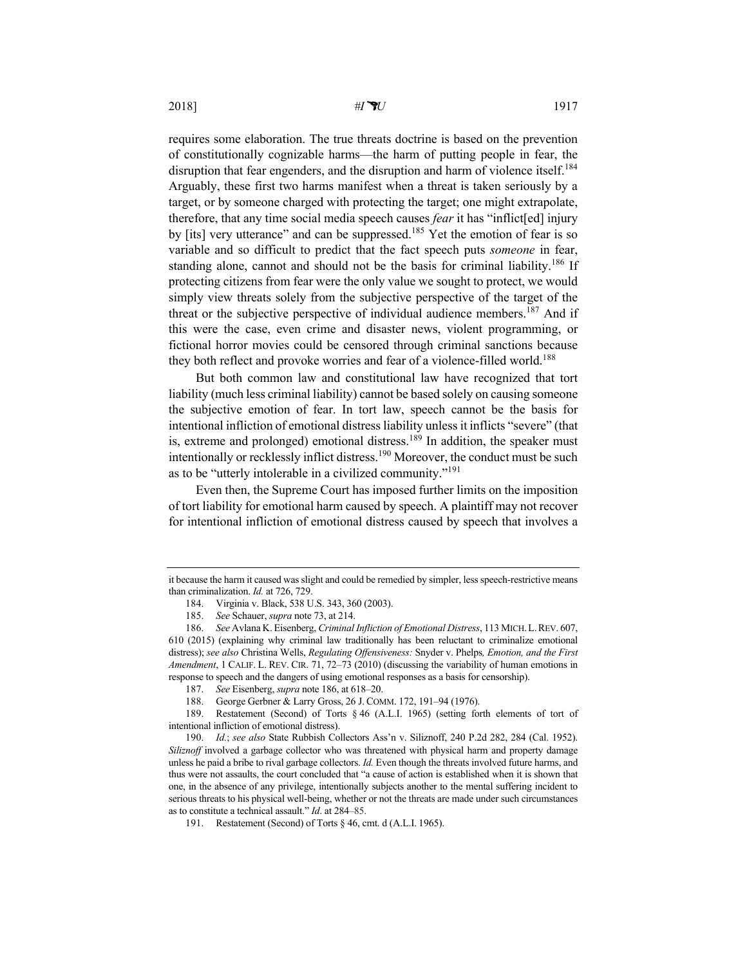requires some elaboration. The true threats doctrine is based on the prevention of constitutionally cognizable harms—the harm of putting people in fear, the disruption that fear engenders, and the disruption and harm of violence itself.<sup>184</sup> Arguably, these first two harms manifest when a threat is taken seriously by a target, or by someone charged with protecting the target; one might extrapolate, therefore, that any time social media speech causes *fear* it has "inflict[ed] injury by [its] very utterance" and can be suppressed.<sup>185</sup> Yet the emotion of fear is so variable and so difficult to predict that the fact speech puts *someone* in fear, standing alone, cannot and should not be the basis for criminal liability.<sup>186</sup> If protecting citizens from fear were the only value we sought to protect, we would simply view threats solely from the subjective perspective of the target of the threat or the subjective perspective of individual audience members.<sup>187</sup> And if this were the case, even crime and disaster news, violent programming, or fictional horror movies could be censored through criminal sanctions because they both reflect and provoke worries and fear of a violence-filled world.<sup>188</sup>

But both common law and constitutional law have recognized that tort liability (much less criminal liability) cannot be based solely on causing someone the subjective emotion of fear. In tort law, speech cannot be the basis for intentional infliction of emotional distress liability unless it inflicts "severe" (that is, extreme and prolonged) emotional distress.<sup>189</sup> In addition, the speaker must intentionally or recklessly inflict distress.<sup>190</sup> Moreover, the conduct must be such as to be "utterly intolerable in a civilized community."<sup>191</sup>

Even then, the Supreme Court has imposed further limits on the imposition of tort liability for emotional harm caused by speech. A plaintiff may not recover for intentional infliction of emotional distress caused by speech that involves a

it because the harm it caused was slight and could be remedied by simpler, less speech-restrictive means than criminalization. *Id.* at 726, 729.

<sup>184.</sup> Virginia v. Black, 538 U.S. 343, 360 (2003).

<sup>185.</sup> *See* Schauer, *supra* note 73, at 214.

<sup>186.</sup> *See* Avlana K. Eisenberg, *Criminal Infliction of Emotional Distress*, 113 MICH.L.REV. 607, 610 (2015) (explaining why criminal law traditionally has been reluctant to criminalize emotional distress); *see also* Christina Wells, *Regulating Offensiveness:* Snyder v. Phelps*, Emotion, and the First Amendment*, 1 CALIF. L. REV. CIR. 71, 72–73 (2010) (discussing the variability of human emotions in response to speech and the dangers of using emotional responses as a basis for censorship).

<sup>187.</sup> *See* Eisenberg, *supra* note 186, at 618–20.

<sup>188.</sup> George Gerbner & Larry Gross, 26 J. COMM. 172, 191–94 (1976).

<sup>189.</sup> Restatement (Second) of Torts § 46 (A.L.I. 1965) (setting forth elements of tort of intentional infliction of emotional distress).

<sup>190.</sup> *Id.*; *see also* State Rubbish Collectors Ass'n v. Siliznoff, 240 P.2d 282, 284 (Cal. 1952). *Siliznoff* involved a garbage collector who was threatened with physical harm and property damage unless he paid a bribe to rival garbage collectors. *Id.* Even though the threats involved future harms, and thus were not assaults, the court concluded that "a cause of action is established when it is shown that one, in the absence of any privilege, intentionally subjects another to the mental suffering incident to serious threats to his physical well-being, whether or not the threats are made under such circumstances as to constitute a technical assault." *Id*. at 284–85.

<sup>191.</sup> Restatement (Second) of Torts § 46, cmt. d (A.L.I. 1965).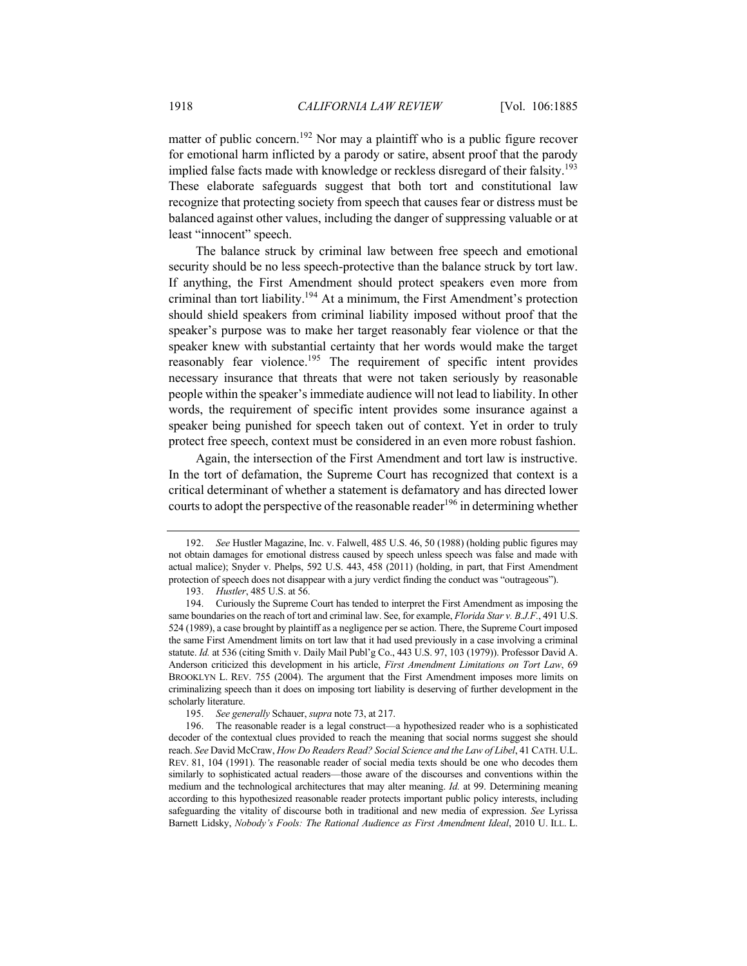matter of public concern.<sup>192</sup> Nor may a plaintiff who is a public figure recover for emotional harm inflicted by a parody or satire, absent proof that the parody implied false facts made with knowledge or reckless disregard of their falsity.<sup>193</sup> These elaborate safeguards suggest that both tort and constitutional law recognize that protecting society from speech that causes fear or distress must be balanced against other values, including the danger of suppressing valuable or at least "innocent" speech.

The balance struck by criminal law between free speech and emotional security should be no less speech-protective than the balance struck by tort law. If anything, the First Amendment should protect speakers even more from criminal than tort liability.194 At a minimum, the First Amendment's protection should shield speakers from criminal liability imposed without proof that the speaker's purpose was to make her target reasonably fear violence or that the speaker knew with substantial certainty that her words would make the target reasonably fear violence.<sup>195</sup> The requirement of specific intent provides necessary insurance that threats that were not taken seriously by reasonable people within the speaker's immediate audience will not lead to liability. In other words, the requirement of specific intent provides some insurance against a speaker being punished for speech taken out of context. Yet in order to truly protect free speech, context must be considered in an even more robust fashion.

Again, the intersection of the First Amendment and tort law is instructive. In the tort of defamation, the Supreme Court has recognized that context is a critical determinant of whether a statement is defamatory and has directed lower courts to adopt the perspective of the reasonable reader<sup>196</sup> in determining whether

193. *Hustler*, 485 U.S. at 56.

<sup>192.</sup> *See* Hustler Magazine, Inc. v. Falwell, 485 U.S. 46, 50 (1988) (holding public figures may not obtain damages for emotional distress caused by speech unless speech was false and made with actual malice); Snyder v. Phelps, 592 U.S. 443, 458 (2011) (holding, in part, that First Amendment protection of speech does not disappear with a jury verdict finding the conduct was "outrageous").

<sup>194.</sup> Curiously the Supreme Court has tended to interpret the First Amendment as imposing the same boundaries on the reach of tort and criminal law. See, for example, *Florida Star v. B.J.F.*, 491 U.S. 524 (1989), a case brought by plaintiff as a negligence per se action. There, the Supreme Court imposed the same First Amendment limits on tort law that it had used previously in a case involving a criminal statute. *Id.* at 536 (citing Smith v. Daily Mail Publ'g Co., 443 U.S. 97, 103 (1979)). Professor David A. Anderson criticized this development in his article, *First Amendment Limitations on Tort Law*, 69 BROOKLYN L. REV. 755 (2004). The argument that the First Amendment imposes more limits on criminalizing speech than it does on imposing tort liability is deserving of further development in the scholarly literature.

<sup>195.</sup> *See generally* Schauer, *supra* note 73, at 217.

<sup>196.</sup> The reasonable reader is a legal construct—a hypothesized reader who is a sophisticated decoder of the contextual clues provided to reach the meaning that social norms suggest she should reach. *See* David McCraw, *How Do Readers Read? Social Science and the Law of Libel*, 41 CATH. U.L. REV. 81, 104 (1991). The reasonable reader of social media texts should be one who decodes them similarly to sophisticated actual readers—those aware of the discourses and conventions within the medium and the technological architectures that may alter meaning. *Id.* at 99. Determining meaning according to this hypothesized reasonable reader protects important public policy interests, including safeguarding the vitality of discourse both in traditional and new media of expression. *See* Lyrissa Barnett Lidsky, *Nobody's Fools: The Rational Audience as First Amendment Ideal*, 2010 U. ILL. L.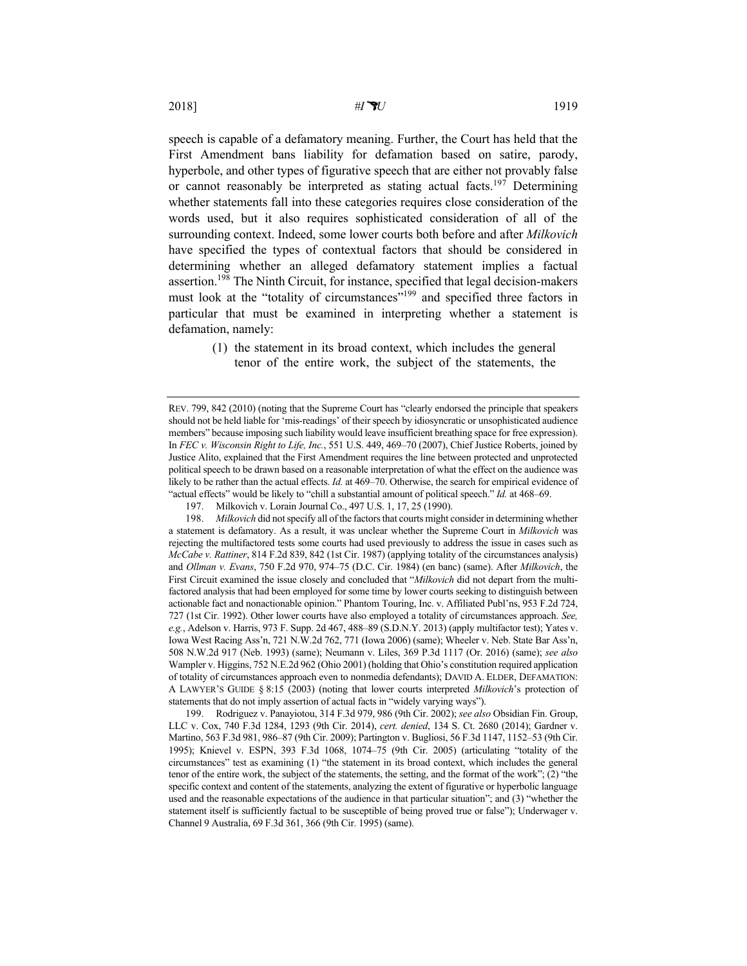speech is capable of a defamatory meaning. Further, the Court has held that the First Amendment bans liability for defamation based on satire, parody, hyperbole, and other types of figurative speech that are either not provably false or cannot reasonably be interpreted as stating actual facts.<sup>197</sup> Determining whether statements fall into these categories requires close consideration of the words used, but it also requires sophisticated consideration of all of the surrounding context. Indeed, some lower courts both before and after *Milkovich* have specified the types of contextual factors that should be considered in determining whether an alleged defamatory statement implies a factual assertion.<sup>198</sup> The Ninth Circuit, for instance, specified that legal decision-makers must look at the "totality of circumstances"<sup>199</sup> and specified three factors in particular that must be examined in interpreting whether a statement is defamation, namely:

> (1) the statement in its broad context, which includes the general tenor of the entire work, the subject of the statements, the

REV. 799, 842 (2010) (noting that the Supreme Court has "clearly endorsed the principle that speakers should not be held liable for 'mis-readings' of their speech by idiosyncratic or unsophisticated audience members" because imposing such liability would leave insufficient breathing space for free expression). In *FEC v. Wisconsin Right to Life, Inc.*, 551 U.S. 449, 469–70 (2007), Chief Justice Roberts, joined by Justice Alito, explained that the First Amendment requires the line between protected and unprotected political speech to be drawn based on a reasonable interpretation of what the effect on the audience was likely to be rather than the actual effects. *Id.* at 469–70. Otherwise, the search for empirical evidence of "actual effects" would be likely to "chill a substantial amount of political speech." *Id.* at 468–69.

<sup>197.</sup> Milkovich v. Lorain Journal Co., 497 U.S. 1, 17, 25 (1990).

<sup>198.</sup> *Milkovich* did not specify all of the factors that courts might consider in determining whether a statement is defamatory. As a result, it was unclear whether the Supreme Court in *Milkovich* was rejecting the multifactored tests some courts had used previously to address the issue in cases such as *McCabe v. Rattiner*, 814 F.2d 839, 842 (1st Cir. 1987) (applying totality of the circumstances analysis) and *Ollman v. Evans*, 750 F.2d 970, 974–75 (D.C. Cir. 1984) (en banc) (same). After *Milkovich*, the First Circuit examined the issue closely and concluded that "*Milkovich* did not depart from the multifactored analysis that had been employed for some time by lower courts seeking to distinguish between actionable fact and nonactionable opinion." Phantom Touring, Inc. v. Affiliated Publ'ns, 953 F.2d 724, 727 (1st Cir. 1992). Other lower courts have also employed a totality of circumstances approach. *See, e.g.*, Adelson v. Harris, 973 F. Supp. 2d 467, 488–89 (S.D.N.Y. 2013) (apply multifactor test); Yates v. Iowa West Racing Ass'n, 721 N.W.2d 762, 771 (Iowa 2006) (same); Wheeler v. Neb. State Bar Ass'n, 508 N.W.2d 917 (Neb. 1993) (same); Neumann v. Liles, 369 P.3d 1117 (Or. 2016) (same); *see also* Wampler v. Higgins, 752 N.E.2d 962 (Ohio 2001) (holding that Ohio's constitution required application of totality of circumstances approach even to nonmedia defendants); DAVID A. ELDER, DEFAMATION: A LAWYER'S GUIDE § 8:15 (2003) (noting that lower courts interpreted *Milkovich*'s protection of statements that do not imply assertion of actual facts in "widely varying ways").

<sup>199.</sup> Rodriguez v. Panayiotou, 314 F.3d 979, 986 (9th Cir. 2002); *see also* Obsidian Fin. Group, LLC v. Cox, 740 F.3d 1284, 1293 (9th Cir. 2014), *cert. denied*, 134 S. Ct. 2680 (2014); Gardner v. Martino, 563 F.3d 981, 986–87 (9th Cir. 2009); Partington v. Bugliosi, 56 F.3d 1147, 1152–53 (9th Cir. 1995); Knievel v. ESPN, 393 F.3d 1068, 1074–75 (9th Cir. 2005) (articulating "totality of the circumstances" test as examining (1) "the statement in its broad context, which includes the general tenor of the entire work, the subject of the statements, the setting, and the format of the work"; (2) "the specific context and content of the statements, analyzing the extent of figurative or hyperbolic language used and the reasonable expectations of the audience in that particular situation"; and (3) "whether the statement itself is sufficiently factual to be susceptible of being proved true or false"); Underwager v. Channel 9 Australia, 69 F.3d 361, 366 (9th Cir. 1995) (same).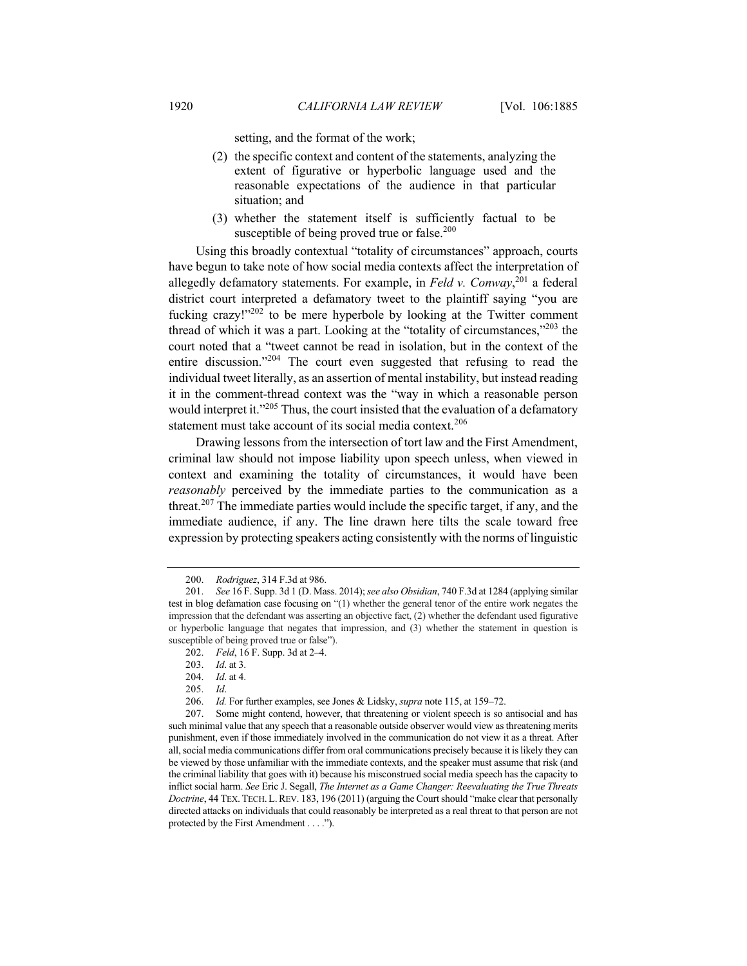setting, and the format of the work;

- (2) the specific context and content of the statements, analyzing the extent of figurative or hyperbolic language used and the reasonable expectations of the audience in that particular situation; and
- (3) whether the statement itself is sufficiently factual to be susceptible of being proved true or false.<sup>200</sup>

Using this broadly contextual "totality of circumstances" approach, courts have begun to take note of how social media contexts affect the interpretation of allegedly defamatory statements. For example, in *Feld v. Conway*, <sup>201</sup> a federal district court interpreted a defamatory tweet to the plaintiff saying "you are fucking crazy!" $202$  to be mere hyperbole by looking at the Twitter comment thread of which it was a part. Looking at the "totality of circumstances,"203 the court noted that a "tweet cannot be read in isolation, but in the context of the entire discussion."<sup>204</sup> The court even suggested that refusing to read the individual tweet literally, as an assertion of mental instability, but instead reading it in the comment-thread context was the "way in which a reasonable person would interpret it."<sup>205</sup> Thus, the court insisted that the evaluation of a defamatory statement must take account of its social media context.<sup>206</sup>

Drawing lessons from the intersection of tort law and the First Amendment, criminal law should not impose liability upon speech unless, when viewed in context and examining the totality of circumstances, it would have been *reasonably* perceived by the immediate parties to the communication as a threat.<sup>207</sup> The immediate parties would include the specific target, if any, and the immediate audience, if any. The line drawn here tilts the scale toward free expression by protecting speakers acting consistently with the norms of linguistic

<sup>200.</sup> *Rodriguez*, 314 F.3d at 986.

<sup>201.</sup> *See* 16 F. Supp. 3d 1 (D. Mass. 2014); *see also Obsidian*, 740 F.3d at 1284 (applying similar test in blog defamation case focusing on "(1) whether the general tenor of the entire work negates the impression that the defendant was asserting an objective fact, (2) whether the defendant used figurative or hyperbolic language that negates that impression, and (3) whether the statement in question is susceptible of being proved true or false").

<sup>202.</sup> *Feld*, 16 F. Supp. 3d at 2–4.

<sup>203.</sup> *Id*. at 3.

<sup>204.</sup> *Id*. at 4.

<sup>205.</sup> *Id*.

<sup>206.</sup> *Id.* For further examples, see Jones & Lidsky, *supra* note 115, at 159–72.

<sup>207.</sup> Some might contend, however, that threatening or violent speech is so antisocial and has such minimal value that any speech that a reasonable outside observer would view as threatening merits punishment, even if those immediately involved in the communication do not view it as a threat. After all, social media communications differ from oral communications precisely because it is likely they can be viewed by those unfamiliar with the immediate contexts, and the speaker must assume that risk (and the criminal liability that goes with it) because his misconstrued social media speech has the capacity to inflict social harm. *See* Eric J. Segall, *The Internet as a Game Changer: Reevaluating the True Threats Doctrine*, 44 TEX. TECH. L. REV. 183, 196 (2011) (arguing the Court should "make clear that personally directed attacks on individuals that could reasonably be interpreted as a real threat to that person are not protected by the First Amendment . . . .").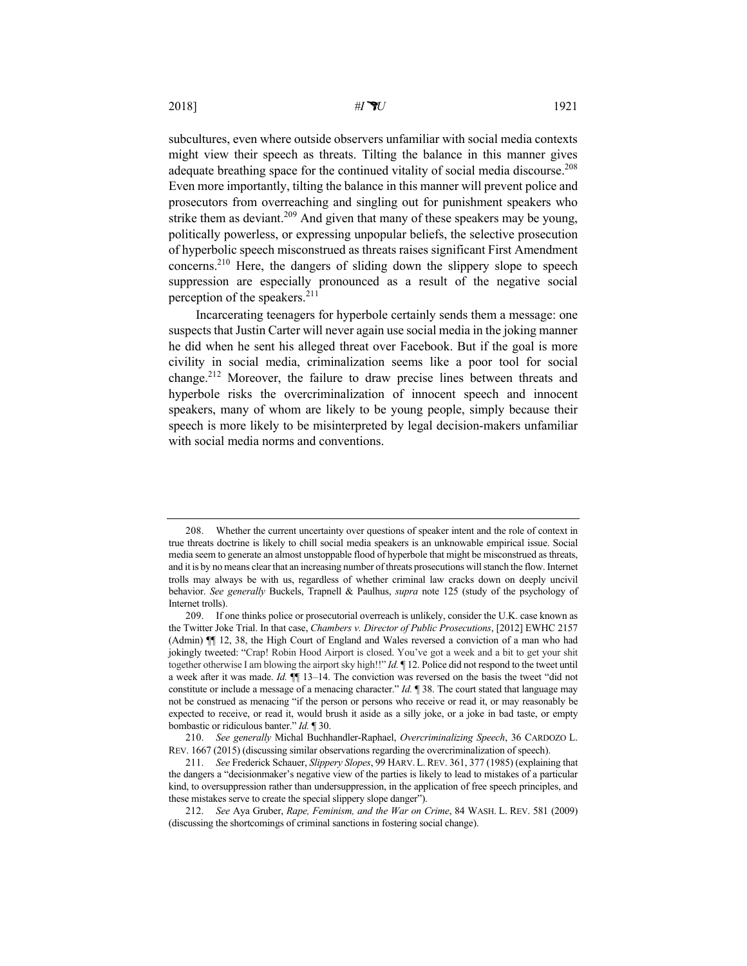subcultures, even where outside observers unfamiliar with social media contexts might view their speech as threats. Tilting the balance in this manner gives adequate breathing space for the continued vitality of social media discourse.<sup>208</sup> Even more importantly, tilting the balance in this manner will prevent police and prosecutors from overreaching and singling out for punishment speakers who strike them as deviant.<sup>209</sup> And given that many of these speakers may be young, politically powerless, or expressing unpopular beliefs, the selective prosecution of hyperbolic speech misconstrued as threats raises significant First Amendment concerns.210 Here, the dangers of sliding down the slippery slope to speech suppression are especially pronounced as a result of the negative social perception of the speakers.<sup>211</sup>

Incarcerating teenagers for hyperbole certainly sends them a message: one suspects that Justin Carter will never again use social media in the joking manner he did when he sent his alleged threat over Facebook. But if the goal is more civility in social media, criminalization seems like a poor tool for social change.<sup>212</sup> Moreover, the failure to draw precise lines between threats and hyperbole risks the overcriminalization of innocent speech and innocent speakers, many of whom are likely to be young people, simply because their speech is more likely to be misinterpreted by legal decision-makers unfamiliar with social media norms and conventions.

<sup>208.</sup> Whether the current uncertainty over questions of speaker intent and the role of context in true threats doctrine is likely to chill social media speakers is an unknowable empirical issue. Social media seem to generate an almost unstoppable flood of hyperbole that might be misconstrued as threats, and it is by no means clear that an increasing number of threats prosecutions will stanch the flow. Internet trolls may always be with us, regardless of whether criminal law cracks down on deeply uncivil behavior. *See generally* Buckels, Trapnell & Paulhus, *supra* note 125 (study of the psychology of Internet trolls).

<sup>209.</sup> If one thinks police or prosecutorial overreach is unlikely, consider the U.K. case known as the Twitter Joke Trial. In that case, *Chambers v. Director of Public Prosecutions*, [2012] EWHC 2157 (Admin) ¶¶ 12, 38, the High Court of England and Wales reversed a conviction of a man who had jokingly tweeted: "Crap! Robin Hood Airport is closed. You've got a week and a bit to get your shit together otherwise I am blowing the airport sky high!!" *Id.* ¶ 12. Police did not respond to the tweet until a week after it was made. *Id.* ¶¶ 13–14. The conviction was reversed on the basis the tweet "did not constitute or include a message of a menacing character." *Id.* ¶ 38. The court stated that language may not be construed as menacing "if the person or persons who receive or read it, or may reasonably be expected to receive, or read it, would brush it aside as a silly joke, or a joke in bad taste, or empty bombastic or ridiculous banter." *Id.* ¶ 30.

<sup>210.</sup> *See generally* Michal Buchhandler-Raphael, *Overcriminalizing Speech*, 36 CARDOZO L. REV. 1667 (2015) (discussing similar observations regarding the overcriminalization of speech).

<sup>211.</sup> *See* Frederick Schauer, *Slippery Slopes*, 99 HARV. L.REV. 361, 377 (1985) (explaining that the dangers a "decisionmaker's negative view of the parties is likely to lead to mistakes of a particular kind, to oversuppression rather than undersuppression, in the application of free speech principles, and these mistakes serve to create the special slippery slope danger").

<sup>212.</sup> *See* Aya Gruber, *Rape, Feminism, and the War on Crime*, 84 WASH. L. REV. 581 (2009) (discussing the shortcomings of criminal sanctions in fostering social change).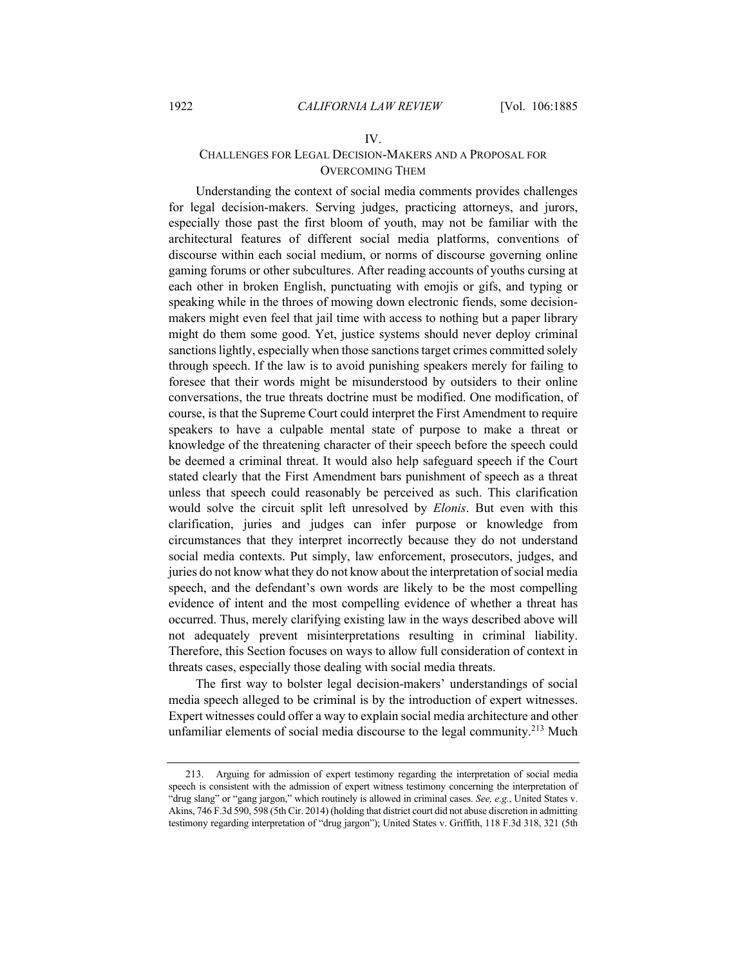#### IV.

## CHALLENGES FOR LEGAL DECISION-MAKERS AND A PROPOSAL FOR OVERCOMING THEM

Understanding the context of social media comments provides challenges for legal decision-makers. Serving judges, practicing attorneys, and jurors, especially those past the first bloom of youth, may not be familiar with the architectural features of different social media platforms, conventions of discourse within each social medium, or norms of discourse governing online gaming forums or other subcultures. After reading accounts of youths cursing at each other in broken English, punctuating with emojis or gifs, and typing or speaking while in the throes of mowing down electronic fiends, some decisionmakers might even feel that jail time with access to nothing but a paper library might do them some good. Yet, justice systems should never deploy criminal sanctions lightly, especially when those sanctions target crimes committed solely through speech. If the law is to avoid punishing speakers merely for failing to foresee that their words might be misunderstood by outsiders to their online conversations, the true threats doctrine must be modified. One modification, of course, is that the Supreme Court could interpret the First Amendment to require speakers to have a culpable mental state of purpose to make a threat or knowledge of the threatening character of their speech before the speech could be deemed a criminal threat. It would also help safeguard speech if the Court stated clearly that the First Amendment bars punishment of speech as a threat unless that speech could reasonably be perceived as such. This clarification would solve the circuit split left unresolved by *Elonis*. But even with this clarification, juries and judges can infer purpose or knowledge from circumstances that they interpret incorrectly because they do not understand social media contexts. Put simply, law enforcement, prosecutors, judges, and juries do not know what they do not know about the interpretation of social media speech, and the defendant's own words are likely to be the most compelling evidence of intent and the most compelling evidence of whether a threat has occurred. Thus, merely clarifying existing law in the ways described above will not adequately prevent misinterpretations resulting in criminal liability. Therefore, this Section focuses on ways to allow full consideration of context in threats cases, especially those dealing with social media threats.

The first way to bolster legal decision-makers' understandings of social media speech alleged to be criminal is by the introduction of expert witnesses. Expert witnesses could offer a way to explain social media architecture and other unfamiliar elements of social media discourse to the legal community.<sup>213</sup> Much

<sup>213.</sup> Arguing for admission of expert testimony regarding the interpretation of social media speech is consistent with the admission of expert witness testimony concerning the interpretation of "drug slang" or "gang jargon," which routinely is allowed in criminal cases. *See, e.g.*, United States v. Akins, 746 F.3d 590, 598 (5th Cir. 2014) (holding that district court did not abuse discretion in admitting testimony regarding interpretation of "drug jargon"); United States v. Griffith, 118 F.3d 318, 321 (5th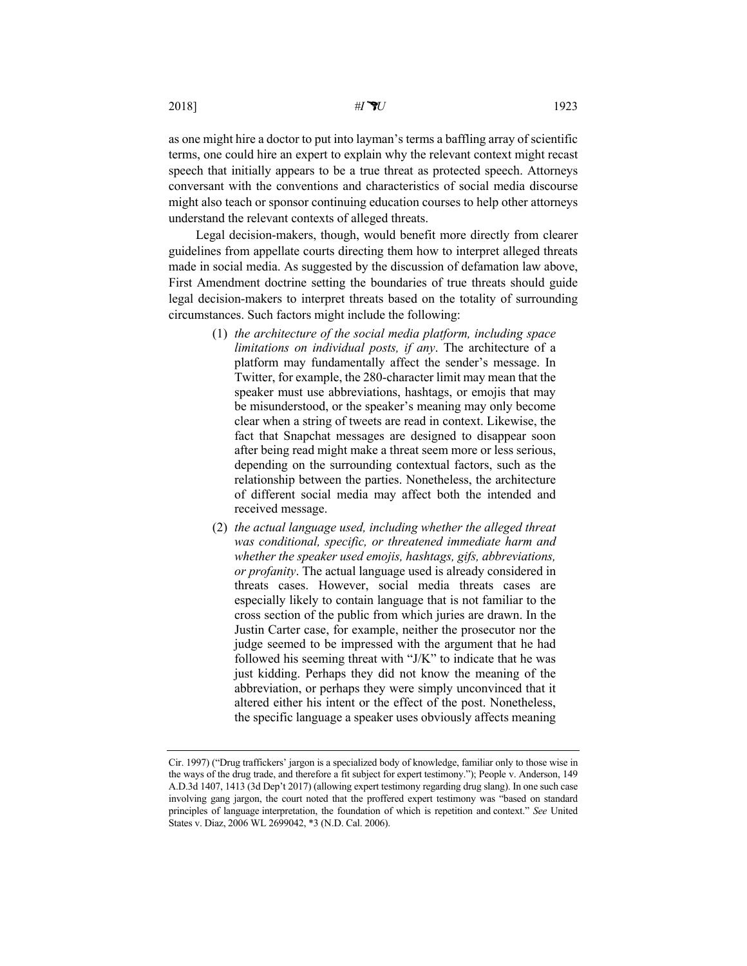2018] *#IU* 1923

as one might hire a doctor to put into layman's terms a baffling array of scientific terms, one could hire an expert to explain why the relevant context might recast speech that initially appears to be a true threat as protected speech. Attorneys conversant with the conventions and characteristics of social media discourse might also teach or sponsor continuing education courses to help other attorneys understand the relevant contexts of alleged threats.

Legal decision-makers, though, would benefit more directly from clearer guidelines from appellate courts directing them how to interpret alleged threats made in social media. As suggested by the discussion of defamation law above, First Amendment doctrine setting the boundaries of true threats should guide legal decision-makers to interpret threats based on the totality of surrounding circumstances. Such factors might include the following:

- (1) *the architecture of the social media platform, including space limitations on individual posts, if any*. The architecture of a platform may fundamentally affect the sender's message. In Twitter, for example, the 280-character limit may mean that the speaker must use abbreviations, hashtags, or emojis that may be misunderstood, or the speaker's meaning may only become clear when a string of tweets are read in context. Likewise, the fact that Snapchat messages are designed to disappear soon after being read might make a threat seem more or less serious, depending on the surrounding contextual factors, such as the relationship between the parties. Nonetheless, the architecture of different social media may affect both the intended and received message.
- (2) *the actual language used, including whether the alleged threat was conditional, specific, or threatened immediate harm and whether the speaker used emojis, hashtags, gifs, abbreviations, or profanity*. The actual language used is already considered in threats cases. However, social media threats cases are especially likely to contain language that is not familiar to the cross section of the public from which juries are drawn. In the Justin Carter case, for example, neither the prosecutor nor the judge seemed to be impressed with the argument that he had followed his seeming threat with "J/K" to indicate that he was just kidding. Perhaps they did not know the meaning of the abbreviation, or perhaps they were simply unconvinced that it altered either his intent or the effect of the post. Nonetheless, the specific language a speaker uses obviously affects meaning

Cir. 1997) ("Drug traffickers' jargon is a specialized body of knowledge, familiar only to those wise in the ways of the drug trade, and therefore a fit subject for expert testimony."); People v. Anderson, 149 A.D.3d 1407, 1413 (3d Dep't 2017) (allowing expert testimony regarding drug slang). In one such case involving gang jargon, the court noted that the proffered expert testimony was "based on standard principles of language interpretation, the foundation of which is repetition and context." *See* United States v. Diaz, 2006 WL 2699042, \*3 (N.D. Cal. 2006).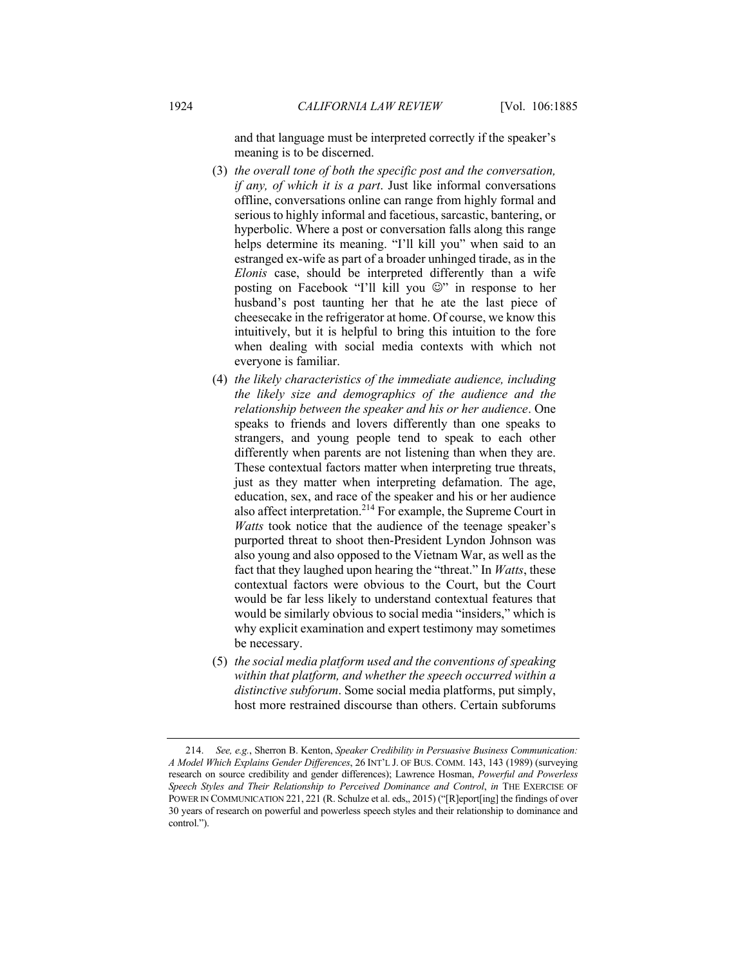and that language must be interpreted correctly if the speaker's meaning is to be discerned.

- (3) *the overall tone of both the specific post and the conversation, if any, of which it is a part*. Just like informal conversations offline, conversations online can range from highly formal and serious to highly informal and facetious, sarcastic, bantering, or hyperbolic. Where a post or conversation falls along this range helps determine its meaning. "I'll kill you" when said to an estranged ex-wife as part of a broader unhinged tirade, as in the *Elonis* case, should be interpreted differently than a wife posting on Facebook "I'll kill you  $\mathbb{Q}$ " in response to her husband's post taunting her that he ate the last piece of cheesecake in the refrigerator at home. Of course, we know this intuitively, but it is helpful to bring this intuition to the fore when dealing with social media contexts with which not everyone is familiar.
- (4) *the likely characteristics of the immediate audience, including the likely size and demographics of the audience and the relationship between the speaker and his or her audience*. One speaks to friends and lovers differently than one speaks to strangers, and young people tend to speak to each other differently when parents are not listening than when they are. These contextual factors matter when interpreting true threats, just as they matter when interpreting defamation. The age, education, sex, and race of the speaker and his or her audience also affect interpretation.214 For example, the Supreme Court in *Watts* took notice that the audience of the teenage speaker's purported threat to shoot then-President Lyndon Johnson was also young and also opposed to the Vietnam War, as well as the fact that they laughed upon hearing the "threat." In *Watts*, these contextual factors were obvious to the Court, but the Court would be far less likely to understand contextual features that would be similarly obvious to social media "insiders," which is why explicit examination and expert testimony may sometimes be necessary.
- (5) *the social media platform used and the conventions of speaking within that platform, and whether the speech occurred within a distinctive subforum*. Some social media platforms, put simply, host more restrained discourse than others. Certain subforums

<sup>214.</sup> *See, e.g.*, Sherron B. Kenton, *Speaker Credibility in Persuasive Business Communication: A Model Which Explains Gender Differences*, 26 INT'L J. OF BUS. COMM. 143, 143 (1989) (surveying research on source credibility and gender differences); Lawrence Hosman, *Powerful and Powerless Speech Styles and Their Relationship to Perceived Dominance and Control*, *in* THE EXERCISE OF POWER IN COMMUNICATION 221, 221 (R. Schulze et al. eds,, 2015) ("[R]eport[ing] the findings of over 30 years of research on powerful and powerless speech styles and their relationship to dominance and control.").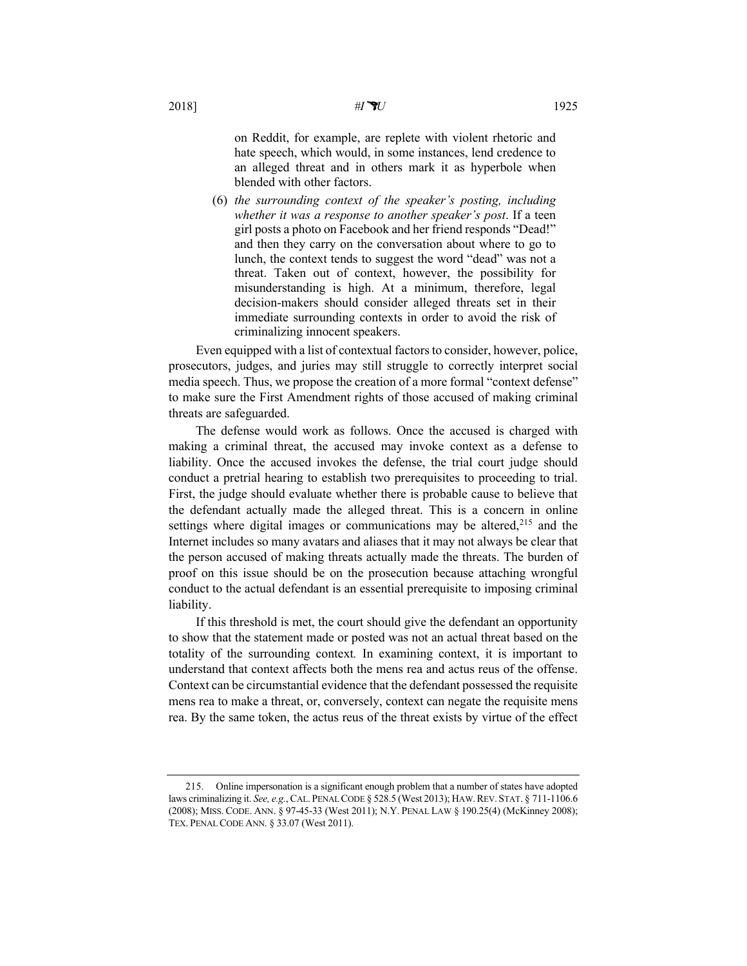on Reddit, for example, are replete with violent rhetoric and hate speech, which would, in some instances, lend credence to an alleged threat and in others mark it as hyperbole when blended with other factors.

(6) *the surrounding context of the speaker's posting, including whether it was a response to another speaker's post*. If a teen girl posts a photo on Facebook and her friend responds "Dead!" and then they carry on the conversation about where to go to lunch, the context tends to suggest the word "dead" was not a threat. Taken out of context, however, the possibility for misunderstanding is high. At a minimum, therefore, legal decision-makers should consider alleged threats set in their immediate surrounding contexts in order to avoid the risk of criminalizing innocent speakers.

Even equipped with a list of contextual factors to consider, however, police, prosecutors, judges, and juries may still struggle to correctly interpret social media speech. Thus, we propose the creation of a more formal "context defense" to make sure the First Amendment rights of those accused of making criminal threats are safeguarded.

The defense would work as follows. Once the accused is charged with making a criminal threat, the accused may invoke context as a defense to liability. Once the accused invokes the defense, the trial court judge should conduct a pretrial hearing to establish two prerequisites to proceeding to trial. First, the judge should evaluate whether there is probable cause to believe that the defendant actually made the alleged threat. This is a concern in online settings where digital images or communications may be altered, $215$  and the Internet includes so many avatars and aliases that it may not always be clear that the person accused of making threats actually made the threats. The burden of proof on this issue should be on the prosecution because attaching wrongful conduct to the actual defendant is an essential prerequisite to imposing criminal liability.

If this threshold is met, the court should give the defendant an opportunity to show that the statement made or posted was not an actual threat based on the totality of the surrounding context*.* In examining context, it is important to understand that context affects both the mens rea and actus reus of the offense. Context can be circumstantial evidence that the defendant possessed the requisite mens rea to make a threat, or, conversely, context can negate the requisite mens rea. By the same token, the actus reus of the threat exists by virtue of the effect

<sup>215.</sup> Online impersonation is a significant enough problem that a number of states have adopted laws criminalizing it. *See, e.g.*, CAL. PENAL CODE § 528.5 (West 2013); HAW.REV. STAT. § 711-1106.6 (2008); MISS. CODE. ANN. § 97-45-33 (West 2011); N.Y. PENAL LAW § 190.25(4) (McKinney 2008); TEX. PENAL CODE ANN. § 33.07 (West 2011).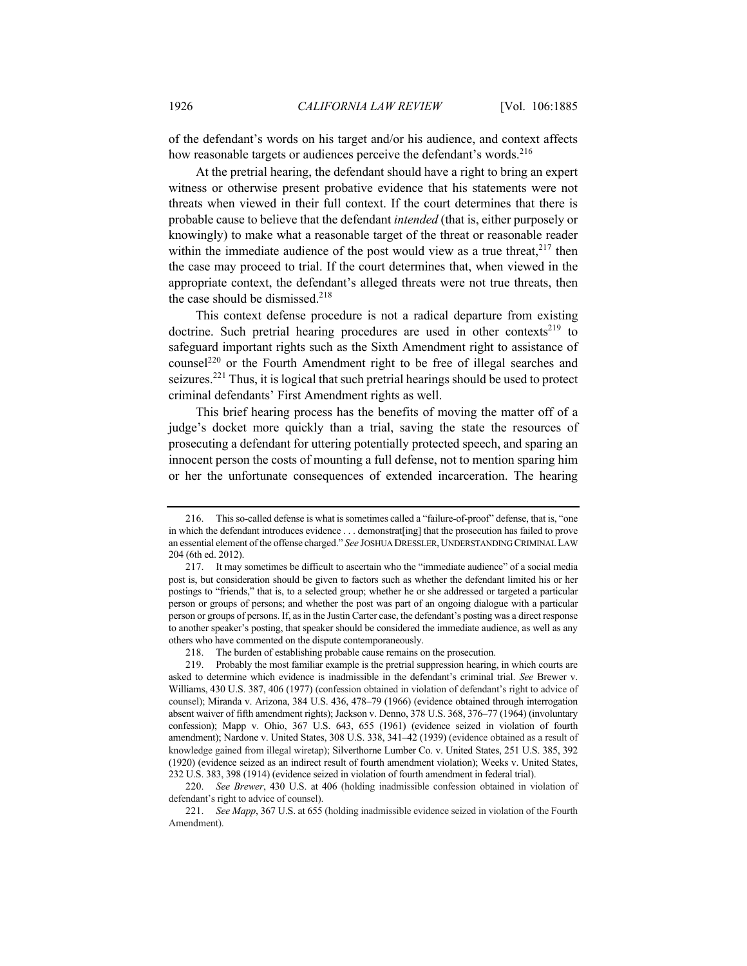of the defendant's words on his target and/or his audience, and context affects how reasonable targets or audiences perceive the defendant's words.<sup>216</sup>

At the pretrial hearing, the defendant should have a right to bring an expert witness or otherwise present probative evidence that his statements were not threats when viewed in their full context. If the court determines that there is probable cause to believe that the defendant *intended* (that is, either purposely or knowingly) to make what a reasonable target of the threat or reasonable reader within the immediate audience of the post would view as a true threat,  $2^{17}$  then the case may proceed to trial. If the court determines that, when viewed in the appropriate context, the defendant's alleged threats were not true threats, then the case should be dismissed. $218$ 

This context defense procedure is not a radical departure from existing doctrine. Such pretrial hearing procedures are used in other contexts<sup>219</sup> to safeguard important rights such as the Sixth Amendment right to assistance of counsel<sup>220</sup> or the Fourth Amendment right to be free of illegal searches and seizures.<sup>221</sup> Thus, it is logical that such pretrial hearings should be used to protect criminal defendants' First Amendment rights as well.

This brief hearing process has the benefits of moving the matter off of a judge's docket more quickly than a trial, saving the state the resources of prosecuting a defendant for uttering potentially protected speech, and sparing an innocent person the costs of mounting a full defense, not to mention sparing him or her the unfortunate consequences of extended incarceration. The hearing

<sup>216.</sup> This so-called defense is what is sometimes called a "failure-of-proof" defense, that is, "one in which the defendant introduces evidence . . . demonstrat[ing] that the prosecution has failed to prove an essential element of the offense charged." *See* JOSHUA DRESSLER,UNDERSTANDING CRIMINAL LAW 204 (6th ed. 2012).

<sup>217.</sup> It may sometimes be difficult to ascertain who the "immediate audience" of a social media post is, but consideration should be given to factors such as whether the defendant limited his or her postings to "friends," that is, to a selected group; whether he or she addressed or targeted a particular person or groups of persons; and whether the post was part of an ongoing dialogue with a particular person or groups of persons. If, as in the Justin Carter case, the defendant's posting was a direct response to another speaker's posting, that speaker should be considered the immediate audience, as well as any others who have commented on the dispute contemporaneously.

<sup>218.</sup> The burden of establishing probable cause remains on the prosecution.

<sup>219.</sup> Probably the most familiar example is the pretrial suppression hearing, in which courts are asked to determine which evidence is inadmissible in the defendant's criminal trial. *See* Brewer v. Williams, 430 U.S. 387, 406 (1977) (confession obtained in violation of defendant's right to advice of counsel); Miranda v. Arizona, 384 U.S. 436, 478–79 (1966) (evidence obtained through interrogation absent waiver of fifth amendment rights); Jackson v. Denno, 378 U.S. 368, 376–77 (1964) (involuntary confession); Mapp v. Ohio, 367 U.S. 643, 655 (1961) (evidence seized in violation of fourth amendment); Nardone v. United States, 308 U.S. 338, 341–42 (1939) (evidence obtained as a result of knowledge gained from illegal wiretap); Silverthorne Lumber Co. v. United States, 251 U.S. 385, 392 (1920) (evidence seized as an indirect result of fourth amendment violation); Weeks v. United States, 232 U.S. 383, 398 (1914) (evidence seized in violation of fourth amendment in federal trial).

<sup>220.</sup> *See Brewer*, 430 U.S. at 406 (holding inadmissible confession obtained in violation of defendant's right to advice of counsel).

<sup>221.</sup> *See Mapp*, 367 U.S. at 655 (holding inadmissible evidence seized in violation of the Fourth Amendment).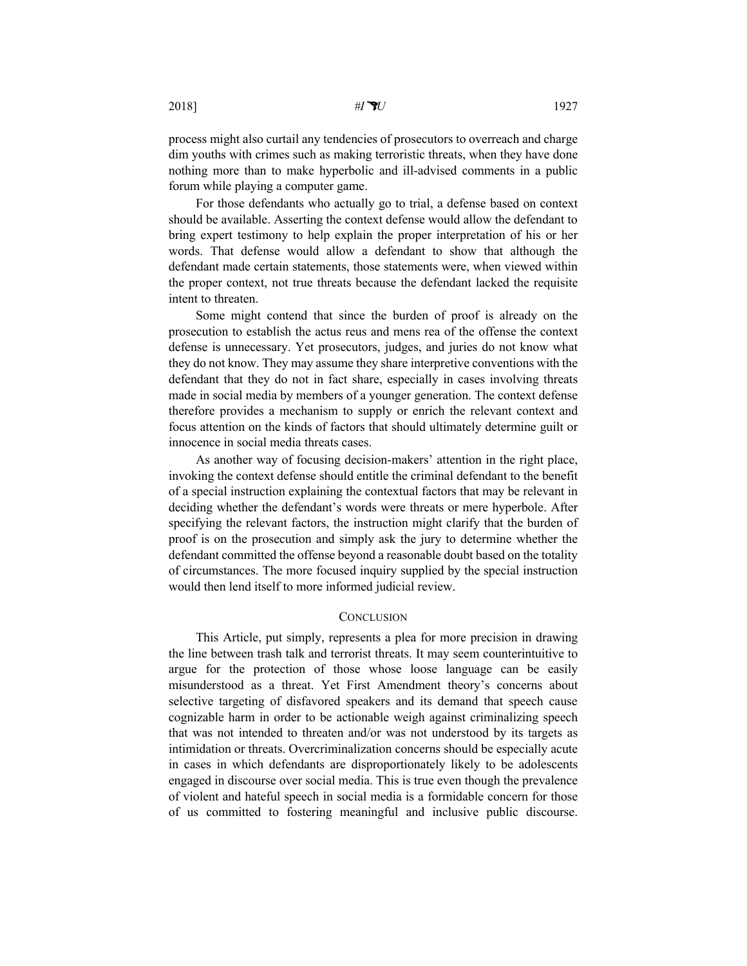process might also curtail any tendencies of prosecutors to overreach and charge dim youths with crimes such as making terroristic threats, when they have done nothing more than to make hyperbolic and ill-advised comments in a public forum while playing a computer game.

For those defendants who actually go to trial, a defense based on context should be available. Asserting the context defense would allow the defendant to bring expert testimony to help explain the proper interpretation of his or her words. That defense would allow a defendant to show that although the defendant made certain statements, those statements were, when viewed within the proper context, not true threats because the defendant lacked the requisite intent to threaten.

Some might contend that since the burden of proof is already on the prosecution to establish the actus reus and mens rea of the offense the context defense is unnecessary. Yet prosecutors, judges, and juries do not know what they do not know. They may assume they share interpretive conventions with the defendant that they do not in fact share, especially in cases involving threats made in social media by members of a younger generation. The context defense therefore provides a mechanism to supply or enrich the relevant context and focus attention on the kinds of factors that should ultimately determine guilt or innocence in social media threats cases.

As another way of focusing decision-makers' attention in the right place, invoking the context defense should entitle the criminal defendant to the benefit of a special instruction explaining the contextual factors that may be relevant in deciding whether the defendant's words were threats or mere hyperbole. After specifying the relevant factors, the instruction might clarify that the burden of proof is on the prosecution and simply ask the jury to determine whether the defendant committed the offense beyond a reasonable doubt based on the totality of circumstances. The more focused inquiry supplied by the special instruction would then lend itself to more informed judicial review.

## **CONCLUSION**

This Article, put simply, represents a plea for more precision in drawing the line between trash talk and terrorist threats. It may seem counterintuitive to argue for the protection of those whose loose language can be easily misunderstood as a threat. Yet First Amendment theory's concerns about selective targeting of disfavored speakers and its demand that speech cause cognizable harm in order to be actionable weigh against criminalizing speech that was not intended to threaten and/or was not understood by its targets as intimidation or threats. Overcriminalization concerns should be especially acute in cases in which defendants are disproportionately likely to be adolescents engaged in discourse over social media. This is true even though the prevalence of violent and hateful speech in social media is a formidable concern for those of us committed to fostering meaningful and inclusive public discourse.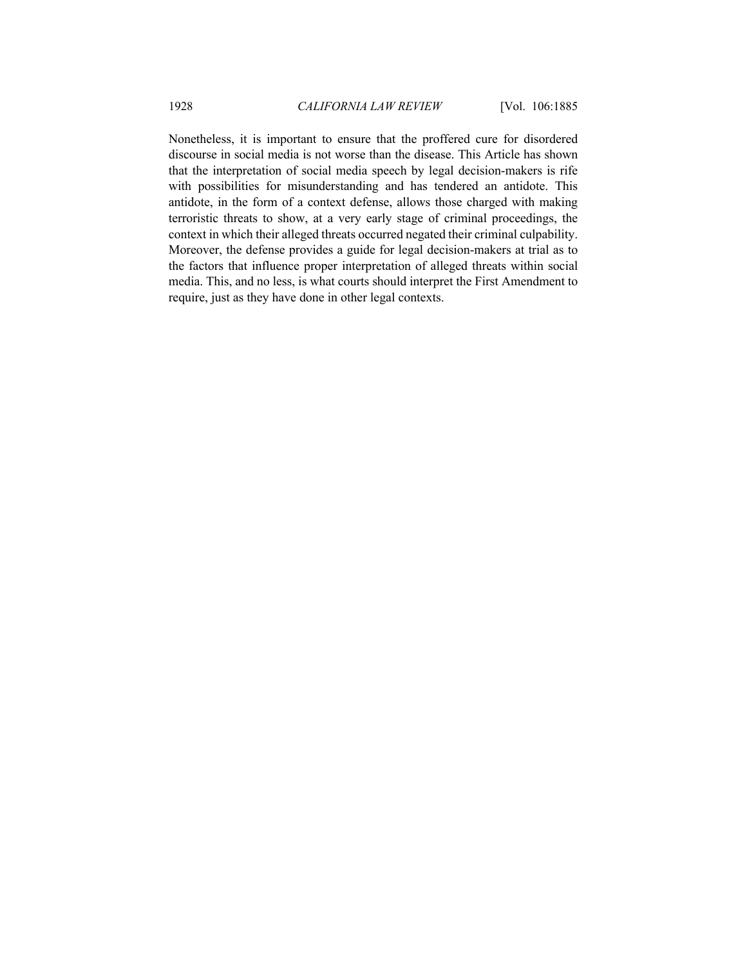Nonetheless, it is important to ensure that the proffered cure for disordered discourse in social media is not worse than the disease. This Article has shown that the interpretation of social media speech by legal decision-makers is rife with possibilities for misunderstanding and has tendered an antidote. This antidote, in the form of a context defense, allows those charged with making terroristic threats to show, at a very early stage of criminal proceedings, the context in which their alleged threats occurred negated their criminal culpability. Moreover, the defense provides a guide for legal decision-makers at trial as to the factors that influence proper interpretation of alleged threats within social media. This, and no less, is what courts should interpret the First Amendment to require, just as they have done in other legal contexts.